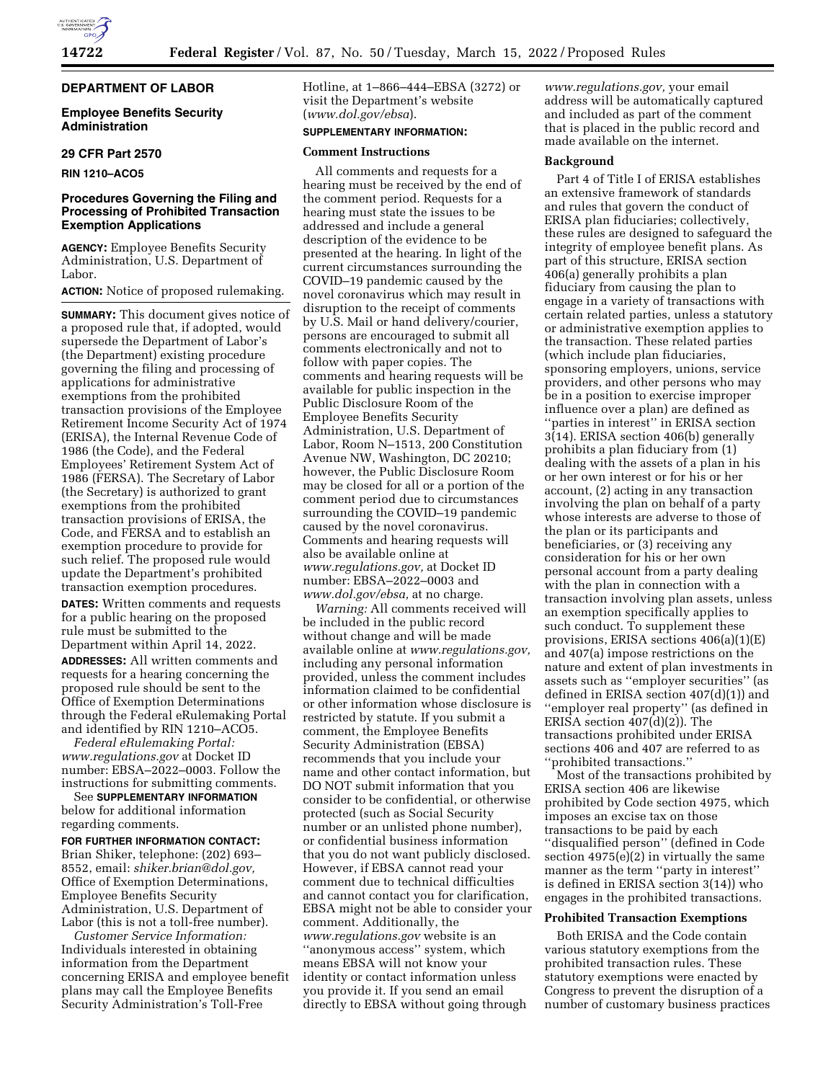

### **DEPARTMENT OF LABOR**

## **Employee Benefits Security Administration**

#### **29 CFR Part 2570**

**RIN 1210–ACO5** 

# **Procedures Governing the Filing and Processing of Prohibited Transaction Exemption Applications**

**AGENCY:** Employee Benefits Security Administration, U.S. Department of Labor.

# **ACTION:** Notice of proposed rulemaking.

**SUMMARY:** This document gives notice of a proposed rule that, if adopted, would supersede the Department of Labor's (the Department) existing procedure governing the filing and processing of applications for administrative exemptions from the prohibited transaction provisions of the Employee Retirement Income Security Act of 1974 (ERISA), the Internal Revenue Code of 1986 (the Code), and the Federal Employees' Retirement System Act of 1986 (FERSA). The Secretary of Labor (the Secretary) is authorized to grant exemptions from the prohibited transaction provisions of ERISA, the Code, and FERSA and to establish an exemption procedure to provide for such relief. The proposed rule would update the Department's prohibited transaction exemption procedures.

**DATES:** Written comments and requests for a public hearing on the proposed rule must be submitted to the Department within April 14, 2022.

**ADDRESSES:** All written comments and requests for a hearing concerning the proposed rule should be sent to the Office of Exemption Determinations through the Federal eRulemaking Portal and identified by RIN 1210–ACO5.

*Federal eRulemaking Portal: [www.regulations.gov](http://www.regulations.gov)* at Docket ID number: EBSA–2022–0003. Follow the instructions for submitting comments.

See **SUPPLEMENTARY INFORMATION** below for additional information regarding comments.

#### **FOR FURTHER INFORMATION CONTACT:**

Brian Shiker, telephone: (202) 693– 8552, email: *[shiker.brian@dol.gov,](mailto:shiker.brian@dol.gov)*  Office of Exemption Determinations, Employee Benefits Security Administration, U.S. Department of Labor (this is not a toll-free number).

*Customer Service Information:*  Individuals interested in obtaining information from the Department concerning ERISA and employee benefit plans may call the Employee Benefits Security Administration's Toll-Free

Hotline, at 1–866–444–EBSA (3272) or visit the Department's website (*[www.dol.gov/ebsa](http://www.dol.gov/ebsa)*).

# **SUPPLEMENTARY INFORMATION:**

## **Comment Instructions**

All comments and requests for a hearing must be received by the end of the comment period. Requests for a hearing must state the issues to be addressed and include a general description of the evidence to be presented at the hearing. In light of the current circumstances surrounding the COVID–19 pandemic caused by the novel coronavirus which may result in disruption to the receipt of comments by U.S. Mail or hand delivery/courier, persons are encouraged to submit all comments electronically and not to follow with paper copies. The comments and hearing requests will be available for public inspection in the Public Disclosure Room of the Employee Benefits Security Administration, U.S. Department of Labor, Room N–1513, 200 Constitution Avenue NW, Washington, DC 20210; however, the Public Disclosure Room may be closed for all or a portion of the comment period due to circumstances surrounding the COVID–19 pandemic caused by the novel coronavirus. Comments and hearing requests will also be available online at *[www.regulations.gov,](http://www.regulations.gov)* at Docket ID number: EBSA–2022–0003 and *[www.dol.gov/ebsa,](http://www.dol.gov/ebsa)* at no charge.

*Warning:* All comments received will be included in the public record without change and will be made available online at *[www.regulations.gov,](http://www.regulations.gov)*  including any personal information provided, unless the comment includes information claimed to be confidential or other information whose disclosure is restricted by statute. If you submit a comment, the Employee Benefits Security Administration (EBSA) recommends that you include your name and other contact information, but DO NOT submit information that you consider to be confidential, or otherwise protected (such as Social Security number or an unlisted phone number), or confidential business information that you do not want publicly disclosed. However, if EBSA cannot read your comment due to technical difficulties and cannot contact you for clarification, EBSA might not be able to consider your comment. Additionally, the *[www.regulations.gov](http://www.regulations.gov)* website is an ''anonymous access'' system, which means EBSA will not know your identity or contact information unless you provide it. If you send an email directly to EBSA without going through

*[www.regulations.gov,](http://www.regulations.gov)* your email address will be automatically captured and included as part of the comment that is placed in the public record and made available on the internet.

#### **Background**

Part 4 of Title I of ERISA establishes an extensive framework of standards and rules that govern the conduct of ERISA plan fiduciaries; collectively, these rules are designed to safeguard the integrity of employee benefit plans. As part of this structure, ERISA section 406(a) generally prohibits a plan fiduciary from causing the plan to engage in a variety of transactions with certain related parties, unless a statutory or administrative exemption applies to the transaction. These related parties (which include plan fiduciaries, sponsoring employers, unions, service providers, and other persons who may be in a position to exercise improper influence over a plan) are defined as ''parties in interest'' in ERISA section 3(14). ERISA section 406(b) generally prohibits a plan fiduciary from (1) dealing with the assets of a plan in his or her own interest or for his or her account, (2) acting in any transaction involving the plan on behalf of a party whose interests are adverse to those of the plan or its participants and beneficiaries, or (3) receiving any consideration for his or her own personal account from a party dealing with the plan in connection with a transaction involving plan assets, unless an exemption specifically applies to such conduct. To supplement these provisions, ERISA sections 406(a)(1)(E) and 407(a) impose restrictions on the nature and extent of plan investments in assets such as ''employer securities'' (as defined in ERISA section 407(d)(1)) and ''employer real property'' (as defined in ERISA section 407(d)(2)). The transactions prohibited under ERISA sections 406 and 407 are referred to as ''prohibited transactions.''

Most of the transactions prohibited by ERISA section 406 are likewise prohibited by Code section 4975, which imposes an excise tax on those transactions to be paid by each ''disqualified person'' (defined in Code section 4975(e)(2) in virtually the same manner as the term ''party in interest'' is defined in ERISA section 3(14)) who engages in the prohibited transactions.

### **Prohibited Transaction Exemptions**

Both ERISA and the Code contain various statutory exemptions from the prohibited transaction rules. These statutory exemptions were enacted by Congress to prevent the disruption of a number of customary business practices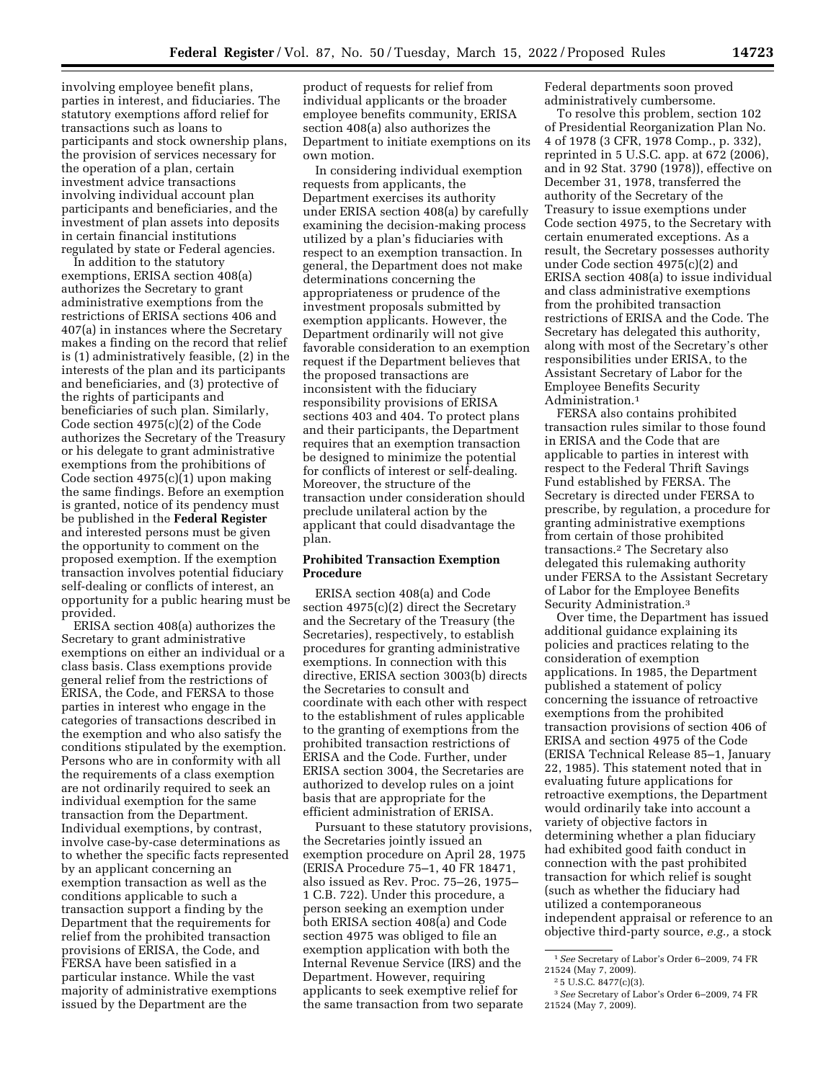involving employee benefit plans, parties in interest, and fiduciaries. The statutory exemptions afford relief for transactions such as loans to participants and stock ownership plans, the provision of services necessary for the operation of a plan, certain investment advice transactions involving individual account plan participants and beneficiaries, and the investment of plan assets into deposits in certain financial institutions regulated by state or Federal agencies.

In addition to the statutory exemptions, ERISA section 408(a) authorizes the Secretary to grant administrative exemptions from the restrictions of ERISA sections 406 and 407(a) in instances where the Secretary makes a finding on the record that relief is (1) administratively feasible, (2) in the interests of the plan and its participants and beneficiaries, and (3) protective of the rights of participants and beneficiaries of such plan. Similarly, Code section 4975(c)(2) of the Code authorizes the Secretary of the Treasury or his delegate to grant administrative exemptions from the prohibitions of Code section 4975(c)(1) upon making the same findings. Before an exemption is granted, notice of its pendency must be published in the **Federal Register**  and interested persons must be given the opportunity to comment on the proposed exemption. If the exemption transaction involves potential fiduciary self-dealing or conflicts of interest, an opportunity for a public hearing must be provided.

ERISA section 408(a) authorizes the Secretary to grant administrative exemptions on either an individual or a class basis. Class exemptions provide general relief from the restrictions of ERISA, the Code, and FERSA to those parties in interest who engage in the categories of transactions described in the exemption and who also satisfy the conditions stipulated by the exemption. Persons who are in conformity with all the requirements of a class exemption are not ordinarily required to seek an individual exemption for the same transaction from the Department. Individual exemptions, by contrast, involve case-by-case determinations as to whether the specific facts represented by an applicant concerning an exemption transaction as well as the conditions applicable to such a transaction support a finding by the Department that the requirements for relief from the prohibited transaction provisions of ERISA, the Code, and FERSA have been satisfied in a particular instance. While the vast majority of administrative exemptions issued by the Department are the

product of requests for relief from individual applicants or the broader employee benefits community, ERISA section 408(a) also authorizes the Department to initiate exemptions on its own motion.

In considering individual exemption requests from applicants, the Department exercises its authority under ERISA section 408(a) by carefully examining the decision-making process utilized by a plan's fiduciaries with respect to an exemption transaction. In general, the Department does not make determinations concerning the appropriateness or prudence of the investment proposals submitted by exemption applicants. However, the Department ordinarily will not give favorable consideration to an exemption request if the Department believes that the proposed transactions are inconsistent with the fiduciary responsibility provisions of ERISA sections 403 and 404. To protect plans and their participants, the Department requires that an exemption transaction be designed to minimize the potential for conflicts of interest or self-dealing. Moreover, the structure of the transaction under consideration should preclude unilateral action by the applicant that could disadvantage the plan.

# **Prohibited Transaction Exemption Procedure**

ERISA section 408(a) and Code section 4975(c)(2) direct the Secretary and the Secretary of the Treasury (the Secretaries), respectively, to establish procedures for granting administrative exemptions. In connection with this directive, ERISA section 3003(b) directs the Secretaries to consult and coordinate with each other with respect to the establishment of rules applicable to the granting of exemptions from the prohibited transaction restrictions of ERISA and the Code. Further, under ERISA section 3004, the Secretaries are authorized to develop rules on a joint basis that are appropriate for the efficient administration of ERISA.

Pursuant to these statutory provisions, the Secretaries jointly issued an exemption procedure on April 28, 1975 (ERISA Procedure 75–1, 40 FR 18471, also issued as Rev. Proc. 75–26, 1975– 1 C.B. 722). Under this procedure, a person seeking an exemption under both ERISA section 408(a) and Code section 4975 was obliged to file an exemption application with both the Internal Revenue Service (IRS) and the Department. However, requiring applicants to seek exemptive relief for the same transaction from two separate

Federal departments soon proved administratively cumbersome.

To resolve this problem, section 102 of Presidential Reorganization Plan No. 4 of 1978 (3 CFR, 1978 Comp., p. 332), reprinted in 5 U.S.C. app. at 672 (2006), and in 92 Stat. 3790 (1978)), effective on December 31, 1978, transferred the authority of the Secretary of the Treasury to issue exemptions under Code section 4975, to the Secretary with certain enumerated exceptions. As a result, the Secretary possesses authority under Code section 4975(c)(2) and ERISA section 408(a) to issue individual and class administrative exemptions from the prohibited transaction restrictions of ERISA and the Code. The Secretary has delegated this authority, along with most of the Secretary's other responsibilities under ERISA, to the Assistant Secretary of Labor for the Employee Benefits Security Administration.1

FERSA also contains prohibited transaction rules similar to those found in ERISA and the Code that are applicable to parties in interest with respect to the Federal Thrift Savings Fund established by FERSA. The Secretary is directed under FERSA to prescribe, by regulation, a procedure for granting administrative exemptions from certain of those prohibited transactions.2 The Secretary also delegated this rulemaking authority under FERSA to the Assistant Secretary of Labor for the Employee Benefits Security Administration.3

Over time, the Department has issued additional guidance explaining its policies and practices relating to the consideration of exemption applications. In 1985, the Department published a statement of policy concerning the issuance of retroactive exemptions from the prohibited transaction provisions of section 406 of ERISA and section 4975 of the Code (ERISA Technical Release 85–1, January 22, 1985). This statement noted that in evaluating future applications for retroactive exemptions, the Department would ordinarily take into account a variety of objective factors in determining whether a plan fiduciary had exhibited good faith conduct in connection with the past prohibited transaction for which relief is sought (such as whether the fiduciary had utilized a contemporaneous independent appraisal or reference to an objective third-party source, *e.g.,* a stock

<sup>1</sup>*See* Secretary of Labor's Order 6–2009, 74 FR 21524 (May 7, 2009).

<sup>2</sup> 5 U.S.C. 8477(c)(3).

<sup>3</sup>*See* Secretary of Labor's Order 6–2009, 74 FR 21524 (May 7, 2009).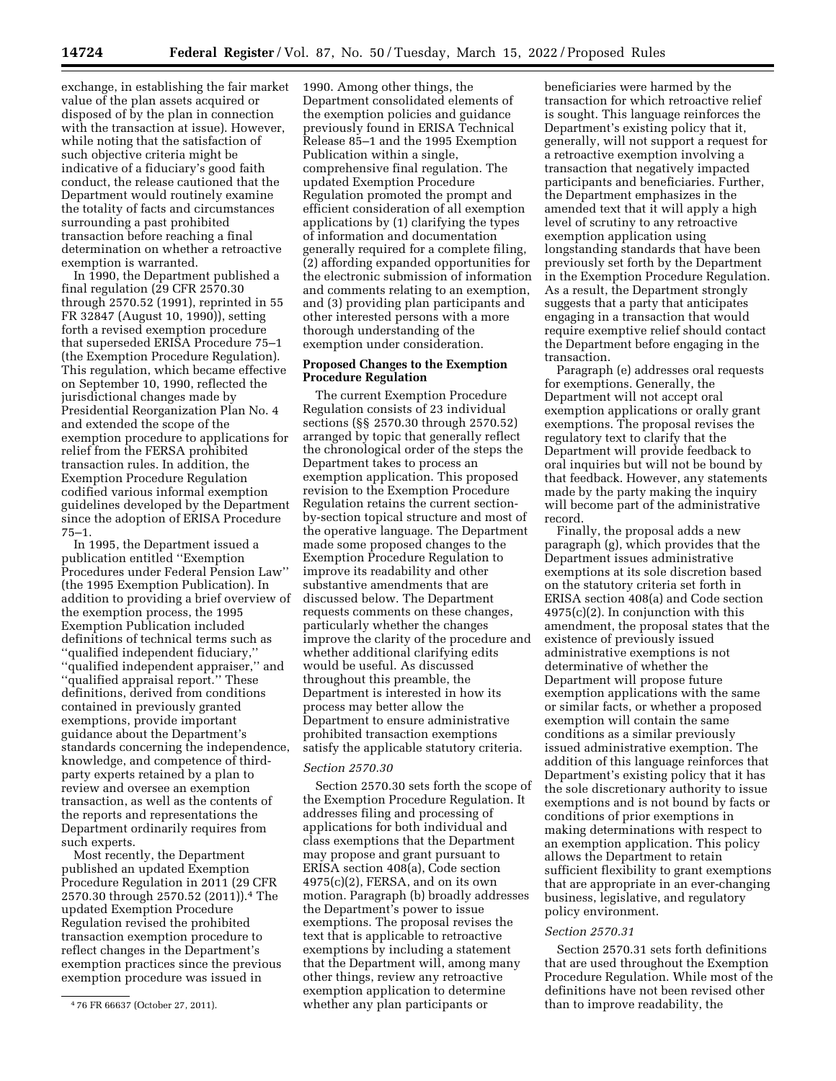exchange, in establishing the fair market value of the plan assets acquired or

disposed of by the plan in connection with the transaction at issue). However, while noting that the satisfaction of such objective criteria might be indicative of a fiduciary's good faith conduct, the release cautioned that the Department would routinely examine the totality of facts and circumstances surrounding a past prohibited transaction before reaching a final determination on whether a retroactive exemption is warranted.

In 1990, the Department published a final regulation (29 CFR 2570.30 through 2570.52 (1991), reprinted in 55 FR 32847 (August 10, 1990)), setting forth a revised exemption procedure that superseded ERISA Procedure 75–1 (the Exemption Procedure Regulation). This regulation, which became effective on September 10, 1990, reflected the jurisdictional changes made by Presidential Reorganization Plan No. 4 and extended the scope of the exemption procedure to applications for relief from the FERSA prohibited transaction rules. In addition, the Exemption Procedure Regulation codified various informal exemption guidelines developed by the Department since the adoption of ERISA Procedure 75–1.

In 1995, the Department issued a publication entitled ''Exemption Procedures under Federal Pension Law'' (the 1995 Exemption Publication). In addition to providing a brief overview of the exemption process, the 1995 Exemption Publication included definitions of technical terms such as ''qualified independent fiduciary,'' ''qualified independent appraiser,'' and ''qualified appraisal report.'' These definitions, derived from conditions contained in previously granted exemptions, provide important guidance about the Department's standards concerning the independence, knowledge, and competence of thirdparty experts retained by a plan to review and oversee an exemption transaction, as well as the contents of the reports and representations the Department ordinarily requires from such experts.

Most recently, the Department published an updated Exemption Procedure Regulation in 2011 (29 CFR 2570.30 through 2570.52 (2011)).4 The updated Exemption Procedure Regulation revised the prohibited transaction exemption procedure to reflect changes in the Department's exemption practices since the previous exemption procedure was issued in

1990. Among other things, the Department consolidated elements of the exemption policies and guidance previously found in ERISA Technical Release 85–1 and the 1995 Exemption Publication within a single, comprehensive final regulation. The updated Exemption Procedure Regulation promoted the prompt and efficient consideration of all exemption applications by (1) clarifying the types of information and documentation generally required for a complete filing, (2) affording expanded opportunities for the electronic submission of information and comments relating to an exemption, and (3) providing plan participants and other interested persons with a more thorough understanding of the exemption under consideration.

# **Proposed Changes to the Exemption Procedure Regulation**

The current Exemption Procedure Regulation consists of 23 individual sections (§§ 2570.30 through 2570.52) arranged by topic that generally reflect the chronological order of the steps the Department takes to process an exemption application. This proposed revision to the Exemption Procedure Regulation retains the current sectionby-section topical structure and most of the operative language. The Department made some proposed changes to the Exemption Procedure Regulation to improve its readability and other substantive amendments that are discussed below. The Department requests comments on these changes, particularly whether the changes improve the clarity of the procedure and whether additional clarifying edits would be useful. As discussed throughout this preamble, the Department is interested in how its process may better allow the Department to ensure administrative prohibited transaction exemptions satisfy the applicable statutory criteria.

### *Section 2570.30*

Section 2570.30 sets forth the scope of the Exemption Procedure Regulation. It addresses filing and processing of applications for both individual and class exemptions that the Department may propose and grant pursuant to ERISA section 408(a), Code section  $4975(c)(2)$ , FERSA, and on its own motion. Paragraph (b) broadly addresses the Department's power to issue exemptions. The proposal revises the text that is applicable to retroactive exemptions by including a statement that the Department will, among many other things, review any retroactive exemption application to determine whether any plan participants or

beneficiaries were harmed by the transaction for which retroactive relief is sought. This language reinforces the Department's existing policy that it, generally, will not support a request for a retroactive exemption involving a transaction that negatively impacted participants and beneficiaries. Further, the Department emphasizes in the amended text that it will apply a high level of scrutiny to any retroactive exemption application using longstanding standards that have been previously set forth by the Department in the Exemption Procedure Regulation. As a result, the Department strongly suggests that a party that anticipates engaging in a transaction that would require exemptive relief should contact the Department before engaging in the transaction.

Paragraph (e) addresses oral requests for exemptions. Generally, the Department will not accept oral exemption applications or orally grant exemptions. The proposal revises the regulatory text to clarify that the Department will provide feedback to oral inquiries but will not be bound by that feedback. However, any statements made by the party making the inquiry will become part of the administrative record.

Finally, the proposal adds a new paragraph (g), which provides that the Department issues administrative exemptions at its sole discretion based on the statutory criteria set forth in ERISA section 408(a) and Code section  $4975(c)(2)$ . In conjunction with this amendment, the proposal states that the existence of previously issued administrative exemptions is not determinative of whether the Department will propose future exemption applications with the same or similar facts, or whether a proposed exemption will contain the same conditions as a similar previously issued administrative exemption. The addition of this language reinforces that Department's existing policy that it has the sole discretionary authority to issue exemptions and is not bound by facts or conditions of prior exemptions in making determinations with respect to an exemption application. This policy allows the Department to retain sufficient flexibility to grant exemptions that are appropriate in an ever-changing business, legislative, and regulatory policy environment.

### *Section 2570.31*

Section 2570.31 sets forth definitions that are used throughout the Exemption Procedure Regulation. While most of the definitions have not been revised other than to improve readability, the

<sup>4</sup> 76 FR 66637 (October 27, 2011).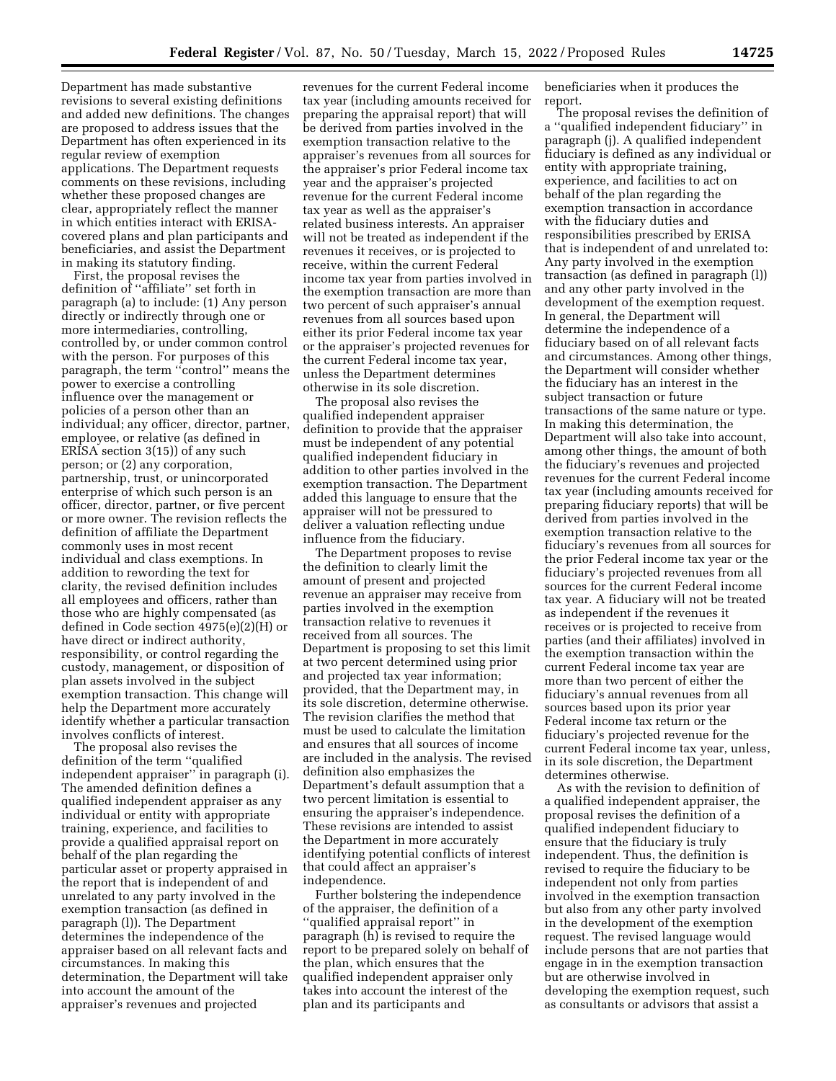Department has made substantive revisions to several existing definitions and added new definitions. The changes are proposed to address issues that the Department has often experienced in its regular review of exemption applications. The Department requests comments on these revisions, including whether these proposed changes are clear, appropriately reflect the manner in which entities interact with ERISAcovered plans and plan participants and beneficiaries, and assist the Department in making its statutory finding.

First, the proposal revises the definition of ''affiliate'' set forth in paragraph (a) to include: (1) Any person directly or indirectly through one or more intermediaries, controlling, controlled by, or under common control with the person. For purposes of this paragraph, the term ''control'' means the power to exercise a controlling influence over the management or policies of a person other than an individual; any officer, director, partner, employee, or relative (as defined in ERISA section 3(15)) of any such person; or (2) any corporation, partnership, trust, or unincorporated enterprise of which such person is an officer, director, partner, or five percent or more owner. The revision reflects the definition of affiliate the Department commonly uses in most recent individual and class exemptions. In addition to rewording the text for clarity, the revised definition includes all employees and officers, rather than those who are highly compensated (as defined in Code section 4975(e)(2)(H) or have direct or indirect authority, responsibility, or control regarding the custody, management, or disposition of plan assets involved in the subject exemption transaction. This change will help the Department more accurately identify whether a particular transaction involves conflicts of interest.

The proposal also revises the definition of the term ''qualified independent appraiser'' in paragraph (i). The amended definition defines a qualified independent appraiser as any individual or entity with appropriate training, experience, and facilities to provide a qualified appraisal report on behalf of the plan regarding the particular asset or property appraised in the report that is independent of and unrelated to any party involved in the exemption transaction (as defined in paragraph (l)). The Department determines the independence of the appraiser based on all relevant facts and circumstances. In making this determination, the Department will take into account the amount of the appraiser's revenues and projected

revenues for the current Federal income tax year (including amounts received for preparing the appraisal report) that will be derived from parties involved in the exemption transaction relative to the appraiser's revenues from all sources for the appraiser's prior Federal income tax year and the appraiser's projected revenue for the current Federal income tax year as well as the appraiser's related business interests. An appraiser will not be treated as independent if the revenues it receives, or is projected to receive, within the current Federal income tax year from parties involved in the exemption transaction are more than two percent of such appraiser's annual revenues from all sources based upon either its prior Federal income tax year or the appraiser's projected revenues for the current Federal income tax year, unless the Department determines otherwise in its sole discretion.

The proposal also revises the qualified independent appraiser definition to provide that the appraiser must be independent of any potential qualified independent fiduciary in addition to other parties involved in the exemption transaction. The Department added this language to ensure that the appraiser will not be pressured to deliver a valuation reflecting undue influence from the fiduciary.

The Department proposes to revise the definition to clearly limit the amount of present and projected revenue an appraiser may receive from parties involved in the exemption transaction relative to revenues it received from all sources. The Department is proposing to set this limit at two percent determined using prior and projected tax year information; provided, that the Department may, in its sole discretion, determine otherwise. The revision clarifies the method that must be used to calculate the limitation and ensures that all sources of income are included in the analysis. The revised definition also emphasizes the Department's default assumption that a two percent limitation is essential to ensuring the appraiser's independence. These revisions are intended to assist the Department in more accurately identifying potential conflicts of interest that could affect an appraiser's independence.

Further bolstering the independence of the appraiser, the definition of a 'qualified appraisal report'' in paragraph (h) is revised to require the report to be prepared solely on behalf of the plan, which ensures that the qualified independent appraiser only takes into account the interest of the plan and its participants and

beneficiaries when it produces the report.

The proposal revises the definition of a ''qualified independent fiduciary'' in paragraph (j). A qualified independent fiduciary is defined as any individual or entity with appropriate training, experience, and facilities to act on behalf of the plan regarding the exemption transaction in accordance with the fiduciary duties and responsibilities prescribed by ERISA that is independent of and unrelated to: Any party involved in the exemption transaction (as defined in paragraph (l)) and any other party involved in the development of the exemption request. In general, the Department will determine the independence of a fiduciary based on of all relevant facts and circumstances. Among other things, the Department will consider whether the fiduciary has an interest in the subject transaction or future transactions of the same nature or type. In making this determination, the Department will also take into account, among other things, the amount of both the fiduciary's revenues and projected revenues for the current Federal income tax year (including amounts received for preparing fiduciary reports) that will be derived from parties involved in the exemption transaction relative to the fiduciary's revenues from all sources for the prior Federal income tax year or the fiduciary's projected revenues from all sources for the current Federal income tax year. A fiduciary will not be treated as independent if the revenues it receives or is projected to receive from parties (and their affiliates) involved in the exemption transaction within the current Federal income tax year are more than two percent of either the fiduciary's annual revenues from all sources based upon its prior year Federal income tax return or the fiduciary's projected revenue for the current Federal income tax year, unless, in its sole discretion, the Department determines otherwise.

As with the revision to definition of a qualified independent appraiser, the proposal revises the definition of a qualified independent fiduciary to ensure that the fiduciary is truly independent. Thus, the definition is revised to require the fiduciary to be independent not only from parties involved in the exemption transaction but also from any other party involved in the development of the exemption request. The revised language would include persons that are not parties that engage in in the exemption transaction but are otherwise involved in developing the exemption request, such as consultants or advisors that assist a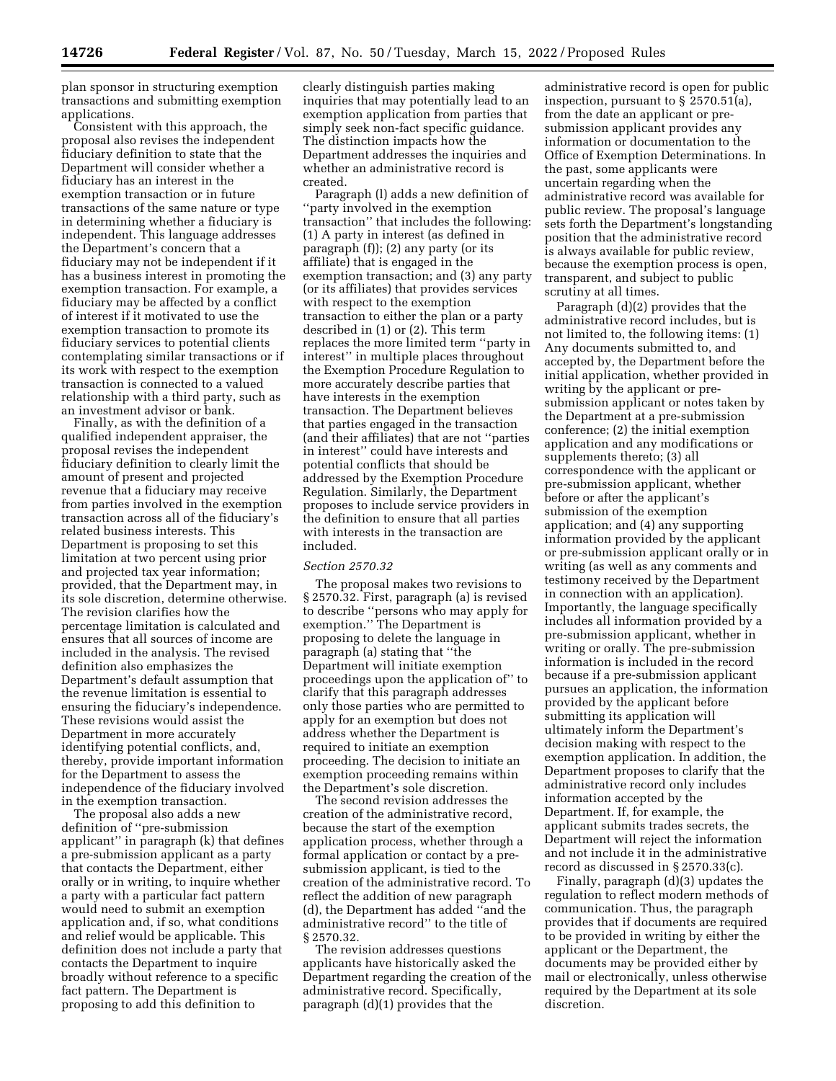plan sponsor in structuring exemption transactions and submitting exemption applications.

Consistent with this approach, the proposal also revises the independent fiduciary definition to state that the Department will consider whether a fiduciary has an interest in the exemption transaction or in future transactions of the same nature or type in determining whether a fiduciary is independent. This language addresses the Department's concern that a fiduciary may not be independent if it has a business interest in promoting the exemption transaction. For example, a fiduciary may be affected by a conflict of interest if it motivated to use the exemption transaction to promote its fiduciary services to potential clients contemplating similar transactions or if its work with respect to the exemption transaction is connected to a valued relationship with a third party, such as an investment advisor or bank.

Finally, as with the definition of a qualified independent appraiser, the proposal revises the independent fiduciary definition to clearly limit the amount of present and projected revenue that a fiduciary may receive from parties involved in the exemption transaction across all of the fiduciary's related business interests. This Department is proposing to set this limitation at two percent using prior and projected tax year information; provided, that the Department may, in its sole discretion, determine otherwise. The revision clarifies how the percentage limitation is calculated and ensures that all sources of income are included in the analysis. The revised definition also emphasizes the Department's default assumption that the revenue limitation is essential to ensuring the fiduciary's independence. These revisions would assist the Department in more accurately identifying potential conflicts, and, thereby, provide important information for the Department to assess the independence of the fiduciary involved in the exemption transaction.

The proposal also adds a new definition of ''pre-submission applicant'' in paragraph (k) that defines a pre-submission applicant as a party that contacts the Department, either orally or in writing, to inquire whether a party with a particular fact pattern would need to submit an exemption application and, if so, what conditions and relief would be applicable. This definition does not include a party that contacts the Department to inquire broadly without reference to a specific fact pattern. The Department is proposing to add this definition to

clearly distinguish parties making inquiries that may potentially lead to an exemption application from parties that simply seek non-fact specific guidance. The distinction impacts how the Department addresses the inquiries and whether an administrative record is created.

Paragraph (l) adds a new definition of ''party involved in the exemption transaction'' that includes the following: (1) A party in interest (as defined in paragraph (f)); (2) any party (or its affiliate) that is engaged in the exemption transaction; and (3) any party (or its affiliates) that provides services with respect to the exemption transaction to either the plan or a party described in (1) or (2). This term replaces the more limited term ''party in interest'' in multiple places throughout the Exemption Procedure Regulation to more accurately describe parties that have interests in the exemption transaction. The Department believes that parties engaged in the transaction (and their affiliates) that are not ''parties in interest'' could have interests and potential conflicts that should be addressed by the Exemption Procedure Regulation. Similarly, the Department proposes to include service providers in the definition to ensure that all parties with interests in the transaction are included.

#### *Section 2570.32*

The proposal makes two revisions to § 2570.32. First, paragraph (a) is revised to describe ''persons who may apply for exemption.'' The Department is proposing to delete the language in paragraph (a) stating that ''the Department will initiate exemption proceedings upon the application of'' to clarify that this paragraph addresses only those parties who are permitted to apply for an exemption but does not address whether the Department is required to initiate an exemption proceeding. The decision to initiate an exemption proceeding remains within the Department's sole discretion.

The second revision addresses the creation of the administrative record, because the start of the exemption application process, whether through a formal application or contact by a presubmission applicant, is tied to the creation of the administrative record. To reflect the addition of new paragraph (d), the Department has added ''and the administrative record'' to the title of § 2570.32.

The revision addresses questions applicants have historically asked the Department regarding the creation of the administrative record. Specifically, paragraph (d)(1) provides that the

administrative record is open for public inspection, pursuant to § 2570.51(a), from the date an applicant or presubmission applicant provides any information or documentation to the Office of Exemption Determinations. In the past, some applicants were uncertain regarding when the administrative record was available for public review. The proposal's language sets forth the Department's longstanding position that the administrative record is always available for public review, because the exemption process is open, transparent, and subject to public scrutiny at all times.

Paragraph (d)(2) provides that the administrative record includes, but is not limited to, the following items: (1) Any documents submitted to, and accepted by, the Department before the initial application, whether provided in writing by the applicant or presubmission applicant or notes taken by the Department at a pre-submission conference; (2) the initial exemption application and any modifications or supplements thereto; (3) all correspondence with the applicant or pre-submission applicant, whether before or after the applicant's submission of the exemption application; and (4) any supporting information provided by the applicant or pre-submission applicant orally or in writing (as well as any comments and testimony received by the Department in connection with an application). Importantly, the language specifically includes all information provided by a pre-submission applicant, whether in writing or orally. The pre-submission information is included in the record because if a pre-submission applicant pursues an application, the information provided by the applicant before submitting its application will ultimately inform the Department's decision making with respect to the exemption application. In addition, the Department proposes to clarify that the administrative record only includes information accepted by the Department. If, for example, the applicant submits trades secrets, the Department will reject the information and not include it in the administrative record as discussed in § 2570.33(c).

Finally, paragraph (d)(3) updates the regulation to reflect modern methods of communication. Thus, the paragraph provides that if documents are required to be provided in writing by either the applicant or the Department, the documents may be provided either by mail or electronically, unless otherwise required by the Department at its sole discretion.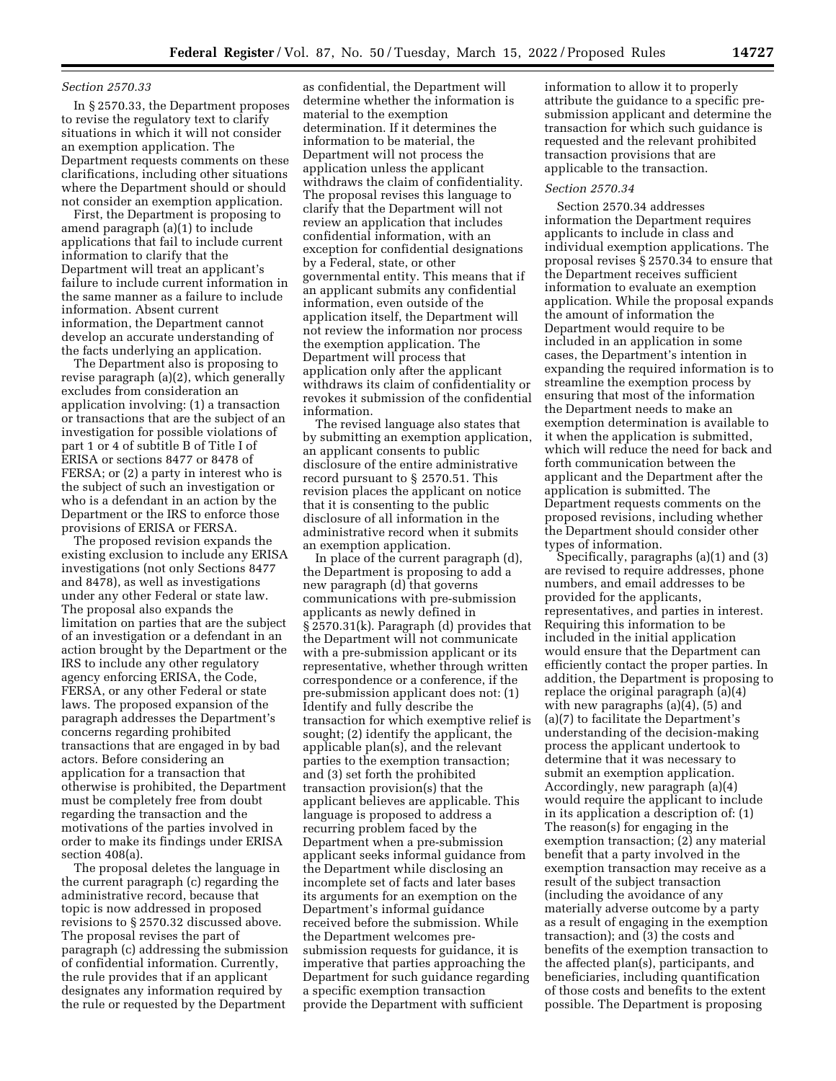# *Section 2570.33*

In § 2570.33, the Department proposes to revise the regulatory text to clarify situations in which it will not consider an exemption application. The Department requests comments on these clarifications, including other situations where the Department should or should not consider an exemption application.

First, the Department is proposing to amend paragraph (a)(1) to include applications that fail to include current information to clarify that the Department will treat an applicant's failure to include current information in the same manner as a failure to include information. Absent current information, the Department cannot develop an accurate understanding of the facts underlying an application.

The Department also is proposing to revise paragraph (a)(2), which generally excludes from consideration an application involving: (1) a transaction or transactions that are the subject of an investigation for possible violations of part 1 or 4 of subtitle B of Title I of ERISA or sections 8477 or 8478 of FERSA; or (2) a party in interest who is the subject of such an investigation or who is a defendant in an action by the Department or the IRS to enforce those provisions of ERISA or FERSA.

The proposed revision expands the existing exclusion to include any ERISA investigations (not only Sections 8477 and 8478), as well as investigations under any other Federal or state law. The proposal also expands the limitation on parties that are the subject of an investigation or a defendant in an action brought by the Department or the IRS to include any other regulatory agency enforcing ERISA, the Code, FERSA, or any other Federal or state laws. The proposed expansion of the paragraph addresses the Department's concerns regarding prohibited transactions that are engaged in by bad actors. Before considering an application for a transaction that otherwise is prohibited, the Department must be completely free from doubt regarding the transaction and the motivations of the parties involved in order to make its findings under ERISA section 408(a).

The proposal deletes the language in the current paragraph (c) regarding the administrative record, because that topic is now addressed in proposed revisions to § 2570.32 discussed above. The proposal revises the part of paragraph (c) addressing the submission of confidential information. Currently, the rule provides that if an applicant designates any information required by the rule or requested by the Department

as confidential, the Department will determine whether the information is material to the exemption determination. If it determines the information to be material, the Department will not process the application unless the applicant withdraws the claim of confidentiality. The proposal revises this language to clarify that the Department will not review an application that includes confidential information, with an exception for confidential designations by a Federal, state, or other governmental entity. This means that if an applicant submits any confidential information, even outside of the application itself, the Department will not review the information nor process the exemption application. The Department will process that application only after the applicant withdraws its claim of confidentiality or revokes it submission of the confidential information.

The revised language also states that by submitting an exemption application, an applicant consents to public disclosure of the entire administrative record pursuant to § 2570.51. This revision places the applicant on notice that it is consenting to the public disclosure of all information in the administrative record when it submits an exemption application.

In place of the current paragraph (d), the Department is proposing to add a new paragraph (d) that governs communications with pre-submission applicants as newly defined in § 2570.31(k). Paragraph (d) provides that the Department will not communicate with a pre-submission applicant or its representative, whether through written correspondence or a conference, if the pre-submission applicant does not: (1) Identify and fully describe the transaction for which exemptive relief is sought; (2) identify the applicant, the applicable plan(s), and the relevant parties to the exemption transaction; and (3) set forth the prohibited transaction provision(s) that the applicant believes are applicable. This language is proposed to address a recurring problem faced by the Department when a pre-submission applicant seeks informal guidance from the Department while disclosing an incomplete set of facts and later bases its arguments for an exemption on the Department's informal guidance received before the submission. While the Department welcomes presubmission requests for guidance, it is imperative that parties approaching the Department for such guidance regarding a specific exemption transaction provide the Department with sufficient

information to allow it to properly attribute the guidance to a specific presubmission applicant and determine the transaction for which such guidance is requested and the relevant prohibited transaction provisions that are applicable to the transaction.

#### *Section 2570.34*

Section 2570.34 addresses information the Department requires applicants to include in class and individual exemption applications. The proposal revises § 2570.34 to ensure that the Department receives sufficient information to evaluate an exemption application. While the proposal expands the amount of information the Department would require to be included in an application in some cases, the Department's intention in expanding the required information is to streamline the exemption process by ensuring that most of the information the Department needs to make an exemption determination is available to it when the application is submitted, which will reduce the need for back and forth communication between the applicant and the Department after the application is submitted. The Department requests comments on the proposed revisions, including whether the Department should consider other types of information.

Specifically, paragraphs (a)(1) and (3) are revised to require addresses, phone numbers, and email addresses to be provided for the applicants, representatives, and parties in interest. Requiring this information to be included in the initial application would ensure that the Department can efficiently contact the proper parties. In addition, the Department is proposing to replace the original paragraph (a)(4) with new paragraphs (a)(4), (5) and (a)(7) to facilitate the Department's understanding of the decision-making process the applicant undertook to determine that it was necessary to submit an exemption application. Accordingly, new paragraph (a)(4) would require the applicant to include in its application a description of: (1) The reason(s) for engaging in the exemption transaction; (2) any material benefit that a party involved in the exemption transaction may receive as a result of the subject transaction (including the avoidance of any materially adverse outcome by a party as a result of engaging in the exemption transaction); and (3) the costs and benefits of the exemption transaction to the affected plan(s), participants, and beneficiaries, including quantification of those costs and benefits to the extent possible. The Department is proposing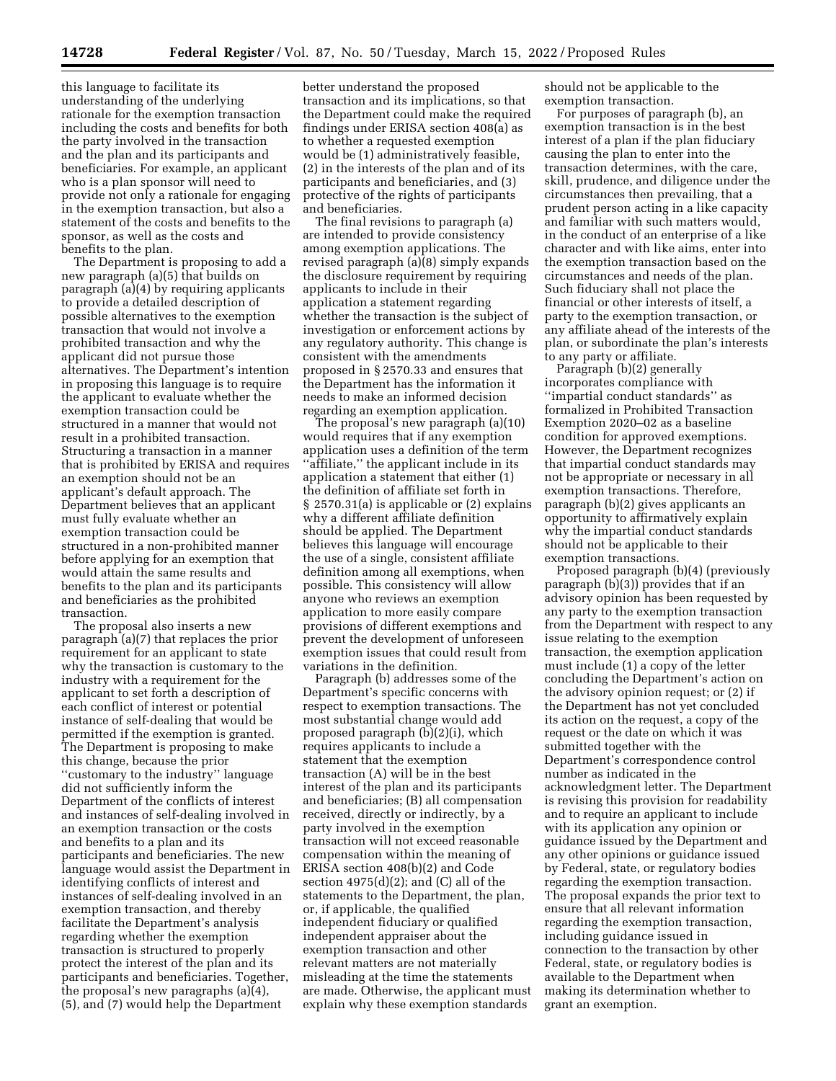this language to facilitate its understanding of the underlying rationale for the exemption transaction including the costs and benefits for both the party involved in the transaction and the plan and its participants and beneficiaries. For example, an applicant who is a plan sponsor will need to provide not only a rationale for engaging in the exemption transaction, but also a statement of the costs and benefits to the sponsor, as well as the costs and benefits to the plan.

The Department is proposing to add a new paragraph (a)(5) that builds on paragraph (a)(4) by requiring applicants to provide a detailed description of possible alternatives to the exemption transaction that would not involve a prohibited transaction and why the applicant did not pursue those alternatives. The Department's intention in proposing this language is to require the applicant to evaluate whether the exemption transaction could be structured in a manner that would not result in a prohibited transaction. Structuring a transaction in a manner that is prohibited by ERISA and requires an exemption should not be an applicant's default approach. The Department believes that an applicant must fully evaluate whether an exemption transaction could be structured in a non-prohibited manner before applying for an exemption that would attain the same results and benefits to the plan and its participants and beneficiaries as the prohibited transaction.

The proposal also inserts a new paragraph (a)(7) that replaces the prior requirement for an applicant to state why the transaction is customary to the industry with a requirement for the applicant to set forth a description of each conflict of interest or potential instance of self-dealing that would be permitted if the exemption is granted. The Department is proposing to make this change, because the prior ''customary to the industry'' language did not sufficiently inform the Department of the conflicts of interest and instances of self-dealing involved in an exemption transaction or the costs and benefits to a plan and its participants and beneficiaries. The new language would assist the Department in identifying conflicts of interest and instances of self-dealing involved in an exemption transaction, and thereby facilitate the Department's analysis regarding whether the exemption transaction is structured to properly protect the interest of the plan and its participants and beneficiaries. Together, the proposal's new paragraphs (a)(4), (5), and (7) would help the Department

better understand the proposed transaction and its implications, so that the Department could make the required findings under ERISA section 408(a) as to whether a requested exemption would be (1) administratively feasible, (2) in the interests of the plan and of its participants and beneficiaries, and (3) protective of the rights of participants and beneficiaries.

The final revisions to paragraph (a) are intended to provide consistency among exemption applications. The revised paragraph (a)(8) simply expands the disclosure requirement by requiring applicants to include in their application a statement regarding whether the transaction is the subject of investigation or enforcement actions by any regulatory authority. This change is consistent with the amendments proposed in § 2570.33 and ensures that the Department has the information it needs to make an informed decision regarding an exemption application.

The proposal's new paragraph (a)(10) would requires that if any exemption application uses a definition of the term ''affiliate,'' the applicant include in its application a statement that either (1) the definition of affiliate set forth in § 2570.31(a) is applicable or (2) explains why a different affiliate definition should be applied. The Department believes this language will encourage the use of a single, consistent affiliate definition among all exemptions, when possible. This consistency will allow anyone who reviews an exemption application to more easily compare provisions of different exemptions and prevent the development of unforeseen exemption issues that could result from variations in the definition.

Paragraph (b) addresses some of the Department's specific concerns with respect to exemption transactions. The most substantial change would add proposed paragraph (b)(2)(i), which requires applicants to include a statement that the exemption transaction (A) will be in the best interest of the plan and its participants and beneficiaries; (B) all compensation received, directly or indirectly, by a party involved in the exemption transaction will not exceed reasonable compensation within the meaning of ERISA section 408(b)(2) and Code section  $4975(d)(2)$ ; and  $(C)$  all of the statements to the Department, the plan, or, if applicable, the qualified independent fiduciary or qualified independent appraiser about the exemption transaction and other relevant matters are not materially misleading at the time the statements are made. Otherwise, the applicant must explain why these exemption standards

should not be applicable to the exemption transaction.

For purposes of paragraph (b), an exemption transaction is in the best interest of a plan if the plan fiduciary causing the plan to enter into the transaction determines, with the care, skill, prudence, and diligence under the circumstances then prevailing, that a prudent person acting in a like capacity and familiar with such matters would, in the conduct of an enterprise of a like character and with like aims, enter into the exemption transaction based on the circumstances and needs of the plan. Such fiduciary shall not place the financial or other interests of itself, a party to the exemption transaction, or any affiliate ahead of the interests of the plan, or subordinate the plan's interests to any party or affiliate.

Paragraph (b)(2) generally incorporates compliance with ''impartial conduct standards'' as formalized in Prohibited Transaction Exemption 2020–02 as a baseline condition for approved exemptions. However, the Department recognizes that impartial conduct standards may not be appropriate or necessary in all exemption transactions. Therefore, paragraph (b)(2) gives applicants an opportunity to affirmatively explain why the impartial conduct standards should not be applicable to their exemption transactions.

Proposed paragraph (b)(4) (previously paragraph (b)(3)) provides that if an advisory opinion has been requested by any party to the exemption transaction from the Department with respect to any issue relating to the exemption transaction, the exemption application must include (1) a copy of the letter concluding the Department's action on the advisory opinion request; or (2) if the Department has not yet concluded its action on the request, a copy of the request or the date on which it was submitted together with the Department's correspondence control number as indicated in the acknowledgment letter. The Department is revising this provision for readability and to require an applicant to include with its application any opinion or guidance issued by the Department and any other opinions or guidance issued by Federal, state, or regulatory bodies regarding the exemption transaction. The proposal expands the prior text to ensure that all relevant information regarding the exemption transaction, including guidance issued in connection to the transaction by other Federal, state, or regulatory bodies is available to the Department when making its determination whether to grant an exemption.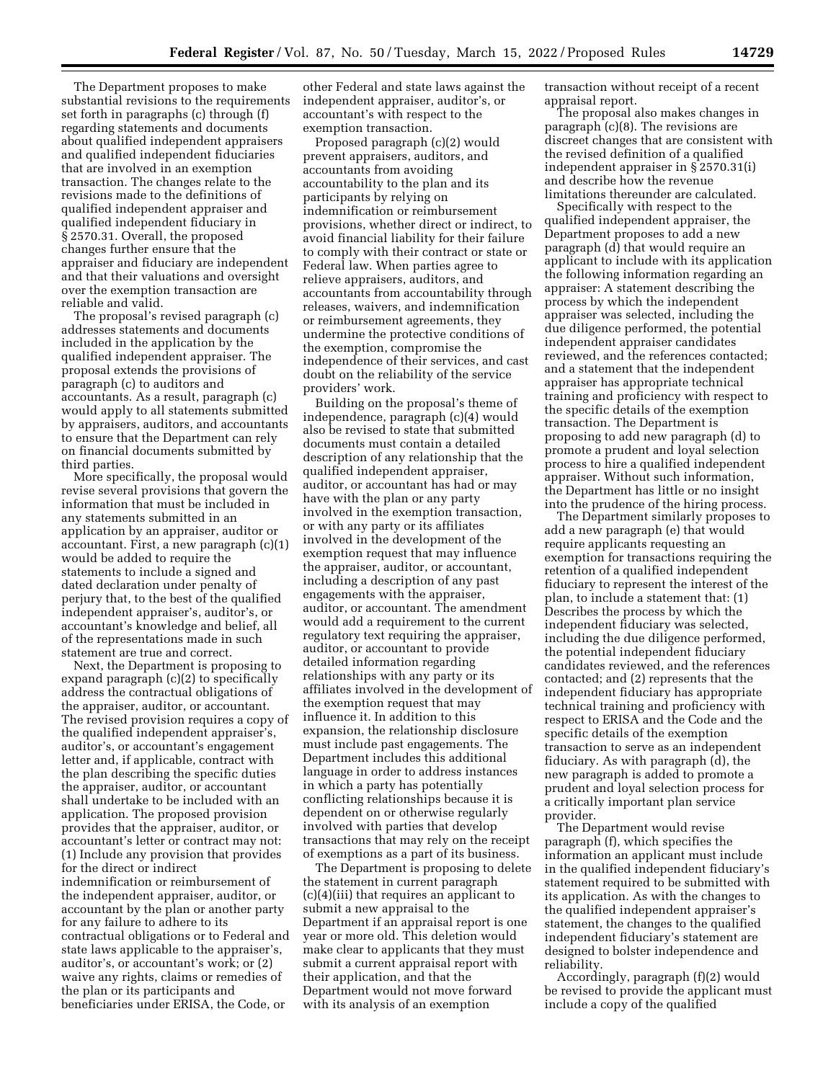The Department proposes to make substantial revisions to the requirements set forth in paragraphs (c) through (f) regarding statements and documents about qualified independent appraisers and qualified independent fiduciaries that are involved in an exemption transaction. The changes relate to the revisions made to the definitions of qualified independent appraiser and qualified independent fiduciary in § 2570.31. Overall, the proposed changes further ensure that the appraiser and fiduciary are independent and that their valuations and oversight over the exemption transaction are reliable and valid.

The proposal's revised paragraph (c) addresses statements and documents included in the application by the qualified independent appraiser. The proposal extends the provisions of paragraph (c) to auditors and accountants. As a result, paragraph (c) would apply to all statements submitted by appraisers, auditors, and accountants to ensure that the Department can rely on financial documents submitted by third parties.

More specifically, the proposal would revise several provisions that govern the information that must be included in any statements submitted in an application by an appraiser, auditor or accountant. First, a new paragraph (c)(1) would be added to require the statements to include a signed and dated declaration under penalty of perjury that, to the best of the qualified independent appraiser's, auditor's, or accountant's knowledge and belief, all of the representations made in such statement are true and correct.

Next, the Department is proposing to expand paragraph (c)(2) to specifically address the contractual obligations of the appraiser, auditor, or accountant. The revised provision requires a copy of the qualified independent appraiser's, auditor's, or accountant's engagement letter and, if applicable, contract with the plan describing the specific duties the appraiser, auditor, or accountant shall undertake to be included with an application. The proposed provision provides that the appraiser, auditor, or accountant's letter or contract may not: (1) Include any provision that provides for the direct or indirect indemnification or reimbursement of the independent appraiser, auditor, or accountant by the plan or another party for any failure to adhere to its contractual obligations or to Federal and state laws applicable to the appraiser's, auditor's, or accountant's work; or (2) waive any rights, claims or remedies of the plan or its participants and beneficiaries under ERISA, the Code, or

other Federal and state laws against the independent appraiser, auditor's, or accountant's with respect to the exemption transaction.

Proposed paragraph (c)(2) would prevent appraisers, auditors, and accountants from avoiding accountability to the plan and its participants by relying on indemnification or reimbursement provisions, whether direct or indirect, to avoid financial liability for their failure to comply with their contract or state or Federal law. When parties agree to relieve appraisers, auditors, and accountants from accountability through releases, waivers, and indemnification or reimbursement agreements, they undermine the protective conditions of the exemption, compromise the independence of their services, and cast doubt on the reliability of the service providers' work.

Building on the proposal's theme of independence, paragraph (c)(4) would also be revised to state that submitted documents must contain a detailed description of any relationship that the qualified independent appraiser, auditor, or accountant has had or may have with the plan or any party involved in the exemption transaction, or with any party or its affiliates involved in the development of the exemption request that may influence the appraiser, auditor, or accountant, including a description of any past engagements with the appraiser, auditor, or accountant. The amendment would add a requirement to the current regulatory text requiring the appraiser, auditor, or accountant to provide detailed information regarding relationships with any party or its affiliates involved in the development of the exemption request that may influence it. In addition to this expansion, the relationship disclosure must include past engagements. The Department includes this additional language in order to address instances in which a party has potentially conflicting relationships because it is dependent on or otherwise regularly involved with parties that develop transactions that may rely on the receipt of exemptions as a part of its business.

The Department is proposing to delete the statement in current paragraph (c)(4)(iii) that requires an applicant to submit a new appraisal to the Department if an appraisal report is one year or more old. This deletion would make clear to applicants that they must submit a current appraisal report with their application, and that the Department would not move forward with its analysis of an exemption

transaction without receipt of a recent appraisal report.

The proposal also makes changes in paragraph (c)(8). The revisions are discreet changes that are consistent with the revised definition of a qualified independent appraiser in § 2570.31(i) and describe how the revenue limitations thereunder are calculated.

Specifically with respect to the qualified independent appraiser, the Department proposes to add a new paragraph (d) that would require an applicant to include with its application the following information regarding an appraiser: A statement describing the process by which the independent appraiser was selected, including the due diligence performed, the potential independent appraiser candidates reviewed, and the references contacted; and a statement that the independent appraiser has appropriate technical training and proficiency with respect to the specific details of the exemption transaction. The Department is proposing to add new paragraph (d) to promote a prudent and loyal selection process to hire a qualified independent appraiser. Without such information, the Department has little or no insight into the prudence of the hiring process.

The Department similarly proposes to add a new paragraph (e) that would require applicants requesting an exemption for transactions requiring the retention of a qualified independent fiduciary to represent the interest of the plan, to include a statement that: (1) Describes the process by which the independent fiduciary was selected, including the due diligence performed, the potential independent fiduciary candidates reviewed, and the references contacted; and (2) represents that the independent fiduciary has appropriate technical training and proficiency with respect to ERISA and the Code and the specific details of the exemption transaction to serve as an independent fiduciary. As with paragraph (d), the new paragraph is added to promote a prudent and loyal selection process for a critically important plan service provider.

The Department would revise paragraph (f), which specifies the information an applicant must include in the qualified independent fiduciary's statement required to be submitted with its application. As with the changes to the qualified independent appraiser's statement, the changes to the qualified independent fiduciary's statement are designed to bolster independence and reliability.

Accordingly, paragraph (f)(2) would be revised to provide the applicant must include a copy of the qualified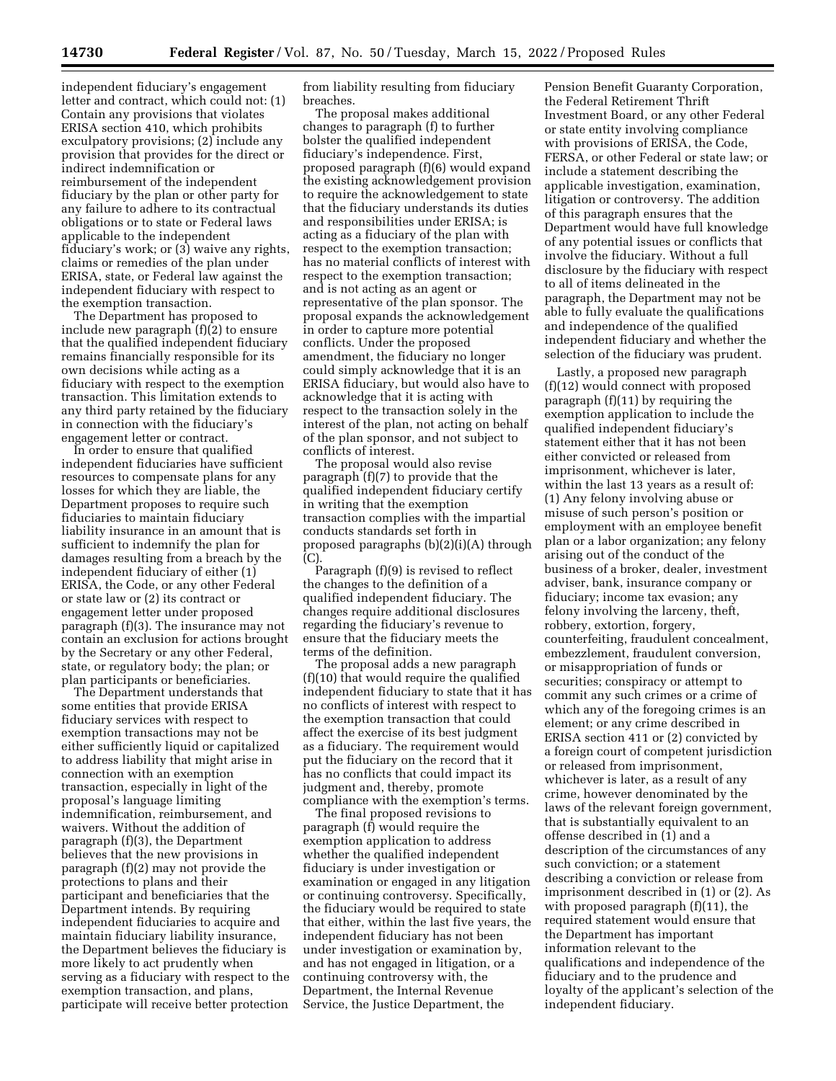independent fiduciary's engagement letter and contract, which could not: (1) Contain any provisions that violates ERISA section 410, which prohibits exculpatory provisions; (2) include any provision that provides for the direct or indirect indemnification or reimbursement of the independent fiduciary by the plan or other party for any failure to adhere to its contractual obligations or to state or Federal laws applicable to the independent fiduciary's work; or (3) waive any rights, claims or remedies of the plan under ERISA, state, or Federal law against the independent fiduciary with respect to the exemption transaction.

The Department has proposed to include new paragraph (f)(2) to ensure that the qualified independent fiduciary remains financially responsible for its own decisions while acting as a fiduciary with respect to the exemption transaction. This limitation extends to any third party retained by the fiduciary in connection with the fiduciary's engagement letter or contract.

In order to ensure that qualified independent fiduciaries have sufficient resources to compensate plans for any losses for which they are liable, the Department proposes to require such fiduciaries to maintain fiduciary liability insurance in an amount that is sufficient to indemnify the plan for damages resulting from a breach by the independent fiduciary of either (1) ERISA, the Code, or any other Federal or state law or (2) its contract or engagement letter under proposed paragraph (f)(3). The insurance may not contain an exclusion for actions brought by the Secretary or any other Federal, state, or regulatory body; the plan; or plan participants or beneficiaries.

The Department understands that some entities that provide ERISA fiduciary services with respect to exemption transactions may not be either sufficiently liquid or capitalized to address liability that might arise in connection with an exemption transaction, especially in light of the proposal's language limiting indemnification, reimbursement, and waivers. Without the addition of paragraph (f)(3), the Department believes that the new provisions in paragraph (f)(2) may not provide the protections to plans and their participant and beneficiaries that the Department intends. By requiring independent fiduciaries to acquire and maintain fiduciary liability insurance, the Department believes the fiduciary is more likely to act prudently when serving as a fiduciary with respect to the exemption transaction, and plans, participate will receive better protection

from liability resulting from fiduciary breaches.

The proposal makes additional changes to paragraph (f) to further bolster the qualified independent fiduciary's independence. First, proposed paragraph (f)(6) would expand the existing acknowledgement provision to require the acknowledgement to state that the fiduciary understands its duties and responsibilities under ERISA; is acting as a fiduciary of the plan with respect to the exemption transaction; has no material conflicts of interest with respect to the exemption transaction; and is not acting as an agent or representative of the plan sponsor. The proposal expands the acknowledgement in order to capture more potential conflicts. Under the proposed amendment, the fiduciary no longer could simply acknowledge that it is an ERISA fiduciary, but would also have to acknowledge that it is acting with respect to the transaction solely in the interest of the plan, not acting on behalf of the plan sponsor, and not subject to conflicts of interest.

The proposal would also revise paragraph (f)(7) to provide that the qualified independent fiduciary certify in writing that the exemption transaction complies with the impartial conducts standards set forth in proposed paragraphs (b)(2)(i)(A) through (C).

Paragraph (f)(9) is revised to reflect the changes to the definition of a qualified independent fiduciary. The changes require additional disclosures regarding the fiduciary's revenue to ensure that the fiduciary meets the terms of the definition.

The proposal adds a new paragraph (f)(10) that would require the qualified independent fiduciary to state that it has no conflicts of interest with respect to the exemption transaction that could affect the exercise of its best judgment as a fiduciary. The requirement would put the fiduciary on the record that it has no conflicts that could impact its judgment and, thereby, promote compliance with the exemption's terms.

The final proposed revisions to paragraph (f) would require the exemption application to address whether the qualified independent fiduciary is under investigation or examination or engaged in any litigation or continuing controversy. Specifically, the fiduciary would be required to state that either, within the last five years, the independent fiduciary has not been under investigation or examination by, and has not engaged in litigation, or a continuing controversy with, the Department, the Internal Revenue Service, the Justice Department, the

Pension Benefit Guaranty Corporation, the Federal Retirement Thrift Investment Board, or any other Federal or state entity involving compliance with provisions of ERISA, the Code, FERSA, or other Federal or state law; or include a statement describing the applicable investigation, examination, litigation or controversy. The addition of this paragraph ensures that the Department would have full knowledge of any potential issues or conflicts that involve the fiduciary. Without a full disclosure by the fiduciary with respect to all of items delineated in the paragraph, the Department may not be able to fully evaluate the qualifications and independence of the qualified independent fiduciary and whether the selection of the fiduciary was prudent.

Lastly, a proposed new paragraph (f)(12) would connect with proposed paragraph (f)(11) by requiring the exemption application to include the qualified independent fiduciary's statement either that it has not been either convicted or released from imprisonment, whichever is later, within the last 13 years as a result of: (1) Any felony involving abuse or misuse of such person's position or employment with an employee benefit plan or a labor organization; any felony arising out of the conduct of the business of a broker, dealer, investment adviser, bank, insurance company or fiduciary; income tax evasion; any felony involving the larceny, theft, robbery, extortion, forgery, counterfeiting, fraudulent concealment, embezzlement, fraudulent conversion, or misappropriation of funds or securities; conspiracy or attempt to commit any such crimes or a crime of which any of the foregoing crimes is an element; or any crime described in ERISA section 411 or (2) convicted by a foreign court of competent jurisdiction or released from imprisonment, whichever is later, as a result of any crime, however denominated by the laws of the relevant foreign government, that is substantially equivalent to an offense described in (1) and a description of the circumstances of any such conviction; or a statement describing a conviction or release from imprisonment described in (1) or (2). As with proposed paragraph (f)(11), the required statement would ensure that the Department has important information relevant to the qualifications and independence of the fiduciary and to the prudence and loyalty of the applicant's selection of the independent fiduciary.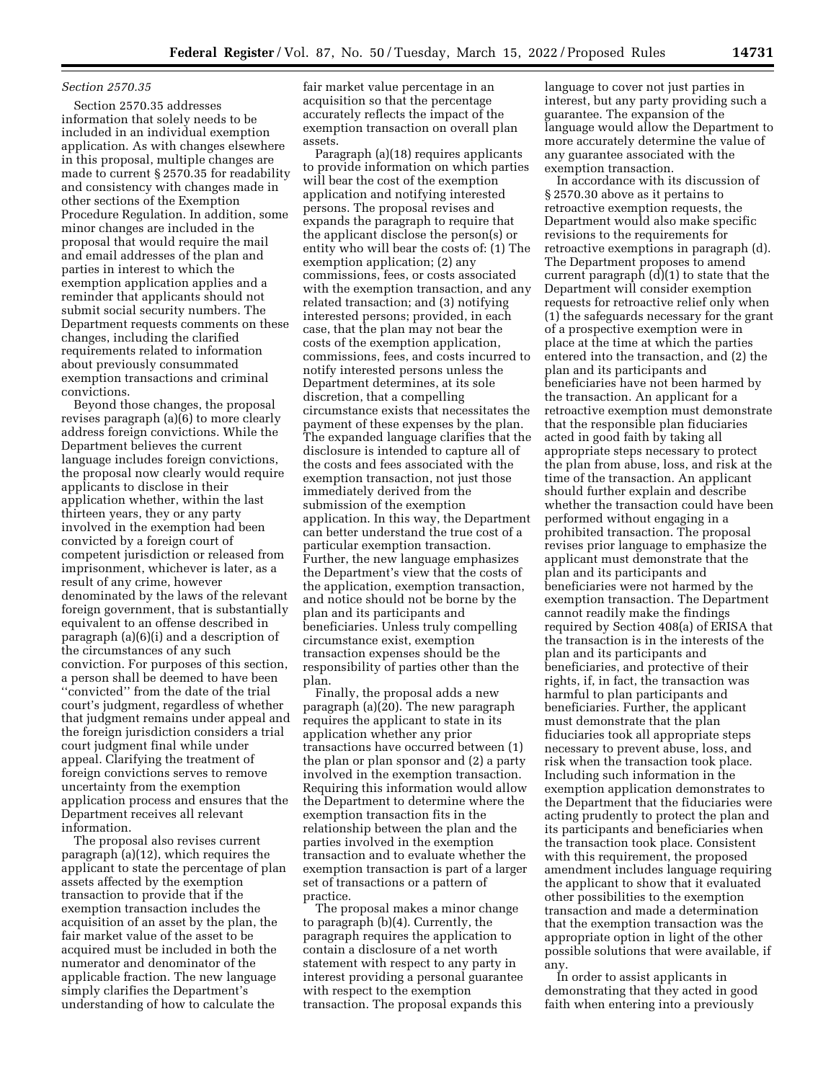### *Section 2570.35*

Section 2570.35 addresses information that solely needs to be included in an individual exemption application. As with changes elsewhere in this proposal, multiple changes are made to current § 2570.35 for readability and consistency with changes made in other sections of the Exemption Procedure Regulation. In addition, some minor changes are included in the proposal that would require the mail and email addresses of the plan and parties in interest to which the exemption application applies and a reminder that applicants should not submit social security numbers. The Department requests comments on these changes, including the clarified requirements related to information about previously consummated exemption transactions and criminal convictions.

Beyond those changes, the proposal revises paragraph (a)(6) to more clearly address foreign convictions. While the Department believes the current language includes foreign convictions, the proposal now clearly would require applicants to disclose in their application whether, within the last thirteen years, they or any party involved in the exemption had been convicted by a foreign court of competent jurisdiction or released from imprisonment, whichever is later, as a result of any crime, however denominated by the laws of the relevant foreign government, that is substantially equivalent to an offense described in paragraph (a)(6)(i) and a description of the circumstances of any such conviction. For purposes of this section, a person shall be deemed to have been ''convicted'' from the date of the trial court's judgment, regardless of whether that judgment remains under appeal and the foreign jurisdiction considers a trial court judgment final while under appeal. Clarifying the treatment of foreign convictions serves to remove uncertainty from the exemption application process and ensures that the Department receives all relevant information.

The proposal also revises current paragraph (a)(12), which requires the applicant to state the percentage of plan assets affected by the exemption transaction to provide that if the exemption transaction includes the acquisition of an asset by the plan, the fair market value of the asset to be acquired must be included in both the numerator and denominator of the applicable fraction. The new language simply clarifies the Department's understanding of how to calculate the

fair market value percentage in an acquisition so that the percentage accurately reflects the impact of the exemption transaction on overall plan assets.

Paragraph (a)(18) requires applicants to provide information on which parties will bear the cost of the exemption application and notifying interested persons. The proposal revises and expands the paragraph to require that the applicant disclose the person(s) or entity who will bear the costs of: (1) The exemption application; (2) any commissions, fees, or costs associated with the exemption transaction, and any related transaction; and (3) notifying interested persons; provided, in each case, that the plan may not bear the costs of the exemption application, commissions, fees, and costs incurred to notify interested persons unless the Department determines, at its sole discretion, that a compelling circumstance exists that necessitates the payment of these expenses by the plan. The expanded language clarifies that the disclosure is intended to capture all of the costs and fees associated with the exemption transaction, not just those immediately derived from the submission of the exemption application. In this way, the Department can better understand the true cost of a particular exemption transaction. Further, the new language emphasizes the Department's view that the costs of the application, exemption transaction, and notice should not be borne by the plan and its participants and beneficiaries. Unless truly compelling circumstance exist, exemption transaction expenses should be the responsibility of parties other than the plan.

Finally, the proposal adds a new paragraph (a)(20). The new paragraph requires the applicant to state in its application whether any prior transactions have occurred between (1) the plan or plan sponsor and (2) a party involved in the exemption transaction. Requiring this information would allow the Department to determine where the exemption transaction fits in the relationship between the plan and the parties involved in the exemption transaction and to evaluate whether the exemption transaction is part of a larger set of transactions or a pattern of practice.

The proposal makes a minor change to paragraph (b)(4). Currently, the paragraph requires the application to contain a disclosure of a net worth statement with respect to any party in interest providing a personal guarantee with respect to the exemption transaction. The proposal expands this

language to cover not just parties in interest, but any party providing such a guarantee. The expansion of the language would allow the Department to more accurately determine the value of any guarantee associated with the exemption transaction.

In accordance with its discussion of § 2570.30 above as it pertains to retroactive exemption requests, the Department would also make specific revisions to the requirements for retroactive exemptions in paragraph (d). The Department proposes to amend current paragraph (d)(1) to state that the Department will consider exemption requests for retroactive relief only when (1) the safeguards necessary for the grant of a prospective exemption were in place at the time at which the parties entered into the transaction, and (2) the plan and its participants and beneficiaries have not been harmed by the transaction. An applicant for a retroactive exemption must demonstrate that the responsible plan fiduciaries acted in good faith by taking all appropriate steps necessary to protect the plan from abuse, loss, and risk at the time of the transaction. An applicant should further explain and describe whether the transaction could have been performed without engaging in a prohibited transaction. The proposal revises prior language to emphasize the applicant must demonstrate that the plan and its participants and beneficiaries were not harmed by the exemption transaction. The Department cannot readily make the findings required by Section 408(a) of ERISA that the transaction is in the interests of the plan and its participants and beneficiaries, and protective of their rights, if, in fact, the transaction was harmful to plan participants and beneficiaries. Further, the applicant must demonstrate that the plan fiduciaries took all appropriate steps necessary to prevent abuse, loss, and risk when the transaction took place. Including such information in the exemption application demonstrates to the Department that the fiduciaries were acting prudently to protect the plan and its participants and beneficiaries when the transaction took place. Consistent with this requirement, the proposed amendment includes language requiring the applicant to show that it evaluated other possibilities to the exemption transaction and made a determination that the exemption transaction was the appropriate option in light of the other possible solutions that were available, if any.

In order to assist applicants in demonstrating that they acted in good faith when entering into a previously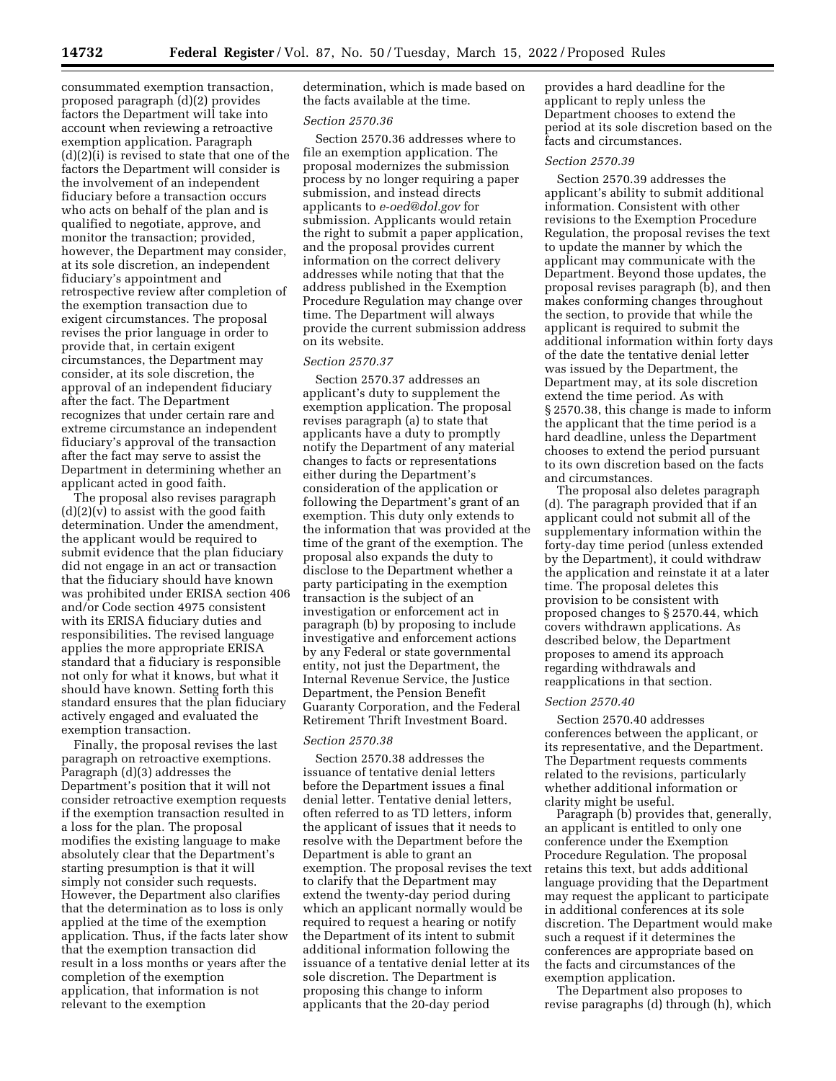consummated exemption transaction, proposed paragraph (d)(2) provides factors the Department will take into account when reviewing a retroactive exemption application. Paragraph (d)(2)(i) is revised to state that one of the factors the Department will consider is the involvement of an independent fiduciary before a transaction occurs who acts on behalf of the plan and is qualified to negotiate, approve, and monitor the transaction; provided, however, the Department may consider, at its sole discretion, an independent fiduciary's appointment and retrospective review after completion of the exemption transaction due to exigent circumstances. The proposal revises the prior language in order to provide that, in certain exigent circumstances, the Department may consider, at its sole discretion, the approval of an independent fiduciary after the fact. The Department recognizes that under certain rare and extreme circumstance an independent fiduciary's approval of the transaction after the fact may serve to assist the Department in determining whether an applicant acted in good faith.

The proposal also revises paragraph  $(d)(2)(v)$  to assist with the good faith determination. Under the amendment, the applicant would be required to submit evidence that the plan fiduciary did not engage in an act or transaction that the fiduciary should have known was prohibited under ERISA section 406 and/or Code section 4975 consistent with its ERISA fiduciary duties and responsibilities. The revised language applies the more appropriate ERISA standard that a fiduciary is responsible not only for what it knows, but what it should have known. Setting forth this standard ensures that the plan fiduciary actively engaged and evaluated the exemption transaction.

Finally, the proposal revises the last paragraph on retroactive exemptions. Paragraph (d)(3) addresses the Department's position that it will not consider retroactive exemption requests if the exemption transaction resulted in a loss for the plan. The proposal modifies the existing language to make absolutely clear that the Department's starting presumption is that it will simply not consider such requests. However, the Department also clarifies that the determination as to loss is only applied at the time of the exemption application. Thus, if the facts later show that the exemption transaction did result in a loss months or years after the completion of the exemption application, that information is not relevant to the exemption

determination, which is made based on the facts available at the time.

#### *Section 2570.36*

Section 2570.36 addresses where to file an exemption application. The proposal modernizes the submission process by no longer requiring a paper submission, and instead directs applicants to *[e-oed@dol.gov](mailto:e-oed@dol.gov)* for submission. Applicants would retain the right to submit a paper application, and the proposal provides current information on the correct delivery addresses while noting that that the address published in the Exemption Procedure Regulation may change over time. The Department will always provide the current submission address on its website.

# *Section 2570.37*

Section 2570.37 addresses an applicant's duty to supplement the exemption application. The proposal revises paragraph (a) to state that applicants have a duty to promptly notify the Department of any material changes to facts or representations either during the Department's consideration of the application or following the Department's grant of an exemption. This duty only extends to the information that was provided at the time of the grant of the exemption. The proposal also expands the duty to disclose to the Department whether a party participating in the exemption transaction is the subject of an investigation or enforcement act in paragraph (b) by proposing to include investigative and enforcement actions by any Federal or state governmental entity, not just the Department, the Internal Revenue Service, the Justice Department, the Pension Benefit Guaranty Corporation, and the Federal Retirement Thrift Investment Board.

#### *Section 2570.38*

Section 2570.38 addresses the issuance of tentative denial letters before the Department issues a final denial letter. Tentative denial letters, often referred to as TD letters, inform the applicant of issues that it needs to resolve with the Department before the Department is able to grant an exemption. The proposal revises the text to clarify that the Department may extend the twenty-day period during which an applicant normally would be required to request a hearing or notify the Department of its intent to submit additional information following the issuance of a tentative denial letter at its sole discretion. The Department is proposing this change to inform applicants that the 20-day period

provides a hard deadline for the applicant to reply unless the Department chooses to extend the period at its sole discretion based on the facts and circumstances.

### *Section 2570.39*

Section 2570.39 addresses the applicant's ability to submit additional information. Consistent with other revisions to the Exemption Procedure Regulation, the proposal revises the text to update the manner by which the applicant may communicate with the Department. Beyond those updates, the proposal revises paragraph (b), and then makes conforming changes throughout the section, to provide that while the applicant is required to submit the additional information within forty days of the date the tentative denial letter was issued by the Department, the Department may, at its sole discretion extend the time period. As with § 2570.38, this change is made to inform the applicant that the time period is a hard deadline, unless the Department chooses to extend the period pursuant to its own discretion based on the facts and circumstances.

The proposal also deletes paragraph (d). The paragraph provided that if an applicant could not submit all of the supplementary information within the forty-day time period (unless extended by the Department), it could withdraw the application and reinstate it at a later time. The proposal deletes this provision to be consistent with proposed changes to § 2570.44, which covers withdrawn applications. As described below, the Department proposes to amend its approach regarding withdrawals and reapplications in that section.

#### *Section 2570.40*

Section 2570.40 addresses conferences between the applicant, or its representative, and the Department. The Department requests comments related to the revisions, particularly whether additional information or clarity might be useful.

Paragraph (b) provides that, generally, an applicant is entitled to only one conference under the Exemption Procedure Regulation. The proposal retains this text, but adds additional language providing that the Department may request the applicant to participate in additional conferences at its sole discretion. The Department would make such a request if it determines the conferences are appropriate based on the facts and circumstances of the exemption application.

The Department also proposes to revise paragraphs (d) through (h), which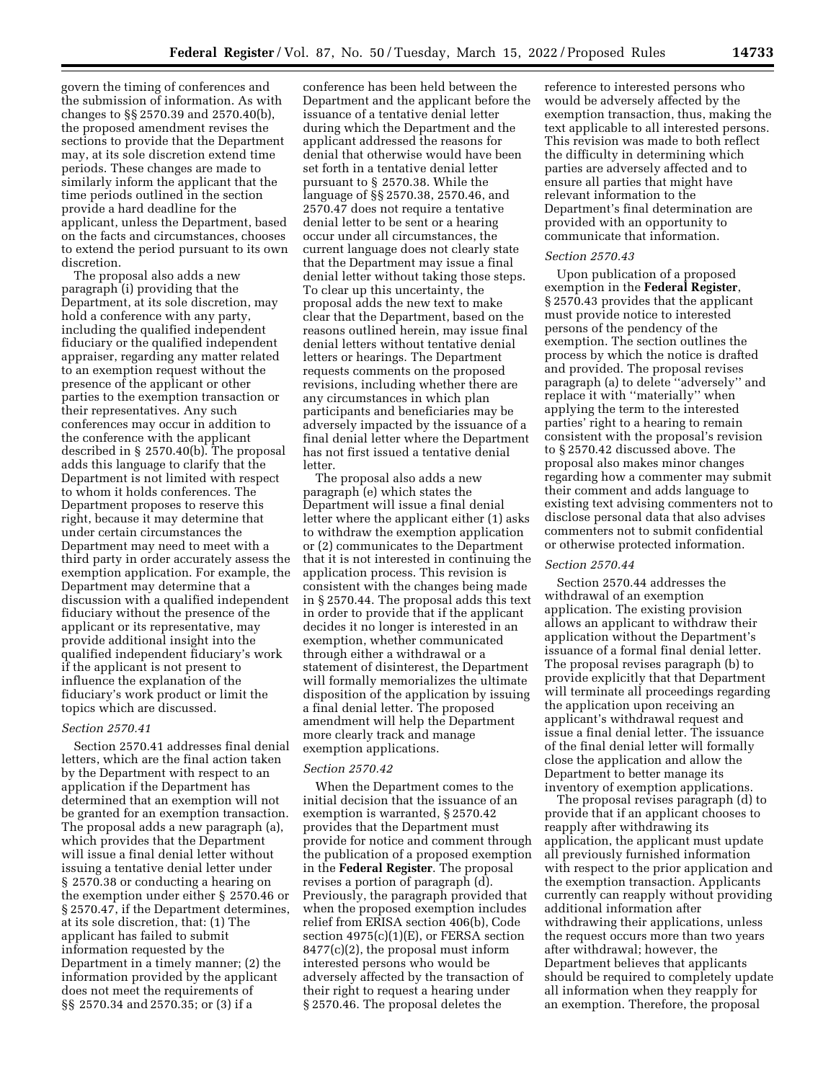govern the timing of conferences and the submission of information. As with changes to §§ 2570.39 and 2570.40(b), the proposed amendment revises the sections to provide that the Department may, at its sole discretion extend time periods. These changes are made to similarly inform the applicant that the time periods outlined in the section provide a hard deadline for the applicant, unless the Department, based on the facts and circumstances, chooses to extend the period pursuant to its own discretion.

The proposal also adds a new paragraph (i) providing that the Department, at its sole discretion, may hold a conference with any party, including the qualified independent fiduciary or the qualified independent appraiser, regarding any matter related to an exemption request without the presence of the applicant or other parties to the exemption transaction or their representatives. Any such conferences may occur in addition to the conference with the applicant described in § 2570.40(b). The proposal adds this language to clarify that the Department is not limited with respect to whom it holds conferences. The Department proposes to reserve this right, because it may determine that under certain circumstances the Department may need to meet with a third party in order accurately assess the exemption application. For example, the Department may determine that a discussion with a qualified independent fiduciary without the presence of the applicant or its representative, may provide additional insight into the qualified independent fiduciary's work if the applicant is not present to influence the explanation of the fiduciary's work product or limit the topics which are discussed.

## *Section 2570.41*

Section 2570.41 addresses final denial letters, which are the final action taken by the Department with respect to an application if the Department has determined that an exemption will not be granted for an exemption transaction. The proposal adds a new paragraph (a), which provides that the Department will issue a final denial letter without issuing a tentative denial letter under § 2570.38 or conducting a hearing on the exemption under either § 2570.46 or § 2570.47, if the Department determines, at its sole discretion, that: (1) The applicant has failed to submit information requested by the Department in a timely manner; (2) the information provided by the applicant does not meet the requirements of §§ 2570.34 and 2570.35; or (3) if a

conference has been held between the Department and the applicant before the issuance of a tentative denial letter during which the Department and the applicant addressed the reasons for denial that otherwise would have been set forth in a tentative denial letter pursuant to § 2570.38. While the language of §§ 2570.38, 2570.46, and 2570.47 does not require a tentative denial letter to be sent or a hearing occur under all circumstances, the current language does not clearly state that the Department may issue a final denial letter without taking those steps. To clear up this uncertainty, the proposal adds the new text to make clear that the Department, based on the reasons outlined herein, may issue final denial letters without tentative denial letters or hearings. The Department requests comments on the proposed revisions, including whether there are any circumstances in which plan participants and beneficiaries may be adversely impacted by the issuance of a final denial letter where the Department has not first issued a tentative denial letter.

The proposal also adds a new paragraph (e) which states the Department will issue a final denial letter where the applicant either (1) asks to withdraw the exemption application or (2) communicates to the Department that it is not interested in continuing the application process. This revision is consistent with the changes being made in § 2570.44. The proposal adds this text in order to provide that if the applicant decides it no longer is interested in an exemption, whether communicated through either a withdrawal or a statement of disinterest, the Department will formally memorializes the ultimate disposition of the application by issuing a final denial letter. The proposed amendment will help the Department more clearly track and manage exemption applications.

### *Section 2570.42*

When the Department comes to the initial decision that the issuance of an exemption is warranted, § 2570.42 provides that the Department must provide for notice and comment through the publication of a proposed exemption in the **Federal Register**. The proposal revises a portion of paragraph (d). Previously, the paragraph provided that when the proposed exemption includes relief from ERISA section 406(b), Code section  $4975(c)(1)(E)$ , or FERSA section 8477(c)(2), the proposal must inform interested persons who would be adversely affected by the transaction of their right to request a hearing under § 2570.46. The proposal deletes the

reference to interested persons who would be adversely affected by the exemption transaction, thus, making the text applicable to all interested persons. This revision was made to both reflect the difficulty in determining which parties are adversely affected and to ensure all parties that might have relevant information to the Department's final determination are provided with an opportunity to communicate that information.

### *Section 2570.43*

Upon publication of a proposed exemption in the **Federal Register**, § 2570.43 provides that the applicant must provide notice to interested persons of the pendency of the exemption. The section outlines the process by which the notice is drafted and provided. The proposal revises paragraph (a) to delete ''adversely'' and replace it with ''materially'' when applying the term to the interested parties' right to a hearing to remain consistent with the proposal's revision to § 2570.42 discussed above. The proposal also makes minor changes regarding how a commenter may submit their comment and adds language to existing text advising commenters not to disclose personal data that also advises commenters not to submit confidential or otherwise protected information.

#### *Section 2570.44*

Section 2570.44 addresses the withdrawal of an exemption application. The existing provision allows an applicant to withdraw their application without the Department's issuance of a formal final denial letter. The proposal revises paragraph (b) to provide explicitly that that Department will terminate all proceedings regarding the application upon receiving an applicant's withdrawal request and issue a final denial letter. The issuance of the final denial letter will formally close the application and allow the Department to better manage its inventory of exemption applications.

The proposal revises paragraph (d) to provide that if an applicant chooses to reapply after withdrawing its application, the applicant must update all previously furnished information with respect to the prior application and the exemption transaction. Applicants currently can reapply without providing additional information after withdrawing their applications, unless the request occurs more than two years after withdrawal; however, the Department believes that applicants should be required to completely update all information when they reapply for an exemption. Therefore, the proposal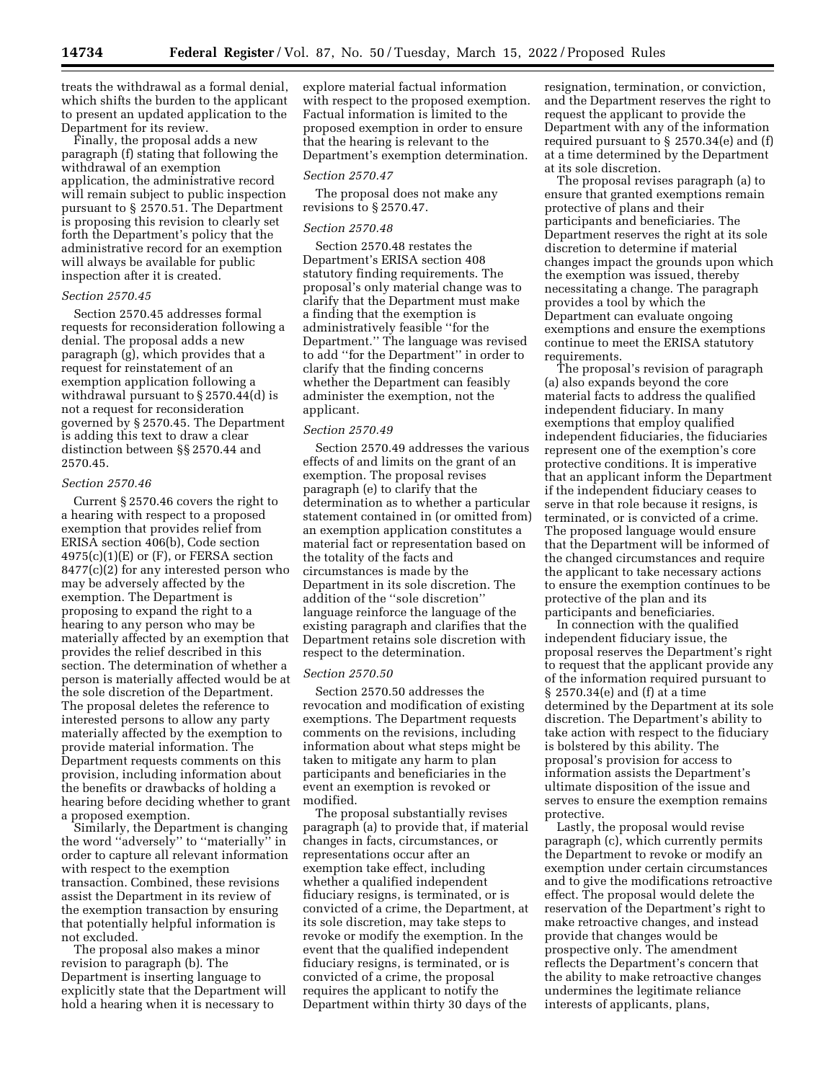treats the withdrawal as a formal denial, which shifts the burden to the applicant to present an updated application to the Department for its review.

Finally, the proposal adds a new paragraph (f) stating that following the withdrawal of an exemption application, the administrative record will remain subject to public inspection pursuant to § 2570.51. The Department is proposing this revision to clearly set forth the Department's policy that the administrative record for an exemption will always be available for public inspection after it is created.

### *Section 2570.45*

Section 2570.45 addresses formal requests for reconsideration following a denial. The proposal adds a new paragraph (g), which provides that a request for reinstatement of an exemption application following a withdrawal pursuant to § 2570.44(d) is not a request for reconsideration governed by § 2570.45. The Department is adding this text to draw a clear distinction between §§ 2570.44 and 2570.45.

#### *Section 2570.46*

Current § 2570.46 covers the right to a hearing with respect to a proposed exemption that provides relief from ERISA section 406(b), Code section  $4975(c)(1)(E)$  or  $(F)$ , or FERSA section 8477(c)(2) for any interested person who may be adversely affected by the exemption. The Department is proposing to expand the right to a hearing to any person who may be materially affected by an exemption that provides the relief described in this section. The determination of whether a person is materially affected would be at the sole discretion of the Department. The proposal deletes the reference to interested persons to allow any party materially affected by the exemption to provide material information. The Department requests comments on this provision, including information about the benefits or drawbacks of holding a hearing before deciding whether to grant a proposed exemption.

Similarly, the Department is changing the word ''adversely'' to ''materially'' in order to capture all relevant information with respect to the exemption transaction. Combined, these revisions assist the Department in its review of the exemption transaction by ensuring that potentially helpful information is not excluded.

The proposal also makes a minor revision to paragraph (b). The Department is inserting language to explicitly state that the Department will hold a hearing when it is necessary to

explore material factual information with respect to the proposed exemption. Factual information is limited to the proposed exemption in order to ensure that the hearing is relevant to the Department's exemption determination.

#### *Section 2570.47*

The proposal does not make any revisions to § 2570.47.

#### *Section 2570.48*

Section 2570.48 restates the Department's ERISA section 408 statutory finding requirements. The proposal's only material change was to clarify that the Department must make a finding that the exemption is administratively feasible ''for the Department.'' The language was revised to add ''for the Department'' in order to clarify that the finding concerns whether the Department can feasibly administer the exemption, not the applicant.

#### *Section 2570.49*

Section 2570.49 addresses the various effects of and limits on the grant of an exemption. The proposal revises paragraph (e) to clarify that the determination as to whether a particular statement contained in (or omitted from) an exemption application constitutes a material fact or representation based on the totality of the facts and circumstances is made by the Department in its sole discretion. The addition of the ''sole discretion'' language reinforce the language of the existing paragraph and clarifies that the Department retains sole discretion with respect to the determination.

#### *Section 2570.50*

Section 2570.50 addresses the revocation and modification of existing exemptions. The Department requests comments on the revisions, including information about what steps might be taken to mitigate any harm to plan participants and beneficiaries in the event an exemption is revoked or modified.

The proposal substantially revises paragraph (a) to provide that, if material changes in facts, circumstances, or representations occur after an exemption take effect, including whether a qualified independent fiduciary resigns, is terminated, or is convicted of a crime, the Department, at its sole discretion, may take steps to revoke or modify the exemption. In the event that the qualified independent fiduciary resigns, is terminated, or is convicted of a crime, the proposal requires the applicant to notify the Department within thirty 30 days of the

resignation, termination, or conviction, and the Department reserves the right to request the applicant to provide the Department with any of the information required pursuant to § 2570.34(e) and (f) at a time determined by the Department at its sole discretion.

The proposal revises paragraph (a) to ensure that granted exemptions remain protective of plans and their participants and beneficiaries. The Department reserves the right at its sole discretion to determine if material changes impact the grounds upon which the exemption was issued, thereby necessitating a change. The paragraph provides a tool by which the Department can evaluate ongoing exemptions and ensure the exemptions continue to meet the ERISA statutory requirements.

The proposal's revision of paragraph (a) also expands beyond the core material facts to address the qualified independent fiduciary. In many exemptions that employ qualified independent fiduciaries, the fiduciaries represent one of the exemption's core protective conditions. It is imperative that an applicant inform the Department if the independent fiduciary ceases to serve in that role because it resigns, is terminated, or is convicted of a crime. The proposed language would ensure that the Department will be informed of the changed circumstances and require the applicant to take necessary actions to ensure the exemption continues to be protective of the plan and its participants and beneficiaries.

In connection with the qualified independent fiduciary issue, the proposal reserves the Department's right to request that the applicant provide any of the information required pursuant to § 2570.34(e) and (f) at a time determined by the Department at its sole discretion. The Department's ability to take action with respect to the fiduciary is bolstered by this ability. The proposal's provision for access to information assists the Department's ultimate disposition of the issue and serves to ensure the exemption remains protective.

Lastly, the proposal would revise paragraph (c), which currently permits the Department to revoke or modify an exemption under certain circumstances and to give the modifications retroactive effect. The proposal would delete the reservation of the Department's right to make retroactive changes, and instead provide that changes would be prospective only. The amendment reflects the Department's concern that the ability to make retroactive changes undermines the legitimate reliance interests of applicants, plans,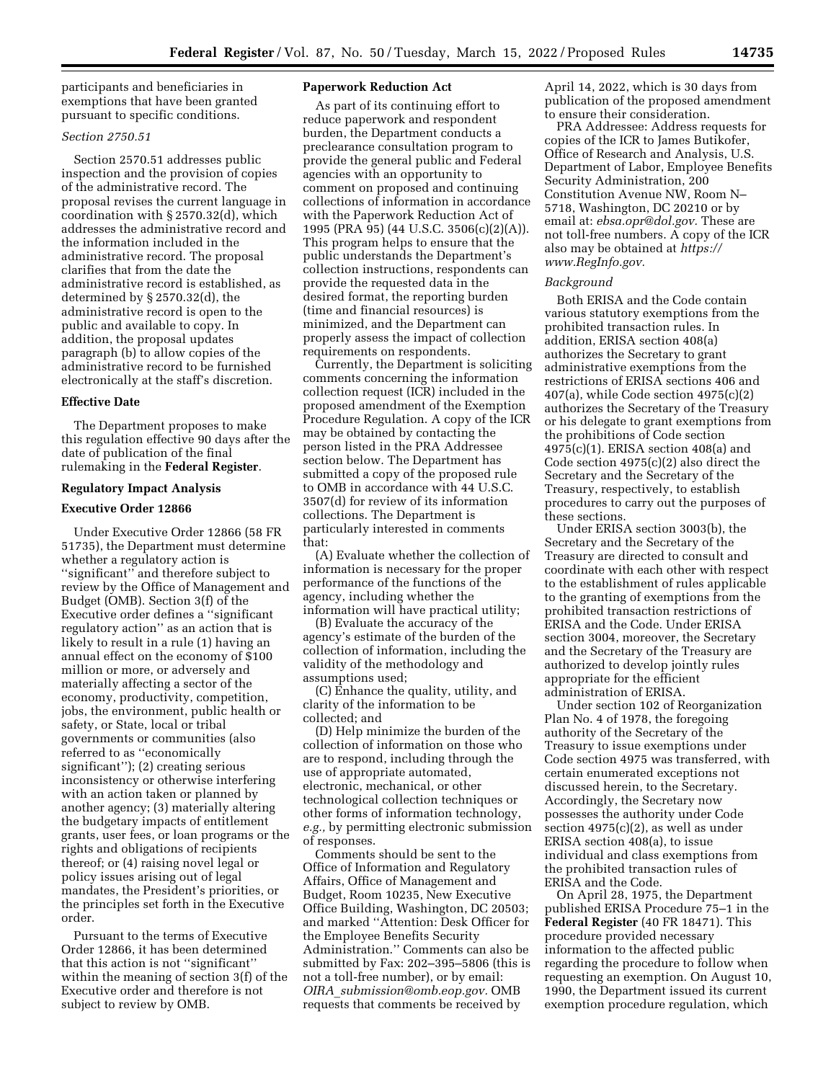participants and beneficiaries in exemptions that have been granted pursuant to specific conditions.

## *Section 2750.51*

Section 2570.51 addresses public inspection and the provision of copies of the administrative record. The proposal revises the current language in coordination with § 2570.32(d), which addresses the administrative record and the information included in the administrative record. The proposal clarifies that from the date the administrative record is established, as determined by § 2570.32(d), the administrative record is open to the public and available to copy. In addition, the proposal updates paragraph (b) to allow copies of the administrative record to be furnished electronically at the staff's discretion.

### **Effective Date**

The Department proposes to make this regulation effective 90 days after the date of publication of the final rulemaking in the **Federal Register**.

#### **Regulatory Impact Analysis**

# **Executive Order 12866**

Under Executive Order 12866 (58 FR 51735), the Department must determine whether a regulatory action is ''significant'' and therefore subject to review by the Office of Management and Budget (OMB). Section 3(f) of the Executive order defines a ''significant regulatory action'' as an action that is likely to result in a rule (1) having an annual effect on the economy of \$100 million or more, or adversely and materially affecting a sector of the economy, productivity, competition, jobs, the environment, public health or safety, or State, local or tribal governments or communities (also referred to as ''economically significant''); (2) creating serious inconsistency or otherwise interfering with an action taken or planned by another agency; (3) materially altering the budgetary impacts of entitlement grants, user fees, or loan programs or the rights and obligations of recipients thereof; or (4) raising novel legal or policy issues arising out of legal mandates, the President's priorities, or the principles set forth in the Executive order.

Pursuant to the terms of Executive Order 12866, it has been determined that this action is not ''significant'' within the meaning of section 3(f) of the Executive order and therefore is not subject to review by OMB.

## **Paperwork Reduction Act**

As part of its continuing effort to reduce paperwork and respondent burden, the Department conducts a preclearance consultation program to provide the general public and Federal agencies with an opportunity to comment on proposed and continuing collections of information in accordance with the Paperwork Reduction Act of 1995 (PRA 95) (44 U.S.C. 3506(c)(2)(A)). This program helps to ensure that the public understands the Department's collection instructions, respondents can provide the requested data in the desired format, the reporting burden (time and financial resources) is minimized, and the Department can properly assess the impact of collection requirements on respondents.

Currently, the Department is soliciting comments concerning the information collection request (ICR) included in the proposed amendment of the Exemption Procedure Regulation. A copy of the ICR may be obtained by contacting the person listed in the PRA Addressee section below. The Department has submitted a copy of the proposed rule to OMB in accordance with 44 U.S.C. 3507(d) for review of its information collections. The Department is particularly interested in comments that:

(A) Evaluate whether the collection of information is necessary for the proper performance of the functions of the agency, including whether the information will have practical utility;

(B) Evaluate the accuracy of the agency's estimate of the burden of the collection of information, including the validity of the methodology and assumptions used;

(C) Enhance the quality, utility, and clarity of the information to be collected; and

(D) Help minimize the burden of the collection of information on those who are to respond, including through the use of appropriate automated, electronic, mechanical, or other technological collection techniques or other forms of information technology, *e.g.,* by permitting electronic submission of responses.

Comments should be sent to the Office of Information and Regulatory Affairs, Office of Management and Budget, Room 10235, New Executive Office Building, Washington, DC 20503; and marked ''Attention: Desk Officer for the Employee Benefits Security Administration.'' Comments can also be submitted by Fax: 202–395–5806 (this is not a toll-free number), or by email: *OIRA*\_*[submission@omb.eop.gov.](mailto:OIRA_submission@omb.eop.gov)* OMB requests that comments be received by

April 14, 2022, which is 30 days from publication of the proposed amendment to ensure their consideration.

PRA Addressee: Address requests for copies of the ICR to James Butikofer, Office of Research and Analysis, U.S. Department of Labor, Employee Benefits Security Administration, 200 Constitution Avenue NW, Room N– 5718, Washington, DC 20210 or by email at: *[ebsa.opr@dol.gov.](mailto:ebsa.opr@dol.gov)* These are not toll-free numbers. A copy of the ICR also may be obtained at *[https://](https://www.RegInfo.gov) [www.RegInfo.gov.](https://www.RegInfo.gov)* 

#### *Background*

Both ERISA and the Code contain various statutory exemptions from the prohibited transaction rules. In addition, ERISA section 408(a) authorizes the Secretary to grant administrative exemptions from the restrictions of ERISA sections 406 and 407(a), while Code section 4975(c)(2) authorizes the Secretary of the Treasury or his delegate to grant exemptions from the prohibitions of Code section 4975(c)(1). ERISA section 408(a) and Code section 4975(c)(2) also direct the Secretary and the Secretary of the Treasury, respectively, to establish procedures to carry out the purposes of these sections.

Under ERISA section 3003(b), the Secretary and the Secretary of the Treasury are directed to consult and coordinate with each other with respect to the establishment of rules applicable to the granting of exemptions from the prohibited transaction restrictions of ERISA and the Code. Under ERISA section 3004, moreover, the Secretary and the Secretary of the Treasury are authorized to develop jointly rules appropriate for the efficient administration of ERISA.

Under section 102 of Reorganization Plan No. 4 of 1978, the foregoing authority of the Secretary of the Treasury to issue exemptions under Code section 4975 was transferred, with certain enumerated exceptions not discussed herein, to the Secretary. Accordingly, the Secretary now possesses the authority under Code section 4975(c)(2), as well as under ERISA section 408(a), to issue individual and class exemptions from the prohibited transaction rules of ERISA and the Code.

On April 28, 1975, the Department published ERISA Procedure 75–1 in the **Federal Register** (40 FR 18471). This procedure provided necessary information to the affected public regarding the procedure to follow when requesting an exemption. On August 10, 1990, the Department issued its current exemption procedure regulation, which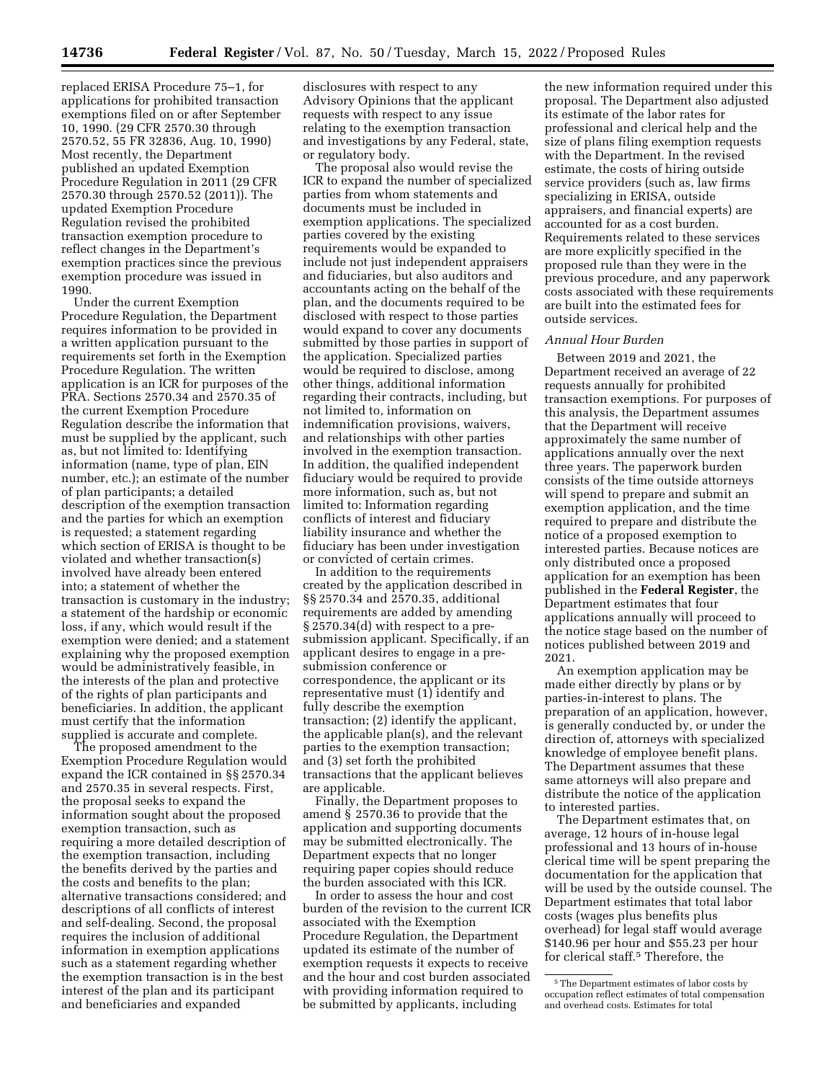replaced ERISA Procedure 75–1, for applications for prohibited transaction exemptions filed on or after September 10, 1990. (29 CFR 2570.30 through 2570.52, 55 FR 32836, Aug. 10, 1990) Most recently, the Department published an updated Exemption Procedure Regulation in 2011 (29 CFR 2570.30 through 2570.52 (2011)). The updated Exemption Procedure Regulation revised the prohibited transaction exemption procedure to reflect changes in the Department's exemption practices since the previous exemption procedure was issued in 1990.

Under the current Exemption Procedure Regulation, the Department requires information to be provided in a written application pursuant to the requirements set forth in the Exemption Procedure Regulation. The written application is an ICR for purposes of the PRA. Sections 2570.34 and 2570.35 of the current Exemption Procedure Regulation describe the information that must be supplied by the applicant, such as, but not limited to: Identifying information (name, type of plan, EIN number, etc.); an estimate of the number of plan participants; a detailed description of the exemption transaction and the parties for which an exemption is requested; a statement regarding which section of ERISA is thought to be violated and whether transaction(s) involved have already been entered into; a statement of whether the transaction is customary in the industry; a statement of the hardship or economic loss, if any, which would result if the exemption were denied; and a statement explaining why the proposed exemption would be administratively feasible, in the interests of the plan and protective of the rights of plan participants and beneficiaries. In addition, the applicant must certify that the information supplied is accurate and complete.

The proposed amendment to the Exemption Procedure Regulation would expand the ICR contained in §§ 2570.34 and 2570.35 in several respects. First, the proposal seeks to expand the information sought about the proposed exemption transaction, such as requiring a more detailed description of the exemption transaction, including the benefits derived by the parties and the costs and benefits to the plan; alternative transactions considered; and descriptions of all conflicts of interest and self-dealing. Second, the proposal requires the inclusion of additional information in exemption applications such as a statement regarding whether the exemption transaction is in the best interest of the plan and its participant and beneficiaries and expanded

disclosures with respect to any Advisory Opinions that the applicant requests with respect to any issue relating to the exemption transaction and investigations by any Federal, state, or regulatory body.

The proposal also would revise the ICR to expand the number of specialized parties from whom statements and documents must be included in exemption applications. The specialized parties covered by the existing requirements would be expanded to include not just independent appraisers and fiduciaries, but also auditors and accountants acting on the behalf of the plan, and the documents required to be disclosed with respect to those parties would expand to cover any documents submitted by those parties in support of the application. Specialized parties would be required to disclose, among other things, additional information regarding their contracts, including, but not limited to, information on indemnification provisions, waivers, and relationships with other parties involved in the exemption transaction. In addition, the qualified independent fiduciary would be required to provide more information, such as, but not limited to: Information regarding conflicts of interest and fiduciary liability insurance and whether the fiduciary has been under investigation or convicted of certain crimes.

In addition to the requirements created by the application described in §§ 2570.34 and 2570.35, additional requirements are added by amending § 2570.34(d) with respect to a presubmission applicant. Specifically, if an applicant desires to engage in a presubmission conference or correspondence, the applicant or its representative must (1) identify and fully describe the exemption transaction; (2) identify the applicant, the applicable plan(s), and the relevant parties to the exemption transaction; and (3) set forth the prohibited transactions that the applicant believes are applicable.

Finally, the Department proposes to amend § 2570.36 to provide that the application and supporting documents may be submitted electronically. The Department expects that no longer requiring paper copies should reduce the burden associated with this ICR.

In order to assess the hour and cost burden of the revision to the current ICR associated with the Exemption Procedure Regulation, the Department updated its estimate of the number of exemption requests it expects to receive and the hour and cost burden associated with providing information required to be submitted by applicants, including

the new information required under this proposal. The Department also adjusted its estimate of the labor rates for professional and clerical help and the size of plans filing exemption requests with the Department. In the revised estimate, the costs of hiring outside service providers (such as, law firms specializing in ERISA, outside appraisers, and financial experts) are accounted for as a cost burden. Requirements related to these services are more explicitly specified in the proposed rule than they were in the previous procedure, and any paperwork costs associated with these requirements are built into the estimated fees for outside services.

# *Annual Hour Burden*

Between 2019 and 2021, the Department received an average of 22 requests annually for prohibited transaction exemptions. For purposes of this analysis, the Department assumes that the Department will receive approximately the same number of applications annually over the next three years. The paperwork burden consists of the time outside attorneys will spend to prepare and submit an exemption application, and the time required to prepare and distribute the notice of a proposed exemption to interested parties. Because notices are only distributed once a proposed application for an exemption has been published in the **Federal Register**, the Department estimates that four applications annually will proceed to the notice stage based on the number of notices published between 2019 and 2021.

An exemption application may be made either directly by plans or by parties-in-interest to plans. The preparation of an application, however, is generally conducted by, or under the direction of, attorneys with specialized knowledge of employee benefit plans. The Department assumes that these same attorneys will also prepare and distribute the notice of the application to interested parties.

The Department estimates that, on average, 12 hours of in-house legal professional and 13 hours of in-house clerical time will be spent preparing the documentation for the application that will be used by the outside counsel. The Department estimates that total labor costs (wages plus benefits plus overhead) for legal staff would average \$140.96 per hour and \$55.23 per hour for clerical staff.5 Therefore, the

<sup>5</sup>The Department estimates of labor costs by occupation reflect estimates of total compensation and overhead costs. Estimates for total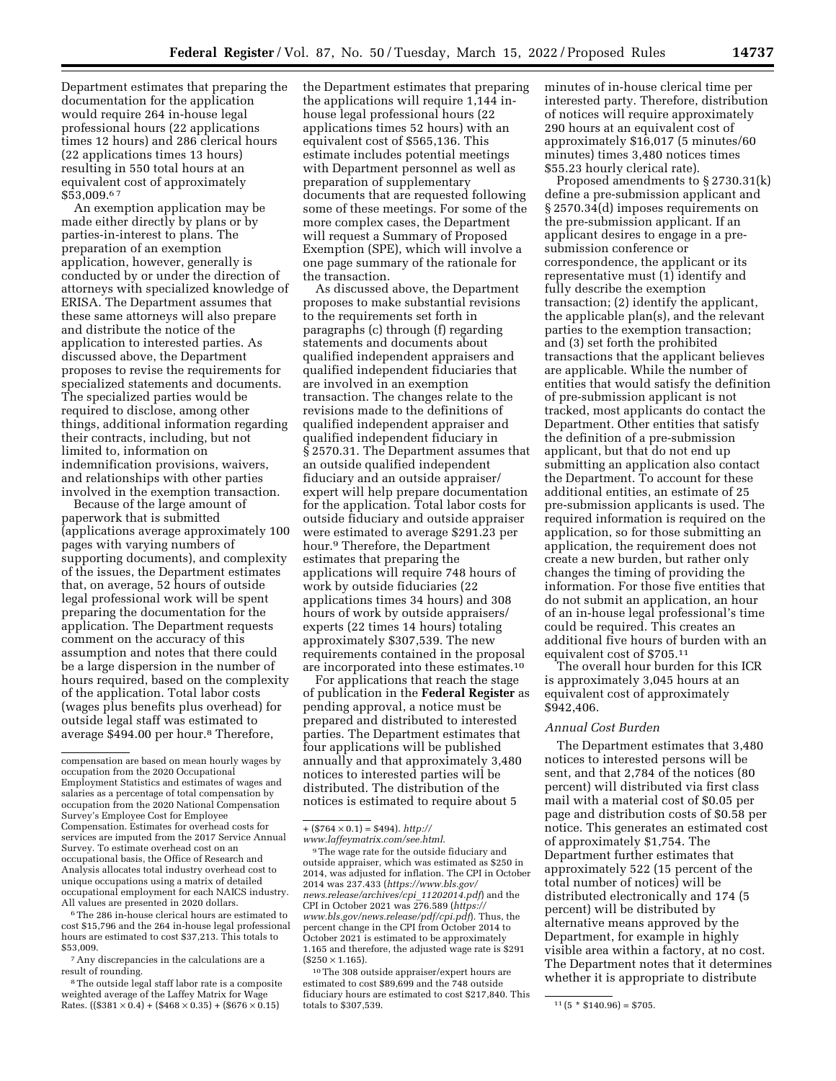Department estimates that preparing the documentation for the application would require 264 in-house legal professional hours (22 applications times 12 hours) and 286 clerical hours (22 applications times 13 hours) resulting in 550 total hours at an equivalent cost of approximately \$53,009.6 7

An exemption application may be made either directly by plans or by parties-in-interest to plans. The preparation of an exemption application, however, generally is conducted by or under the direction of attorneys with specialized knowledge of ERISA. The Department assumes that these same attorneys will also prepare and distribute the notice of the application to interested parties. As discussed above, the Department proposes to revise the requirements for specialized statements and documents. The specialized parties would be required to disclose, among other things, additional information regarding their contracts, including, but not limited to, information on indemnification provisions, waivers, and relationships with other parties involved in the exemption transaction.

Because of the large amount of paperwork that is submitted (applications average approximately 100 pages with varying numbers of supporting documents), and complexity of the issues, the Department estimates that, on average, 52 hours of outside legal professional work will be spent preparing the documentation for the application. The Department requests comment on the accuracy of this assumption and notes that there could be a large dispersion in the number of hours required, based on the complexity of the application. Total labor costs (wages plus benefits plus overhead) for outside legal staff was estimated to average \$494.00 per hour.<sup>8</sup> Therefore,

6The 286 in-house clerical hours are estimated to cost \$15,796 and the 264 in-house legal professional hours are estimated to cost \$37,213. This totals to \$53,009.

7Any discrepancies in the calculations are a result of rounding.

<sup>8</sup>The outside legal staff labor rate is a composite weighted average of the Laffey Matrix for Wage Rates. ((\$381  $\times$  0.4) + (\$468  $\times$  0.35) + (\$676  $\times$  0.15)

the Department estimates that preparing the applications will require 1,144 inhouse legal professional hours (22 applications times 52 hours) with an equivalent cost of \$565,136. This estimate includes potential meetings with Department personnel as well as preparation of supplementary documents that are requested following some of these meetings. For some of the more complex cases, the Department will request a Summary of Proposed Exemption (SPE), which will involve a one page summary of the rationale for the transaction.

As discussed above, the Department proposes to make substantial revisions to the requirements set forth in paragraphs (c) through (f) regarding statements and documents about qualified independent appraisers and qualified independent fiduciaries that are involved in an exemption transaction. The changes relate to the revisions made to the definitions of qualified independent appraiser and qualified independent fiduciary in § 2570.31. The Department assumes that an outside qualified independent fiduciary and an outside appraiser/ expert will help prepare documentation for the application. Total labor costs for outside fiduciary and outside appraiser were estimated to average \$291.23 per hour.9 Therefore, the Department estimates that preparing the applications will require 748 hours of work by outside fiduciaries (22 applications times 34 hours) and 308 hours of work by outside appraisers/ experts (22 times 14 hours) totaling approximately \$307,539. The new requirements contained in the proposal are incorporated into these estimates.10

For applications that reach the stage of publication in the **Federal Register** as pending approval, a notice must be prepared and distributed to interested parties. The Department estimates that four applications will be published annually and that approximately 3,480 notices to interested parties will be distributed. The distribution of the notices is estimated to require about 5

10The 308 outside appraiser/expert hours are estimated to cost \$89,699 and the 748 outside fiduciary hours are estimated to cost \$217,840. This minutes of in-house clerical time per interested party. Therefore, distribution of notices will require approximately 290 hours at an equivalent cost of approximately \$16,017 (5 minutes/60 minutes) times 3,480 notices times \$55.23 hourly clerical rate).

Proposed amendments to § 2730.31(k) define a pre-submission applicant and § 2570.34(d) imposes requirements on the pre-submission applicant. If an applicant desires to engage in a presubmission conference or correspondence, the applicant or its representative must (1) identify and fully describe the exemption transaction; (2) identify the applicant, the applicable plan(s), and the relevant parties to the exemption transaction; and (3) set forth the prohibited transactions that the applicant believes are applicable. While the number of entities that would satisfy the definition of pre-submission applicant is not tracked, most applicants do contact the Department. Other entities that satisfy the definition of a pre-submission applicant, but that do not end up submitting an application also contact the Department. To account for these additional entities, an estimate of 25 pre-submission applicants is used. The required information is required on the application, so for those submitting an application, the requirement does not create a new burden, but rather only changes the timing of providing the information. For those five entities that do not submit an application, an hour of an in-house legal professional's time could be required. This creates an additional five hours of burden with an equivalent cost of \$705.11

The overall hour burden for this ICR is approximately 3,045 hours at an equivalent cost of approximately \$942,406.

### *Annual Cost Burden*

The Department estimates that 3,480 notices to interested persons will be sent, and that 2,784 of the notices (80 percent) will distributed via first class mail with a material cost of \$0.05 per page and distribution costs of \$0.58 per notice. This generates an estimated cost of approximately \$1,754. The Department further estimates that approximately 522 (15 percent of the total number of notices) will be distributed electronically and 174 (5 percent) will be distributed by alternative means approved by the Department, for example in highly visible area within a factory, at no cost. The Department notes that it determines whether it is appropriate to distribute

compensation are based on mean hourly wages by occupation from the 2020 Occupational Employment Statistics and estimates of wages and salaries as a percentage of total compensation by occupation from the 2020 National Compensation Survey's Employee Cost for Employee Compensation. Estimates for overhead costs for services are imputed from the 2017 Service Annual Survey. To estimate overhead cost on an occupational basis, the Office of Research and Analysis allocates total industry overhead cost to unique occupations using a matrix of detailed occupational employment for each NAICS industry. All values are presented in 2020 dollars.

 $+(\$764 \times 0.1) = \$494$ ).  $http://$ 

*[www.laffeymatrix.com/see.html](http://www.laffeymatrix.com/see.html)*. 9The wage rate for the outside fiduciary and outside appraiser, which was estimated as \$250 in 2014, was adjusted for inflation. The CPI in October 2014 was 237.433 (*[https://www.bls.gov/](https://www.bls.gov/news.release/archives/cpi_11202014.pdf)  [news.release/archives/cpi](https://www.bls.gov/news.release/archives/cpi_11202014.pdf)*\_*11202014.pdf*) and the CPI in October 2021 was 276.589 (*[https://](https://www.bls.gov/news.release/pdf/cpi.pdf) [www.bls.gov/news.release/pdf/cpi.pdf](https://www.bls.gov/news.release/pdf/cpi.pdf)*). Thus, the percent change in the CPI from October 2014 to October 2021 is estimated to be approximately 1.165 and therefore, the adjusted wage rate is \$291  $(S250 \times 1.165)$ .

 $t_1$  (5 \* \$140.96) = \$705.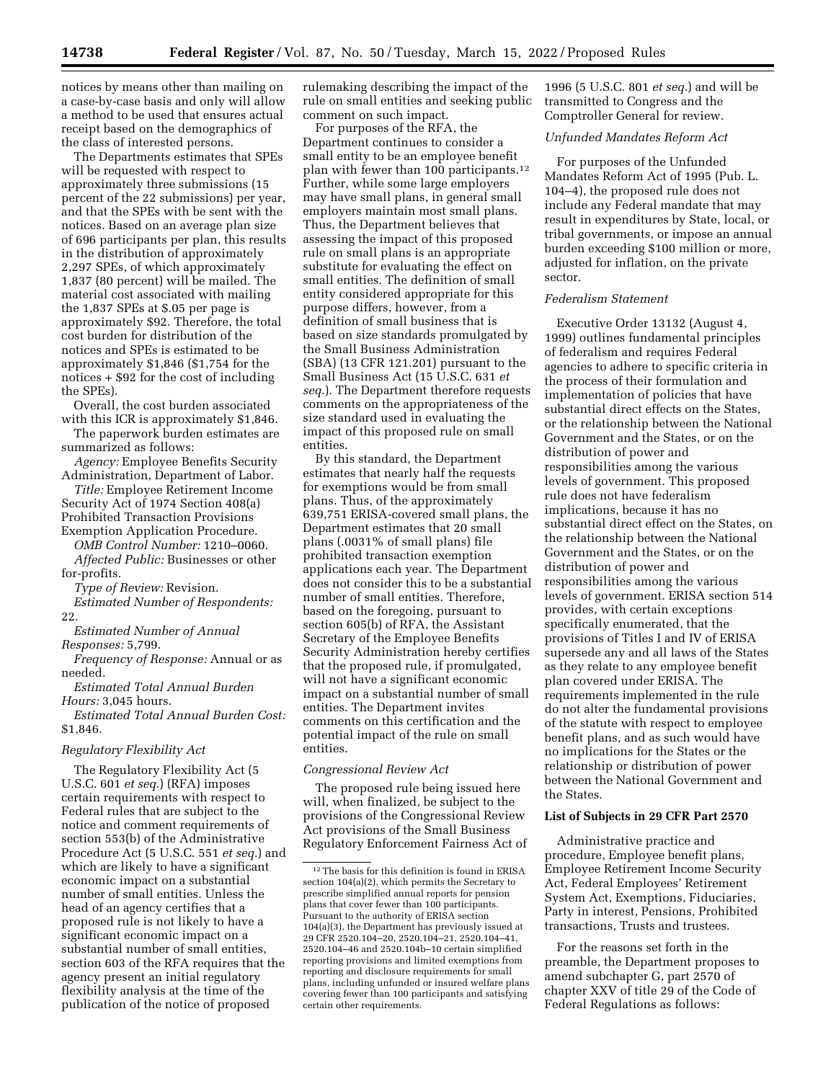notices by means other than mailing on a case-by-case basis and only will allow a method to be used that ensures actual receipt based on the demographics of the class of interested persons.

The Departments estimates that SPEs will be requested with respect to approximately three submissions (15 percent of the 22 submissions) per year, and that the SPEs with be sent with the notices. Based on an average plan size of 696 participants per plan, this results in the distribution of approximately 2,297 SPEs, of which approximately 1,837 (80 percent) will be mailed. The material cost associated with mailing the 1,837 SPEs at \$.05 per page is approximately \$92. Therefore, the total cost burden for distribution of the notices and SPEs is estimated to be approximately \$1,846 (\$1,754 for the notices + \$92 for the cost of including the SPEs).

Overall, the cost burden associated with this ICR is approximately \$1,846.

The paperwork burden estimates are summarized as follows:

*Agency:* Employee Benefits Security Administration, Department of Labor. *Title:* Employee Retirement Income

Security Act of 1974 Section 408(a) Prohibited Transaction Provisions Exemption Application Procedure.

*OMB Control Number:* 1210–0060.

*Affected Public:* Businesses or other for-profits.

*Type of Review:* Revision.

*Estimated Number of Respondents:*  22.

*Estimated Number of Annual Responses:* 5,799.

*Frequency of Response:* Annual or as needed.

*Estimated Total Annual Burden Hours:* 3,045 hours.

*Estimated Total Annual Burden Cost:*  \$1,846.

# *Regulatory Flexibility Act*

The Regulatory Flexibility Act (5 U.S.C. 601 *et seq.*) (RFA) imposes certain requirements with respect to Federal rules that are subject to the notice and comment requirements of section 553(b) of the Administrative Procedure Act (5 U.S.C. 551 *et seq.*) and which are likely to have a significant economic impact on a substantial number of small entities. Unless the head of an agency certifies that a proposed rule is not likely to have a significant economic impact on a substantial number of small entities, section 603 of the RFA requires that the agency present an initial regulatory flexibility analysis at the time of the publication of the notice of proposed

rulemaking describing the impact of the rule on small entities and seeking public comment on such impact.

For purposes of the RFA, the Department continues to consider a small entity to be an employee benefit plan with fewer than 100 participants.12 Further, while some large employers may have small plans, in general small employers maintain most small plans. Thus, the Department believes that assessing the impact of this proposed rule on small plans is an appropriate substitute for evaluating the effect on small entities. The definition of small entity considered appropriate for this purpose differs, however, from a definition of small business that is based on size standards promulgated by the Small Business Administration (SBA) (13 CFR 121.201) pursuant to the Small Business Act (15 U.S.C. 631 *et seq.*). The Department therefore requests comments on the appropriateness of the size standard used in evaluating the impact of this proposed rule on small entities.

By this standard, the Department estimates that nearly half the requests for exemptions would be from small plans. Thus, of the approximately 639,751 ERISA-covered small plans, the Department estimates that 20 small plans (.0031% of small plans) file prohibited transaction exemption applications each year. The Department does not consider this to be a substantial number of small entities. Therefore, based on the foregoing, pursuant to section 605(b) of RFA, the Assistant Secretary of the Employee Benefits Security Administration hereby certifies that the proposed rule, if promulgated, will not have a significant economic impact on a substantial number of small entities. The Department invites comments on this certification and the potential impact of the rule on small entities.

### *Congressional Review Act*

The proposed rule being issued here will, when finalized, be subject to the provisions of the Congressional Review Act provisions of the Small Business Regulatory Enforcement Fairness Act of

1996 (5 U.S.C. 801 *et seq.*) and will be transmitted to Congress and the Comptroller General for review.

### *Unfunded Mandates Reform Act*

For purposes of the Unfunded Mandates Reform Act of 1995 (Pub. L. 104–4), the proposed rule does not include any Federal mandate that may result in expenditures by State, local, or tribal governments, or impose an annual burden exceeding \$100 million or more, adjusted for inflation, on the private sector.

# *Federalism Statement*

Executive Order 13132 (August 4, 1999) outlines fundamental principles of federalism and requires Federal agencies to adhere to specific criteria in the process of their formulation and implementation of policies that have substantial direct effects on the States, or the relationship between the National Government and the States, or on the distribution of power and responsibilities among the various levels of government. This proposed rule does not have federalism implications, because it has no substantial direct effect on the States, on the relationship between the National Government and the States, or on the distribution of power and responsibilities among the various levels of government. ERISA section 514 provides, with certain exceptions specifically enumerated, that the provisions of Titles I and IV of ERISA supersede any and all laws of the States as they relate to any employee benefit plan covered under ERISA. The requirements implemented in the rule do not alter the fundamental provisions of the statute with respect to employee benefit plans, and as such would have no implications for the States or the relationship or distribution of power between the National Government and the States.

## **List of Subjects in 29 CFR Part 2570**

Administrative practice and procedure, Employee benefit plans, Employee Retirement Income Security Act, Federal Employees' Retirement System Act, Exemptions, Fiduciaries, Party in interest, Pensions, Prohibited transactions, Trusts and trustees.

For the reasons set forth in the preamble, the Department proposes to amend subchapter G, part 2570 of chapter XXV of title 29 of the Code of Federal Regulations as follows:

<sup>12</sup>The basis for this definition is found in ERISA section 104(a)(2), which permits the Secretary to prescribe simplified annual reports for pension plans that cover fewer than 100 participants. Pursuant to the authority of ERISA section 104(a)(3), the Department has previously issued at 29 CFR 2520.104–20, 2520.104–21, 2520.104–41, 2520.104–46 and 2520.104b–10 certain simplified reporting provisions and limited exemptions from reporting and disclosure requirements for small plans, including unfunded or insured welfare plans covering fewer than 100 participants and satisfying certain other requirements.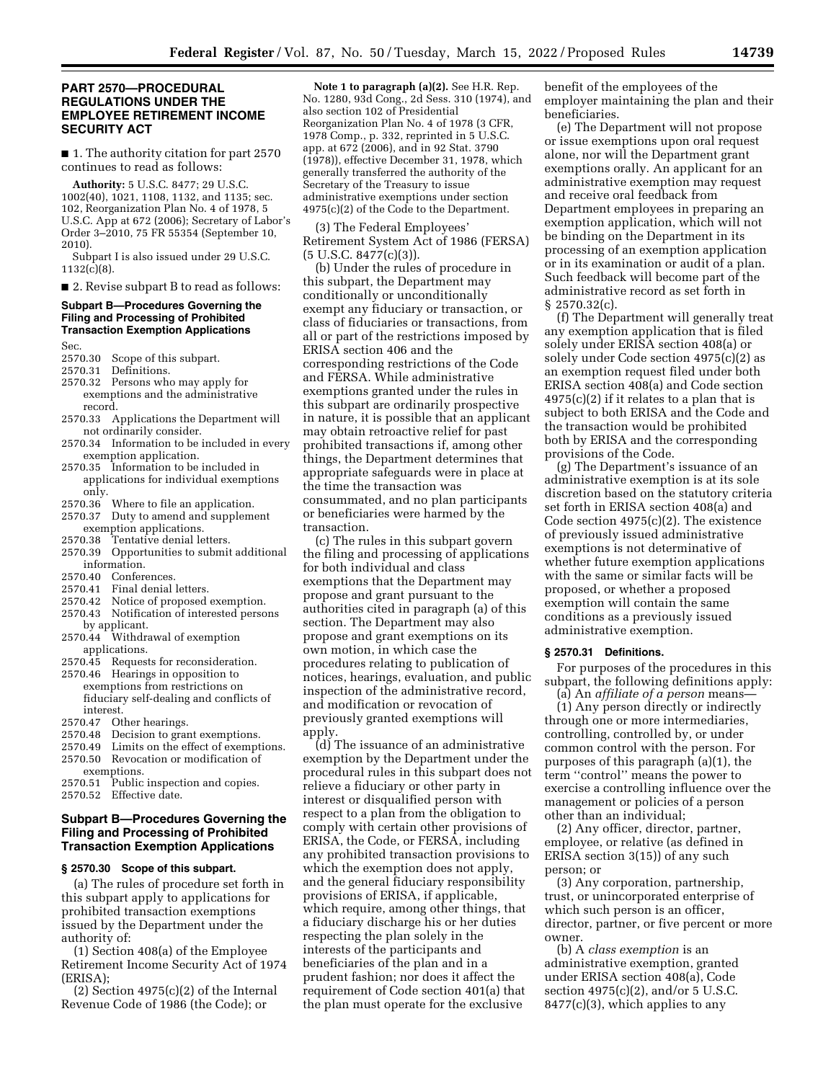## **PART 2570—PROCEDURAL REGULATIONS UNDER THE EMPLOYEE RETIREMENT INCOME SECURITY ACT**

■ 1. The authority citation for part 2570 continues to read as follows:

**Authority:** 5 U.S.C. 8477; 29 U.S.C. 1002(40), 1021, 1108, 1132, and 1135; sec. 102, Reorganization Plan No. 4 of 1978, 5 U.S.C. App at 672 (2006); Secretary of Labor's Order 3–2010, 75 FR 55354 (September 10, 2010).

Subpart I is also issued under 29 U.S.C.  $1132(c)(8)$ .

■ 2. Revise subpart B to read as follows:

#### **Subpart B—Procedures Governing the Filing and Processing of Prohibited Transaction Exemption Applications**

Sec.

- 2570.30 Scope of this subpart.
- Definitions.
- 2570.32 Persons who may apply for exemptions and the administrative record.
- 2570.33 Applications the Department will not ordinarily consider.
- 2570.34 Information to be included in every exemption application.
- 2570.35 Information to be included in applications for individual exemptions only.
- 2570.36 Where to file an application.
- 2570.37 Duty to amend and supplement exemption applications.<br>2570.38 Tentative denial le
- Tentative denial letters.
- 2570.39 Opportunities to submit additional information.
- 2570.40 Conferences.
- 2570.41 Final denial letters.
- 2570.42 Notice of proposed exemption. 2570.43 Notification of interested persons
- by applicant. 2570.44 Withdrawal of exemption applications.
- 2570.45 Requests for reconsideration.
- 2570.46 Hearings in opposition to exemptions from restrictions on fiduciary self-dealing and conflicts of interest<br>2570.47 Of
- 2570.47 Other hearings.<br>2570.48 Decision to gray
- Decision to grant exemptions.
- 2570.49 Limits on the effect of exemptions.
- 2570.50 Revocation or modification of exemptions.
- 2570.51 Public inspection and copies.
- 2570.52 Effective date.

# **Subpart B—Procedures Governing the Filing and Processing of Prohibited Transaction Exemption Applications**

# **§ 2570.30 Scope of this subpart.**

(a) The rules of procedure set forth in this subpart apply to applications for prohibited transaction exemptions issued by the Department under the authority of:

(1) Section 408(a) of the Employee Retirement Income Security Act of 1974 (ERISA);

 $(2)$  Section 4975 $(c)(2)$  of the Internal Revenue Code of 1986 (the Code); or

**Note 1 to paragraph (a)(2).** See H.R. Rep. No. 1280, 93d Cong., 2d Sess. 310 (1974), and also section 102 of Presidential Reorganization Plan No. 4 of 1978 (3 CFR, 1978 Comp., p. 332, reprinted in 5 U.S.C. app. at 672 (2006), and in 92 Stat. 3790 (1978)), effective December 31, 1978, which generally transferred the authority of the Secretary of the Treasury to issue administrative exemptions under section 4975(c)(2) of the Code to the Department.

(3) The Federal Employees' Retirement System Act of 1986 (FERSA) (5 U.S.C. 8477(c)(3)).

(b) Under the rules of procedure in this subpart, the Department may conditionally or unconditionally exempt any fiduciary or transaction, or class of fiduciaries or transactions, from all or part of the restrictions imposed by ERISA section 406 and the corresponding restrictions of the Code and FERSA. While administrative exemptions granted under the rules in this subpart are ordinarily prospective in nature, it is possible that an applicant may obtain retroactive relief for past prohibited transactions if, among other things, the Department determines that appropriate safeguards were in place at the time the transaction was consummated, and no plan participants or beneficiaries were harmed by the transaction.

(c) The rules in this subpart govern the filing and processing of applications for both individual and class exemptions that the Department may propose and grant pursuant to the authorities cited in paragraph (a) of this section. The Department may also propose and grant exemptions on its own motion, in which case the procedures relating to publication of notices, hearings, evaluation, and public inspection of the administrative record, and modification or revocation of previously granted exemptions will apply.

(d) The issuance of an administrative exemption by the Department under the procedural rules in this subpart does not relieve a fiduciary or other party in interest or disqualified person with respect to a plan from the obligation to comply with certain other provisions of ERISA, the Code, or FERSA, including any prohibited transaction provisions to which the exemption does not apply, and the general fiduciary responsibility provisions of ERISA, if applicable, which require, among other things, that a fiduciary discharge his or her duties respecting the plan solely in the interests of the participants and beneficiaries of the plan and in a prudent fashion; nor does it affect the requirement of Code section 401(a) that the plan must operate for the exclusive

benefit of the employees of the employer maintaining the plan and their beneficiaries.

(e) The Department will not propose or issue exemptions upon oral request alone, nor will the Department grant exemptions orally. An applicant for an administrative exemption may request and receive oral feedback from Department employees in preparing an exemption application, which will not be binding on the Department in its processing of an exemption application or in its examination or audit of a plan. Such feedback will become part of the administrative record as set forth in § 2570.32(c).

(f) The Department will generally treat any exemption application that is filed solely under ERISA section 408(a) or solely under Code section 4975(c)(2) as an exemption request filed under both ERISA section 408(a) and Code section  $4975(c)(2)$  if it relates to a plan that is subject to both ERISA and the Code and the transaction would be prohibited both by ERISA and the corresponding provisions of the Code.

(g) The Department's issuance of an administrative exemption is at its sole discretion based on the statutory criteria set forth in ERISA section 408(a) and Code section 4975(c)(2). The existence of previously issued administrative exemptions is not determinative of whether future exemption applications with the same or similar facts will be proposed, or whether a proposed exemption will contain the same conditions as a previously issued administrative exemption.

### **§ 2570.31 Definitions.**

For purposes of the procedures in this subpart, the following definitions apply:

(a) An *affiliate of a person* means— (1) Any person directly or indirectly through one or more intermediaries, controlling, controlled by, or under common control with the person. For purposes of this paragraph (a)(1), the term ''control'' means the power to exercise a controlling influence over the management or policies of a person other than an individual;

(2) Any officer, director, partner, employee, or relative (as defined in ERISA section 3(15)) of any such person; or

(3) Any corporation, partnership, trust, or unincorporated enterprise of which such person is an officer, director, partner, or five percent or more owner.

(b) A *class exemption* is an administrative exemption, granted under ERISA section 408(a), Code section 4975(c)(2), and/or 5 U.S.C.  $8477(c)(3)$ , which applies to any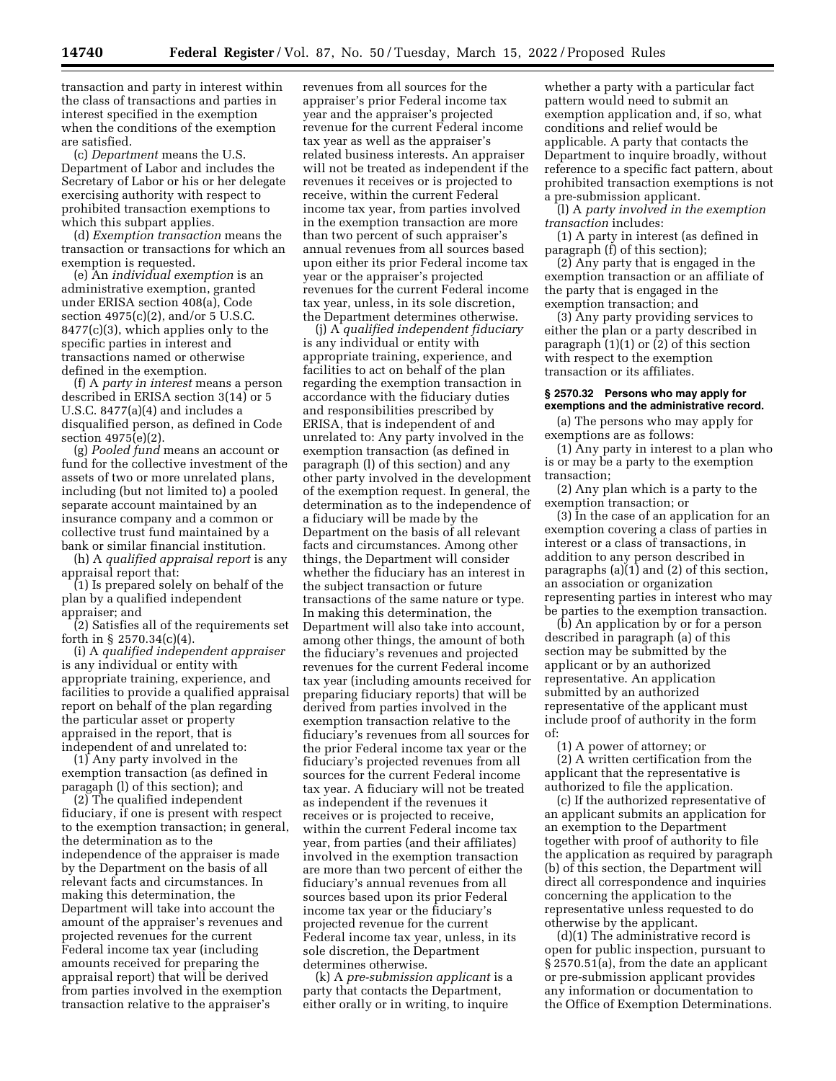transaction and party in interest within the class of transactions and parties in interest specified in the exemption when the conditions of the exemption are satisfied.

(c) *Department* means the U.S. Department of Labor and includes the Secretary of Labor or his or her delegate exercising authority with respect to prohibited transaction exemptions to which this subpart applies.

(d) *Exemption transaction* means the transaction or transactions for which an exemption is requested.

(e) An *individual exemption* is an administrative exemption, granted under ERISA section 408(a), Code section 4975(c)(2), and/or 5 U.S.C. 8477(c)(3), which applies only to the specific parties in interest and transactions named or otherwise defined in the exemption.

(f) A *party in interest* means a person described in ERISA section 3(14) or 5 U.S.C. 8477(a)(4) and includes a disqualified person, as defined in Code section 4975(e)(2).

(g) *Pooled fund* means an account or fund for the collective investment of the assets of two or more unrelated plans, including (but not limited to) a pooled separate account maintained by an insurance company and a common or collective trust fund maintained by a bank or similar financial institution.

(h) A *qualified appraisal report* is any appraisal report that:

(1) Is prepared solely on behalf of the plan by a qualified independent appraiser; and

(2) Satisfies all of the requirements set forth in § 2570.34(c)(4).

(i) A *qualified independent appraiser*  is any individual or entity with appropriate training, experience, and facilities to provide a qualified appraisal report on behalf of the plan regarding the particular asset or property appraised in the report, that is independent of and unrelated to:

(1) Any party involved in the exemption transaction (as defined in paragaph (l) of this section); and

(2) The qualified independent fiduciary, if one is present with respect to the exemption transaction; in general, the determination as to the independence of the appraiser is made by the Department on the basis of all relevant facts and circumstances. In making this determination, the Department will take into account the amount of the appraiser's revenues and projected revenues for the current Federal income tax year (including amounts received for preparing the appraisal report) that will be derived from parties involved in the exemption transaction relative to the appraiser's

revenues from all sources for the appraiser's prior Federal income tax year and the appraiser's projected revenue for the current Federal income tax year as well as the appraiser's related business interests. An appraiser will not be treated as independent if the revenues it receives or is projected to receive, within the current Federal income tax year, from parties involved in the exemption transaction are more than two percent of such appraiser's annual revenues from all sources based upon either its prior Federal income tax year or the appraiser's projected revenues for the current Federal income tax year, unless, in its sole discretion, the Department determines otherwise.

(j) A *qualified independent fiduciary*  is any individual or entity with appropriate training, experience, and facilities to act on behalf of the plan regarding the exemption transaction in accordance with the fiduciary duties and responsibilities prescribed by ERISA, that is independent of and unrelated to: Any party involved in the exemption transaction (as defined in paragraph (l) of this section) and any other party involved in the development of the exemption request. In general, the determination as to the independence of a fiduciary will be made by the Department on the basis of all relevant facts and circumstances. Among other things, the Department will consider whether the fiduciary has an interest in the subject transaction or future transactions of the same nature or type. In making this determination, the Department will also take into account, among other things, the amount of both the fiduciary's revenues and projected revenues for the current Federal income tax year (including amounts received for preparing fiduciary reports) that will be derived from parties involved in the exemption transaction relative to the fiduciary's revenues from all sources for the prior Federal income tax year or the fiduciary's projected revenues from all sources for the current Federal income tax year. A fiduciary will not be treated as independent if the revenues it receives or is projected to receive, within the current Federal income tax year, from parties (and their affiliates) involved in the exemption transaction are more than two percent of either the fiduciary's annual revenues from all sources based upon its prior Federal income tax year or the fiduciary's projected revenue for the current Federal income tax year, unless, in its sole discretion, the Department determines otherwise.

(k) A *pre-submission applicant* is a party that contacts the Department, either orally or in writing, to inquire

whether a party with a particular fact pattern would need to submit an exemption application and, if so, what conditions and relief would be applicable. A party that contacts the Department to inquire broadly, without reference to a specific fact pattern, about prohibited transaction exemptions is not a pre-submission applicant.

(l) A *party involved in the exemption transaction* includes:

(1) A party in interest (as defined in paragraph (f) of this section);

(2) Any party that is engaged in the exemption transaction or an affiliate of the party that is engaged in the exemption transaction; and

(3) Any party providing services to either the plan or a party described in paragraph (1)(1) or (2) of this section with respect to the exemption transaction or its affiliates.

### **§ 2570.32 Persons who may apply for exemptions and the administrative record.**

(a) The persons who may apply for exemptions are as follows:

(1) Any party in interest to a plan who is or may be a party to the exemption transaction;

(2) Any plan which is a party to the exemption transaction; or

(3) In the case of an application for an exemption covering a class of parties in interest or a class of transactions, in addition to any person described in paragraphs (a)(1) and (2) of this section, an association or organization representing parties in interest who may be parties to the exemption transaction.

(b) An application by or for a person described in paragraph (a) of this section may be submitted by the applicant or by an authorized representative. An application submitted by an authorized representative of the applicant must include proof of authority in the form of:

(1) A power of attorney; or (2) A written certification from the applicant that the representative is authorized to file the application.

(c) If the authorized representative of an applicant submits an application for an exemption to the Department together with proof of authority to file the application as required by paragraph (b) of this section, the Department will direct all correspondence and inquiries concerning the application to the representative unless requested to do otherwise by the applicant.

(d)(1) The administrative record is open for public inspection, pursuant to § 2570.51(a), from the date an applicant or pre-submission applicant provides any information or documentation to the Office of Exemption Determinations.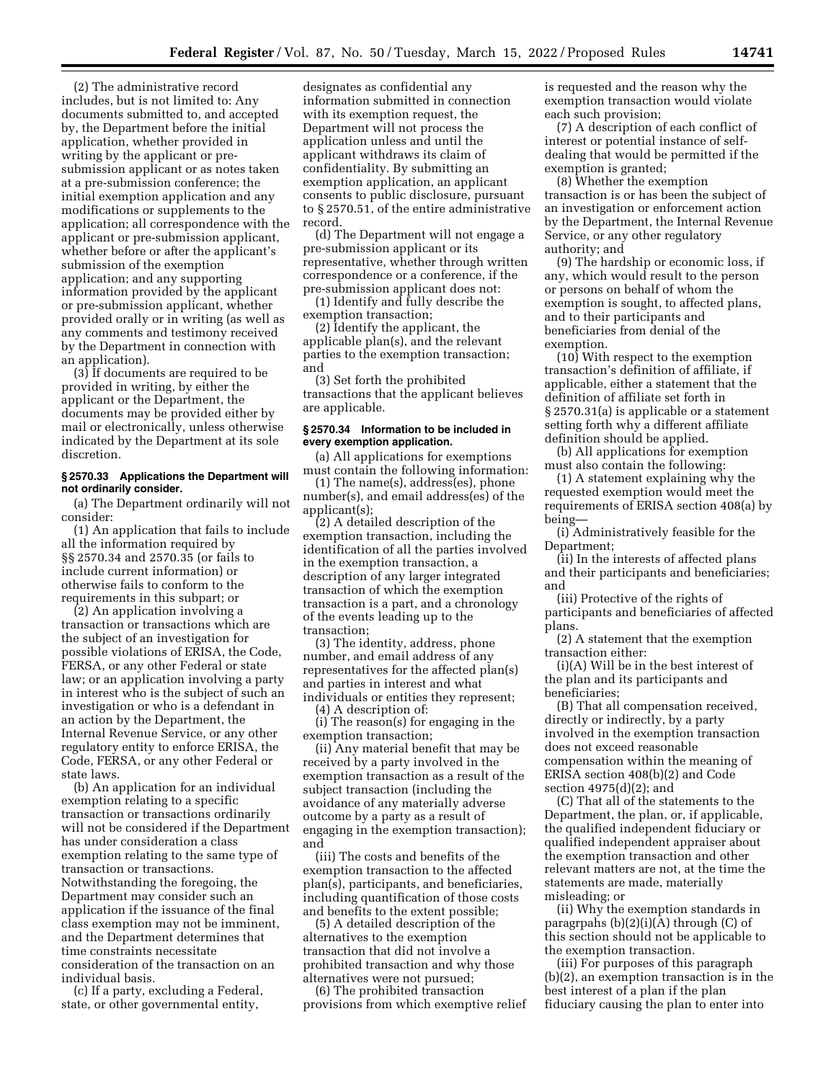(2) The administrative record includes, but is not limited to: Any documents submitted to, and accepted by, the Department before the initial application, whether provided in writing by the applicant or presubmission applicant or as notes taken at a pre-submission conference; the initial exemption application and any modifications or supplements to the application; all correspondence with the applicant or pre-submission applicant, whether before or after the applicant's submission of the exemption application; and any supporting information provided by the applicant or pre-submission applicant, whether provided orally or in writing (as well as any comments and testimony received by the Department in connection with an application).

(3) If documents are required to be provided in writing, by either the applicant or the Department, the documents may be provided either by mail or electronically, unless otherwise indicated by the Department at its sole discretion.

#### **§ 2570.33 Applications the Department will not ordinarily consider.**

(a) The Department ordinarily will not consider:

(1) An application that fails to include all the information required by §§ 2570.34 and 2570.35 (or fails to include current information) or otherwise fails to conform to the requirements in this subpart; or

(2) An application involving a transaction or transactions which are the subject of an investigation for possible violations of ERISA, the Code, FERSA, or any other Federal or state law; or an application involving a party in interest who is the subject of such an investigation or who is a defendant in an action by the Department, the Internal Revenue Service, or any other regulatory entity to enforce ERISA, the Code, FERSA, or any other Federal or state laws.

(b) An application for an individual exemption relating to a specific transaction or transactions ordinarily will not be considered if the Department has under consideration a class exemption relating to the same type of transaction or transactions. Notwithstanding the foregoing, the Department may consider such an application if the issuance of the final class exemption may not be imminent, and the Department determines that time constraints necessitate consideration of the transaction on an individual basis.

(c) If a party, excluding a Federal, state, or other governmental entity,

designates as confidential any information submitted in connection with its exemption request, the Department will not process the application unless and until the applicant withdraws its claim of confidentiality. By submitting an exemption application, an applicant consents to public disclosure, pursuant to § 2570.51, of the entire administrative record.

(d) The Department will not engage a pre-submission applicant or its representative, whether through written correspondence or a conference, if the pre-submission applicant does not:

(1) Identify and fully describe the exemption transaction;

(2) Identify the applicant, the applicable plan(s), and the relevant parties to the exemption transaction; and

(3) Set forth the prohibited transactions that the applicant believes are applicable.

### **§ 2570.34 Information to be included in every exemption application.**

(a) All applications for exemptions must contain the following information:

(1) The name(s), address(es), phone number(s), and email address(es) of the applicant(s);

(2) A detailed description of the exemption transaction, including the identification of all the parties involved in the exemption transaction, a description of any larger integrated transaction of which the exemption transaction is a part, and a chronology of the events leading up to the transaction;

(3) The identity, address, phone number, and email address of any representatives for the affected plan(s) and parties in interest and what individuals or entities they represent;

(4) A description of:

(i) The reason(s) for engaging in the exemption transaction;

(ii) Any material benefit that may be received by a party involved in the exemption transaction as a result of the subject transaction (including the avoidance of any materially adverse outcome by a party as a result of engaging in the exemption transaction); and

(iii) The costs and benefits of the exemption transaction to the affected plan(s), participants, and beneficiaries, including quantification of those costs and benefits to the extent possible;

(5) A detailed description of the alternatives to the exemption transaction that did not involve a prohibited transaction and why those alternatives were not pursued;

(6) The prohibited transaction provisions from which exemptive relief is requested and the reason why the exemption transaction would violate each such provision;

(7) A description of each conflict of interest or potential instance of selfdealing that would be permitted if the exemption is granted;

(8) Whether the exemption transaction is or has been the subject of an investigation or enforcement action by the Department, the Internal Revenue Service, or any other regulatory authority; and

(9) The hardship or economic loss, if any, which would result to the person or persons on behalf of whom the exemption is sought, to affected plans, and to their participants and beneficiaries from denial of the exemption.

(10) With respect to the exemption transaction's definition of affiliate, if applicable, either a statement that the definition of affiliate set forth in § 2570.31(a) is applicable or a statement setting forth why a different affiliate definition should be applied.

(b) All applications for exemption must also contain the following:

(1) A statement explaining why the requested exemption would meet the requirements of ERISA section 408(a) by being—

(i) Administratively feasible for the Department;

(ii) In the interests of affected plans and their participants and beneficiaries; and

(iii) Protective of the rights of participants and beneficiaries of affected plans.

(2) A statement that the exemption transaction either:

(i)(A) Will be in the best interest of the plan and its participants and beneficiaries;

(B) That all compensation received, directly or indirectly, by a party involved in the exemption transaction does not exceed reasonable compensation within the meaning of ERISA section 408(b)(2) and Code section 4975(d)(2); and

(C) That all of the statements to the Department, the plan, or, if applicable, the qualified independent fiduciary or qualified independent appraiser about the exemption transaction and other relevant matters are not, at the time the statements are made, materially misleading; or

(ii) Why the exemption standards in paragrpahs (b)(2)(i)(A) through (C) of this section should not be applicable to the exemption transaction.

(iii) For purposes of this paragraph (b)(2), an exemption transaction is in the best interest of a plan if the plan fiduciary causing the plan to enter into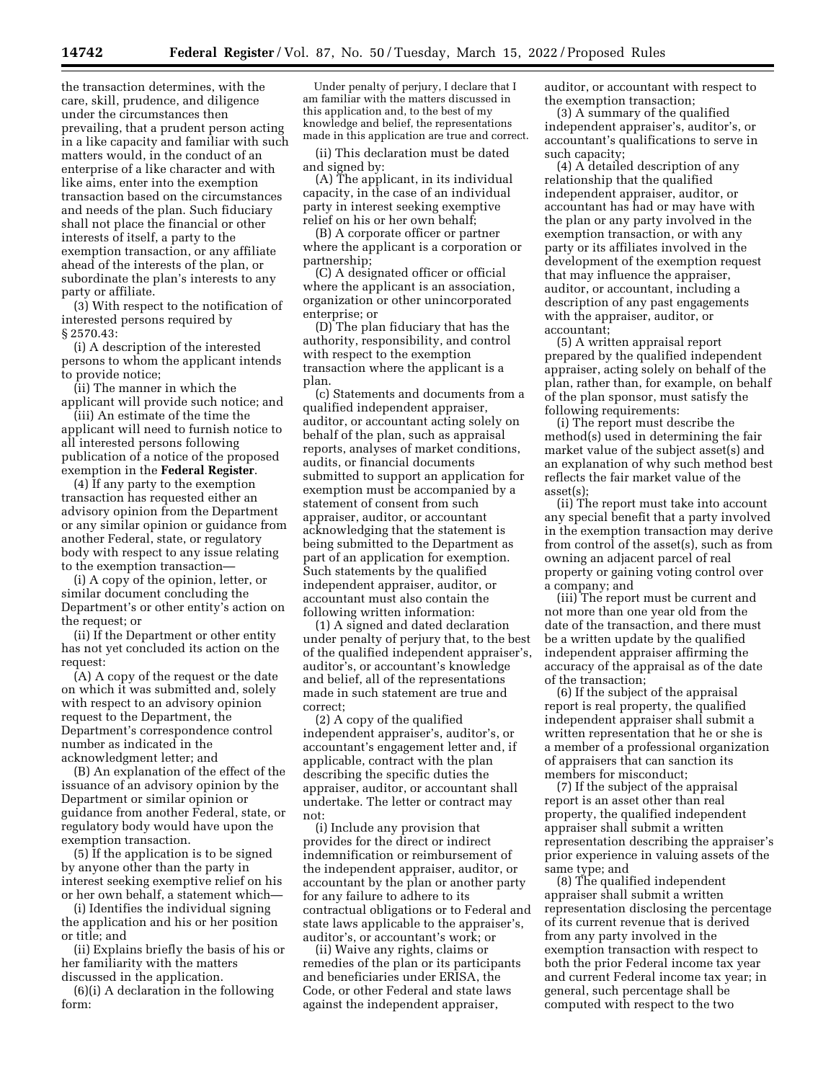the transaction determines, with the care, skill, prudence, and diligence under the circumstances then prevailing, that a prudent person acting in a like capacity and familiar with such matters would, in the conduct of an enterprise of a like character and with like aims, enter into the exemption transaction based on the circumstances and needs of the plan. Such fiduciary shall not place the financial or other interests of itself, a party to the exemption transaction, or any affiliate ahead of the interests of the plan, or subordinate the plan's interests to any party or affiliate.

(3) With respect to the notification of interested persons required by § 2570.43:

(i) A description of the interested persons to whom the applicant intends to provide notice;

(ii) The manner in which the applicant will provide such notice; and

(iii) An estimate of the time the applicant will need to furnish notice to all interested persons following publication of a notice of the proposed exemption in the **Federal Register**.

(4) If any party to the exemption transaction has requested either an advisory opinion from the Department or any similar opinion or guidance from another Federal, state, or regulatory body with respect to any issue relating to the exemption transaction—

(i) A copy of the opinion, letter, or similar document concluding the Department's or other entity's action on the request; or

(ii) If the Department or other entity has not yet concluded its action on the request:

(A) A copy of the request or the date on which it was submitted and, solely with respect to an advisory opinion request to the Department, the Department's correspondence control number as indicated in the acknowledgment letter; and

(B) An explanation of the effect of the issuance of an advisory opinion by the Department or similar opinion or guidance from another Federal, state, or regulatory body would have upon the exemption transaction.

(5) If the application is to be signed by anyone other than the party in interest seeking exemptive relief on his or her own behalf, a statement which—

(i) Identifies the individual signing the application and his or her position or title; and

(ii) Explains briefly the basis of his or her familiarity with the matters discussed in the application.

(6)(i) A declaration in the following form:

Under penalty of perjury, I declare that I am familiar with the matters discussed in this application and, to the best of my knowledge and belief, the representations made in this application are true and correct.

(ii) This declaration must be dated and signed by:

(A) The applicant, in its individual capacity, in the case of an individual party in interest seeking exemptive relief on his or her own behalf;

(B) A corporate officer or partner where the applicant is a corporation or partnership;

(C) A designated officer or official where the applicant is an association, organization or other unincorporated enterprise; or

(D) The plan fiduciary that has the authority, responsibility, and control with respect to the exemption transaction where the applicant is a plan.

(c) Statements and documents from a qualified independent appraiser, auditor, or accountant acting solely on behalf of the plan, such as appraisal reports, analyses of market conditions, audits, or financial documents submitted to support an application for exemption must be accompanied by a statement of consent from such appraiser, auditor, or accountant acknowledging that the statement is being submitted to the Department as part of an application for exemption. Such statements by the qualified independent appraiser, auditor, or accountant must also contain the following written information:

(1) A signed and dated declaration under penalty of perjury that, to the best of the qualified independent appraiser's, auditor's, or accountant's knowledge and belief, all of the representations made in such statement are true and correct;

(2) A copy of the qualified independent appraiser's, auditor's, or accountant's engagement letter and, if applicable, contract with the plan describing the specific duties the appraiser, auditor, or accountant shall undertake. The letter or contract may not:

(i) Include any provision that provides for the direct or indirect indemnification or reimbursement of the independent appraiser, auditor, or accountant by the plan or another party for any failure to adhere to its contractual obligations or to Federal and state laws applicable to the appraiser's, auditor's, or accountant's work; or

(ii) Waive any rights, claims or remedies of the plan or its participants and beneficiaries under ERISA, the Code, or other Federal and state laws against the independent appraiser,

auditor, or accountant with respect to the exemption transaction;

(3) A summary of the qualified independent appraiser's, auditor's, or accountant's qualifications to serve in such capacity;

(4) A detailed description of any relationship that the qualified independent appraiser, auditor, or accountant has had or may have with the plan or any party involved in the exemption transaction, or with any party or its affiliates involved in the development of the exemption request that may influence the appraiser, auditor, or accountant, including a description of any past engagements with the appraiser, auditor, or accountant;

(5) A written appraisal report prepared by the qualified independent appraiser, acting solely on behalf of the plan, rather than, for example, on behalf of the plan sponsor, must satisfy the following requirements:

(i) The report must describe the method(s) used in determining the fair market value of the subject asset(s) and an explanation of why such method best reflects the fair market value of the asset(s);

(ii) The report must take into account any special benefit that a party involved in the exemption transaction may derive from control of the asset(s), such as from owning an adjacent parcel of real property or gaining voting control over a company; and

(iii) The report must be current and not more than one year old from the date of the transaction, and there must be a written update by the qualified independent appraiser affirming the accuracy of the appraisal as of the date of the transaction;

(6) If the subject of the appraisal report is real property, the qualified independent appraiser shall submit a written representation that he or she is a member of a professional organization of appraisers that can sanction its members for misconduct;

(7) If the subject of the appraisal report is an asset other than real property, the qualified independent appraiser shall submit a written representation describing the appraiser's prior experience in valuing assets of the same type; and

(8) The qualified independent appraiser shall submit a written representation disclosing the percentage of its current revenue that is derived from any party involved in the exemption transaction with respect to both the prior Federal income tax year and current Federal income tax year; in general, such percentage shall be computed with respect to the two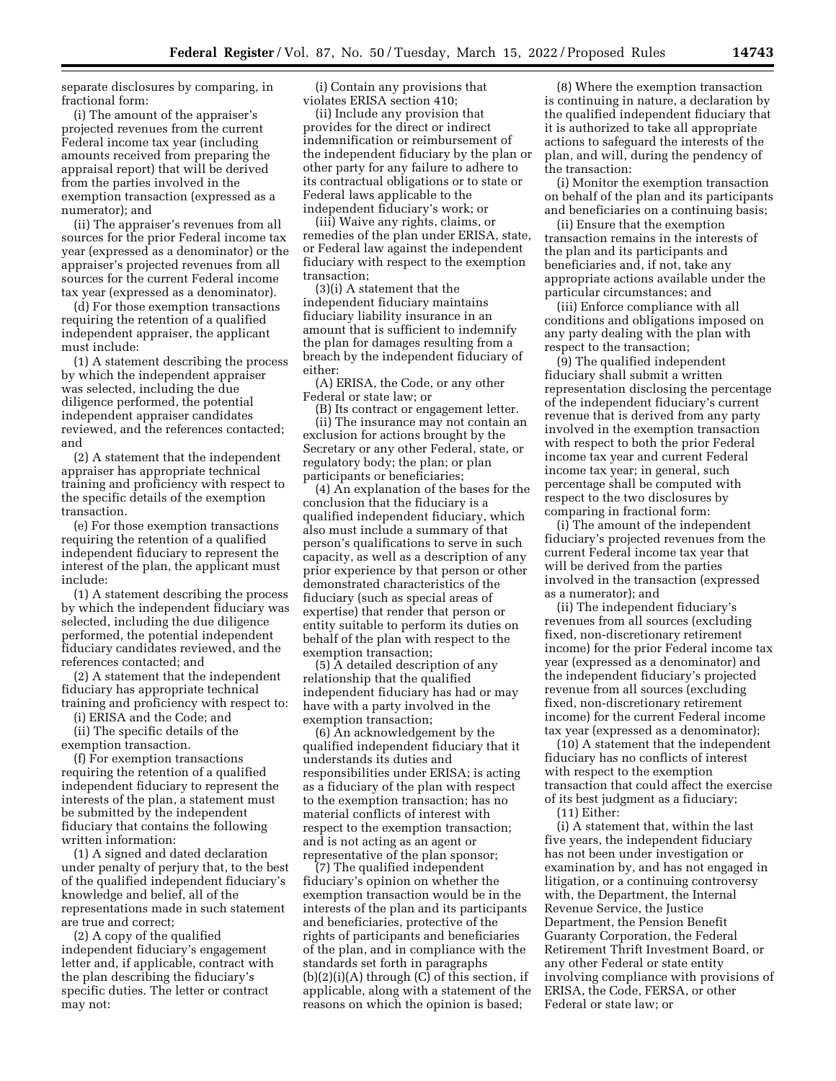separate disclosures by comparing, in fractional form:

(i) The amount of the appraiser's projected revenues from the current Federal income tax year (including amounts received from preparing the appraisal report) that will be derived from the parties involved in the exemption transaction (expressed as a numerator); and

(ii) The appraiser's revenues from all sources for the prior Federal income tax year (expressed as a denominator) or the appraiser's projected revenues from all sources for the current Federal income tax year (expressed as a denominator).

(d) For those exemption transactions requiring the retention of a qualified independent appraiser, the applicant must include:

(1) A statement describing the process by which the independent appraiser was selected, including the due diligence performed, the potential independent appraiser candidates reviewed, and the references contacted; and

(2) A statement that the independent appraiser has appropriate technical training and proficiency with respect to the specific details of the exemption transaction.

(e) For those exemption transactions requiring the retention of a qualified independent fiduciary to represent the interest of the plan, the applicant must include:

(1) A statement describing the process by which the independent fiduciary was selected, including the due diligence performed, the potential independent fiduciary candidates reviewed, and the references contacted; and

(2) A statement that the independent fiduciary has appropriate technical training and proficiency with respect to:

(i) ERISA and the Code; and (ii) The specific details of the

exemption transaction.

(f) For exemption transactions requiring the retention of a qualified independent fiduciary to represent the interests of the plan, a statement must be submitted by the independent fiduciary that contains the following written information:

(1) A signed and dated declaration under penalty of perjury that, to the best of the qualified independent fiduciary's knowledge and belief, all of the representations made in such statement are true and correct;

(2) A copy of the qualified independent fiduciary's engagement letter and, if applicable, contract with the plan describing the fiduciary's specific duties. The letter or contract may not:

(i) Contain any provisions that violates ERISA section 410;

(ii) Include any provision that provides for the direct or indirect indemnification or reimbursement of the independent fiduciary by the plan or other party for any failure to adhere to its contractual obligations or to state or Federal laws applicable to the independent fiduciary's work; or

(iii) Waive any rights, claims, or remedies of the plan under ERISA, state, or Federal law against the independent fiduciary with respect to the exemption transaction;

(3)(i) A statement that the independent fiduciary maintains fiduciary liability insurance in an amount that is sufficient to indemnify the plan for damages resulting from a breach by the independent fiduciary of either:

(A) ERISA, the Code, or any other Federal or state law; or

(B) Its contract or engagement letter. (ii) The insurance may not contain an exclusion for actions brought by the Secretary or any other Federal, state, or regulatory body; the plan; or plan participants or beneficiaries;

(4) An explanation of the bases for the conclusion that the fiduciary is a qualified independent fiduciary, which also must include a summary of that person's qualifications to serve in such capacity, as well as a description of any prior experience by that person or other demonstrated characteristics of the fiduciary (such as special areas of expertise) that render that person or entity suitable to perform its duties on behalf of the plan with respect to the exemption transaction;

(5) A detailed description of any relationship that the qualified independent fiduciary has had or may have with a party involved in the exemption transaction;

(6) An acknowledgement by the qualified independent fiduciary that it understands its duties and responsibilities under ERISA; is acting as a fiduciary of the plan with respect to the exemption transaction; has no material conflicts of interest with respect to the exemption transaction; and is not acting as an agent or representative of the plan sponsor;

(7) The qualified independent fiduciary's opinion on whether the exemption transaction would be in the interests of the plan and its participants and beneficiaries, protective of the rights of participants and beneficiaries of the plan, and in compliance with the standards set forth in paragraphs  $(b)(2)(i)(A)$  through  $(C)$  of this section, if applicable, along with a statement of the reasons on which the opinion is based;

(8) Where the exemption transaction is continuing in nature, a declaration by the qualified independent fiduciary that it is authorized to take all appropriate actions to safeguard the interests of the plan, and will, during the pendency of the transaction:

(i) Monitor the exemption transaction on behalf of the plan and its participants and beneficiaries on a continuing basis;

(ii) Ensure that the exemption transaction remains in the interests of the plan and its participants and beneficiaries and, if not, take any appropriate actions available under the particular circumstances; and

(iii) Enforce compliance with all conditions and obligations imposed on any party dealing with the plan with respect to the transaction;

(9) The qualified independent fiduciary shall submit a written representation disclosing the percentage of the independent fiduciary's current revenue that is derived from any party involved in the exemption transaction with respect to both the prior Federal income tax year and current Federal income tax year; in general, such percentage shall be computed with respect to the two disclosures by comparing in fractional form:

(i) The amount of the independent fiduciary's projected revenues from the current Federal income tax year that will be derived from the parties involved in the transaction (expressed as a numerator); and

(ii) The independent fiduciary's revenues from all sources (excluding fixed, non-discretionary retirement income) for the prior Federal income tax year (expressed as a denominator) and the independent fiduciary's projected revenue from all sources (excluding fixed, non-discretionary retirement income) for the current Federal income tax year (expressed as a denominator);

(10) A statement that the independent fiduciary has no conflicts of interest with respect to the exemption transaction that could affect the exercise of its best judgment as a fiduciary;

(11) Either:

(i) A statement that, within the last five years, the independent fiduciary has not been under investigation or examination by, and has not engaged in litigation, or a continuing controversy with, the Department, the Internal Revenue Service, the Justice Department, the Pension Benefit Guaranty Corporation, the Federal Retirement Thrift Investment Board, or any other Federal or state entity involving compliance with provisions of ERISA, the Code, FERSA, or other Federal or state law; or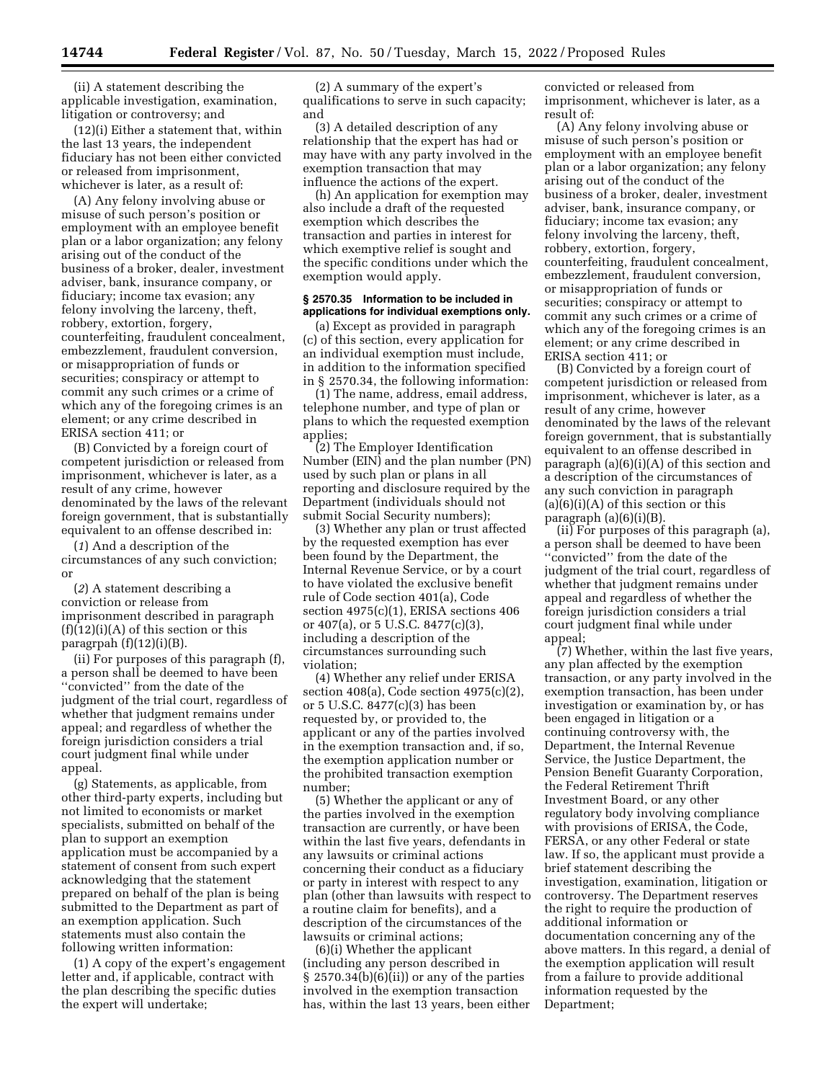(ii) A statement describing the applicable investigation, examination, litigation or controversy; and

(12)(i) Either a statement that, within the last 13 years, the independent fiduciary has not been either convicted or released from imprisonment, whichever is later, as a result of:

(A) Any felony involving abuse or misuse of such person's position or employment with an employee benefit plan or a labor organization; any felony arising out of the conduct of the business of a broker, dealer, investment adviser, bank, insurance company, or fiduciary; income tax evasion; any felony involving the larceny, theft, robbery, extortion, forgery, counterfeiting, fraudulent concealment, embezzlement, fraudulent conversion, or misappropriation of funds or securities; conspiracy or attempt to commit any such crimes or a crime of which any of the foregoing crimes is an element; or any crime described in ERISA section 411; or

(B) Convicted by a foreign court of competent jurisdiction or released from imprisonment, whichever is later, as a result of any crime, however denominated by the laws of the relevant foreign government, that is substantially equivalent to an offense described in:

(*1*) And a description of the circumstances of any such conviction; or

(*2*) A statement describing a conviction or release from imprisonment described in paragraph  $(f)(12)(i)(A)$  of this section or this paragrpah  $(f)(12)(i)(B)$ .

(ii) For purposes of this paragraph (f), a person shall be deemed to have been ''convicted'' from the date of the judgment of the trial court, regardless of whether that judgment remains under appeal; and regardless of whether the foreign jurisdiction considers a trial court judgment final while under appeal.

(g) Statements, as applicable, from other third-party experts, including but not limited to economists or market specialists, submitted on behalf of the plan to support an exemption application must be accompanied by a statement of consent from such expert acknowledging that the statement prepared on behalf of the plan is being submitted to the Department as part of an exemption application. Such statements must also contain the following written information:

(1) A copy of the expert's engagement letter and, if applicable, contract with the plan describing the specific duties the expert will undertake;

(2) A summary of the expert's qualifications to serve in such capacity; and

(3) A detailed description of any relationship that the expert has had or may have with any party involved in the exemption transaction that may influence the actions of the expert.

(h) An application for exemption may also include a draft of the requested exemption which describes the transaction and parties in interest for which exemptive relief is sought and the specific conditions under which the exemption would apply.

#### **§ 2570.35 Information to be included in applications for individual exemptions only.**

(a) Except as provided in paragraph (c) of this section, every application for an individual exemption must include, in addition to the information specified in § 2570.34, the following information:

(1) The name, address, email address, telephone number, and type of plan or plans to which the requested exemption applies;

(2) The Employer Identification Number (EIN) and the plan number (PN) used by such plan or plans in all reporting and disclosure required by the Department (individuals should not submit Social Security numbers);

(3) Whether any plan or trust affected by the requested exemption has ever been found by the Department, the Internal Revenue Service, or by a court to have violated the exclusive benefit rule of Code section 401(a), Code section 4975(c)(1), ERISA sections 406 or 407(a), or 5 U.S.C. 8477(c)(3), including a description of the circumstances surrounding such violation;

(4) Whether any relief under ERISA section 408(a), Code section 4975(c)(2), or 5 U.S.C. 8477(c)(3) has been requested by, or provided to, the applicant or any of the parties involved in the exemption transaction and, if so, the exemption application number or the prohibited transaction exemption number;

(5) Whether the applicant or any of the parties involved in the exemption transaction are currently, or have been within the last five years, defendants in any lawsuits or criminal actions concerning their conduct as a fiduciary or party in interest with respect to any plan (other than lawsuits with respect to a routine claim for benefits), and a description of the circumstances of the lawsuits or criminal actions;

(6)(i) Whether the applicant (including any person described in  $§ 2570.34(b)(6)(ii)$  or any of the parties involved in the exemption transaction has, within the last 13 years, been either

convicted or released from imprisonment, whichever is later, as a result of:

(A) Any felony involving abuse or misuse of such person's position or employment with an employee benefit plan or a labor organization; any felony arising out of the conduct of the business of a broker, dealer, investment adviser, bank, insurance company, or fiduciary; income tax evasion; any felony involving the larceny, theft, robbery, extortion, forgery, counterfeiting, fraudulent concealment, embezzlement, fraudulent conversion, or misappropriation of funds or securities; conspiracy or attempt to commit any such crimes or a crime of which any of the foregoing crimes is an element; or any crime described in ERISA section 411; or

(B) Convicted by a foreign court of competent jurisdiction or released from imprisonment, whichever is later, as a result of any crime, however denominated by the laws of the relevant foreign government, that is substantially equivalent to an offense described in paragraph (a)(6)(i)(A) of this section and a description of the circumstances of any such conviction in paragraph  $(a)(6)(i)(A)$  of this section or this paragraph  $(a)(6)(i)(B)$ 

(ii) For purposes of this paragraph (a), a person shall be deemed to have been ''convicted'' from the date of the judgment of the trial court, regardless of whether that judgment remains under appeal and regardless of whether the foreign jurisdiction considers a trial court judgment final while under appeal;

(7) Whether, within the last five years, any plan affected by the exemption transaction, or any party involved in the exemption transaction, has been under investigation or examination by, or has been engaged in litigation or a continuing controversy with, the Department, the Internal Revenue Service, the Justice Department, the Pension Benefit Guaranty Corporation, the Federal Retirement Thrift Investment Board, or any other regulatory body involving compliance with provisions of ERISA, the Code, FERSA, or any other Federal or state law. If so, the applicant must provide a brief statement describing the investigation, examination, litigation or controversy. The Department reserves the right to require the production of additional information or documentation concerning any of the above matters. In this regard, a denial of the exemption application will result from a failure to provide additional information requested by the Department;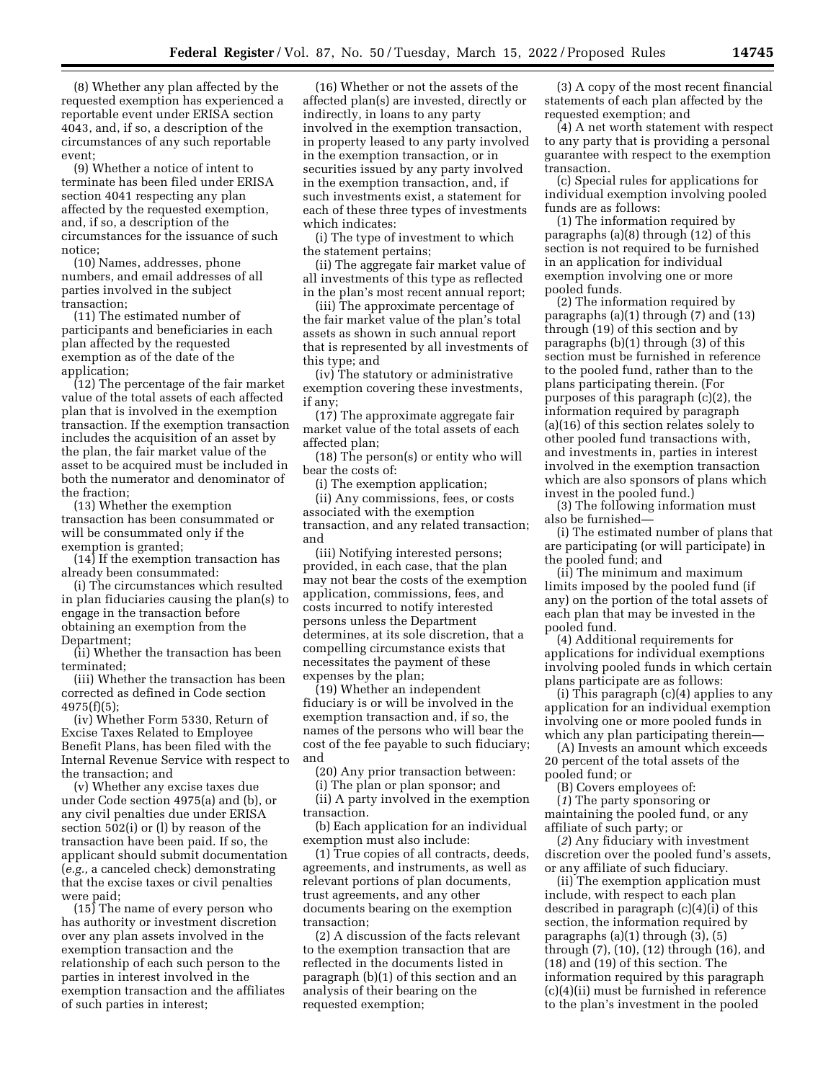(8) Whether any plan affected by the requested exemption has experienced a reportable event under ERISA section 4043, and, if so, a description of the circumstances of any such reportable event;

(9) Whether a notice of intent to terminate has been filed under ERISA section 4041 respecting any plan affected by the requested exemption, and, if so, a description of the circumstances for the issuance of such notice;

(10) Names, addresses, phone numbers, and email addresses of all parties involved in the subject transaction;

(11) The estimated number of participants and beneficiaries in each plan affected by the requested exemption as of the date of the application;

(12) The percentage of the fair market value of the total assets of each affected plan that is involved in the exemption transaction. If the exemption transaction includes the acquisition of an asset by the plan, the fair market value of the asset to be acquired must be included in both the numerator and denominator of the fraction;

(13) Whether the exemption transaction has been consummated or will be consummated only if the exemption is granted;

(14) If the exemption transaction has already been consummated:

(i) The circumstances which resulted in plan fiduciaries causing the plan(s) to engage in the transaction before obtaining an exemption from the Department;

(ii) Whether the transaction has been terminated;

(iii) Whether the transaction has been corrected as defined in Code section 4975(f)(5);

(iv) Whether Form 5330, Return of Excise Taxes Related to Employee Benefit Plans, has been filed with the Internal Revenue Service with respect to the transaction; and

(v) Whether any excise taxes due under Code section 4975(a) and (b), or any civil penalties due under ERISA section 502(i) or (l) by reason of the transaction have been paid. If so, the applicant should submit documentation (*e.g.,* a canceled check) demonstrating that the excise taxes or civil penalties were paid;

(15) The name of every person who has authority or investment discretion over any plan assets involved in the exemption transaction and the relationship of each such person to the parties in interest involved in the exemption transaction and the affiliates of such parties in interest;

(16) Whether or not the assets of the affected plan(s) are invested, directly or indirectly, in loans to any party involved in the exemption transaction, in property leased to any party involved in the exemption transaction, or in securities issued by any party involved in the exemption transaction, and, if such investments exist, a statement for each of these three types of investments which indicates:

(i) The type of investment to which the statement pertains;

(ii) The aggregate fair market value of all investments of this type as reflected in the plan's most recent annual report;

(iii) The approximate percentage of the fair market value of the plan's total assets as shown in such annual report that is represented by all investments of this type; and

(iv) The statutory or administrative exemption covering these investments, if any;

(17) The approximate aggregate fair market value of the total assets of each affected plan;

(18) The person(s) or entity who will bear the costs of:

(i) The exemption application;

(ii) Any commissions, fees, or costs associated with the exemption transaction, and any related transaction; and

(iii) Notifying interested persons; provided, in each case, that the plan may not bear the costs of the exemption application, commissions, fees, and costs incurred to notify interested persons unless the Department determines, at its sole discretion, that a compelling circumstance exists that necessitates the payment of these expenses by the plan;

(19) Whether an independent fiduciary is or will be involved in the exemption transaction and, if so, the names of the persons who will bear the cost of the fee payable to such fiduciary; and

(20) Any prior transaction between:

(i) The plan or plan sponsor; and

(ii) A party involved in the exemption transaction.

(b) Each application for an individual exemption must also include:

(1) True copies of all contracts, deeds, agreements, and instruments, as well as relevant portions of plan documents, trust agreements, and any other documents bearing on the exemption transaction;

(2) A discussion of the facts relevant to the exemption transaction that are reflected in the documents listed in paragraph (b)(1) of this section and an analysis of their bearing on the requested exemption;

(3) A copy of the most recent financial statements of each plan affected by the requested exemption; and

(4) A net worth statement with respect to any party that is providing a personal guarantee with respect to the exemption transaction.

(c) Special rules for applications for individual exemption involving pooled funds are as follows:

(1) The information required by paragraphs (a)(8) through (12) of this section is not required to be furnished in an application for individual exemption involving one or more pooled funds.

(2) The information required by paragraphs (a)(1) through (7) and (13) through (19) of this section and by paragraphs (b)(1) through (3) of this section must be furnished in reference to the pooled fund, rather than to the plans participating therein. (For purposes of this paragraph (c)(2), the information required by paragraph (a)(16) of this section relates solely to other pooled fund transactions with, and investments in, parties in interest involved in the exemption transaction which are also sponsors of plans which invest in the pooled fund.)

(3) The following information must also be furnished—

(i) The estimated number of plans that are participating (or will participate) in the pooled fund; and

(ii) The minimum and maximum limits imposed by the pooled fund (if any) on the portion of the total assets of each plan that may be invested in the pooled fund.

(4) Additional requirements for applications for individual exemptions involving pooled funds in which certain plans participate are as follows:

(i) This paragraph (c)(4) applies to any application for an individual exemption involving one or more pooled funds in which any plan participating therein-

(A) Invests an amount which exceeds 20 percent of the total assets of the pooled fund; or

(B) Covers employees of:

(*1*) The party sponsoring or maintaining the pooled fund, or any affiliate of such party; or

(*2*) Any fiduciary with investment discretion over the pooled fund's assets, or any affiliate of such fiduciary.

(ii) The exemption application must include, with respect to each plan described in paragraph (c)(4)(i) of this section, the information required by paragraphs (a)(1) through (3), (5) through (7), (10), (12) through (16), and (18) and (19) of this section. The information required by this paragraph (c)(4)(ii) must be furnished in reference to the plan's investment in the pooled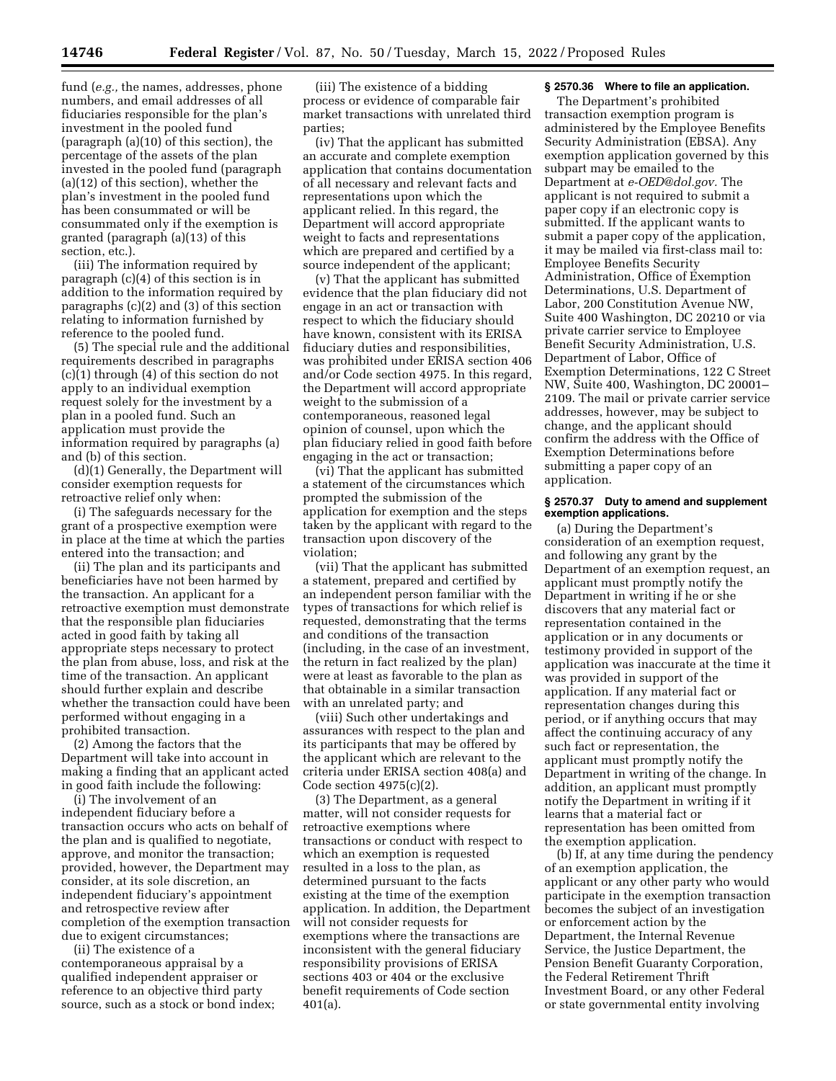fund (*e.g.,* the names, addresses, phone numbers, and email addresses of all fiduciaries responsible for the plan's investment in the pooled fund (paragraph (a)(10) of this section), the percentage of the assets of the plan invested in the pooled fund (paragraph (a)(12) of this section), whether the plan's investment in the pooled fund has been consummated or will be consummated only if the exemption is granted (paragraph (a)(13) of this section, etc.).

(iii) The information required by paragraph (c)(4) of this section is in addition to the information required by paragraphs (c)(2) and (3) of this section relating to information furnished by reference to the pooled fund.

(5) The special rule and the additional requirements described in paragraphs (c)(1) through (4) of this section do not apply to an individual exemption request solely for the investment by a plan in a pooled fund. Such an application must provide the information required by paragraphs (a) and (b) of this section.

(d)(1) Generally, the Department will consider exemption requests for retroactive relief only when:

(i) The safeguards necessary for the grant of a prospective exemption were in place at the time at which the parties entered into the transaction; and

(ii) The plan and its participants and beneficiaries have not been harmed by the transaction. An applicant for a retroactive exemption must demonstrate that the responsible plan fiduciaries acted in good faith by taking all appropriate steps necessary to protect the plan from abuse, loss, and risk at the time of the transaction. An applicant should further explain and describe whether the transaction could have been performed without engaging in a prohibited transaction.

(2) Among the factors that the Department will take into account in making a finding that an applicant acted in good faith include the following:

(i) The involvement of an independent fiduciary before a transaction occurs who acts on behalf of the plan and is qualified to negotiate, approve, and monitor the transaction; provided, however, the Department may consider, at its sole discretion, an independent fiduciary's appointment and retrospective review after completion of the exemption transaction due to exigent circumstances;

(ii) The existence of a contemporaneous appraisal by a qualified independent appraiser or reference to an objective third party source, such as a stock or bond index;

(iii) The existence of a bidding process or evidence of comparable fair market transactions with unrelated third parties;

(iv) That the applicant has submitted an accurate and complete exemption application that contains documentation of all necessary and relevant facts and representations upon which the applicant relied. In this regard, the Department will accord appropriate weight to facts and representations which are prepared and certified by a source independent of the applicant;

(v) That the applicant has submitted evidence that the plan fiduciary did not engage in an act or transaction with respect to which the fiduciary should have known, consistent with its ERISA fiduciary duties and responsibilities, was prohibited under ERISA section 406 and/or Code section 4975. In this regard, the Department will accord appropriate weight to the submission of a contemporaneous, reasoned legal opinion of counsel, upon which the plan fiduciary relied in good faith before engaging in the act or transaction;

(vi) That the applicant has submitted a statement of the circumstances which prompted the submission of the application for exemption and the steps taken by the applicant with regard to the transaction upon discovery of the violation;

(vii) That the applicant has submitted a statement, prepared and certified by an independent person familiar with the types of transactions for which relief is requested, demonstrating that the terms and conditions of the transaction (including, in the case of an investment, the return in fact realized by the plan) were at least as favorable to the plan as that obtainable in a similar transaction with an unrelated party; and

(viii) Such other undertakings and assurances with respect to the plan and its participants that may be offered by the applicant which are relevant to the criteria under ERISA section 408(a) and Code section 4975(c)(2).

(3) The Department, as a general matter, will not consider requests for retroactive exemptions where transactions or conduct with respect to which an exemption is requested resulted in a loss to the plan, as determined pursuant to the facts existing at the time of the exemption application. In addition, the Department will not consider requests for exemptions where the transactions are inconsistent with the general fiduciary responsibility provisions of ERISA sections 403 or 404 or the exclusive benefit requirements of Code section 401(a).

## **§ 2570.36 Where to file an application.**

The Department's prohibited transaction exemption program is administered by the Employee Benefits Security Administration (EBSA). Any exemption application governed by this subpart may be emailed to the Department at *[e-OED@dol.gov.](mailto:e-OED@dol.gov)* The applicant is not required to submit a paper copy if an electronic copy is submitted. If the applicant wants to submit a paper copy of the application, it may be mailed via first-class mail to: Employee Benefits Security Administration, Office of Exemption Determinations, U.S. Department of Labor, 200 Constitution Avenue NW, Suite 400 Washington, DC 20210 or via private carrier service to Employee Benefit Security Administration, U.S. Department of Labor, Office of Exemption Determinations, 122 C Street NW, Suite 400, Washington, DC 20001– 2109. The mail or private carrier service addresses, however, may be subject to change, and the applicant should confirm the address with the Office of Exemption Determinations before submitting a paper copy of an application.

## **§ 2570.37 Duty to amend and supplement exemption applications.**

(a) During the Department's consideration of an exemption request, and following any grant by the Department of an exemption request, an applicant must promptly notify the Department in writing if he or she discovers that any material fact or representation contained in the application or in any documents or testimony provided in support of the application was inaccurate at the time it was provided in support of the application. If any material fact or representation changes during this period, or if anything occurs that may affect the continuing accuracy of any such fact or representation, the applicant must promptly notify the Department in writing of the change. In addition, an applicant must promptly notify the Department in writing if it learns that a material fact or representation has been omitted from the exemption application.

(b) If, at any time during the pendency of an exemption application, the applicant or any other party who would participate in the exemption transaction becomes the subject of an investigation or enforcement action by the Department, the Internal Revenue Service, the Justice Department, the Pension Benefit Guaranty Corporation, the Federal Retirement Thrift Investment Board, or any other Federal or state governmental entity involving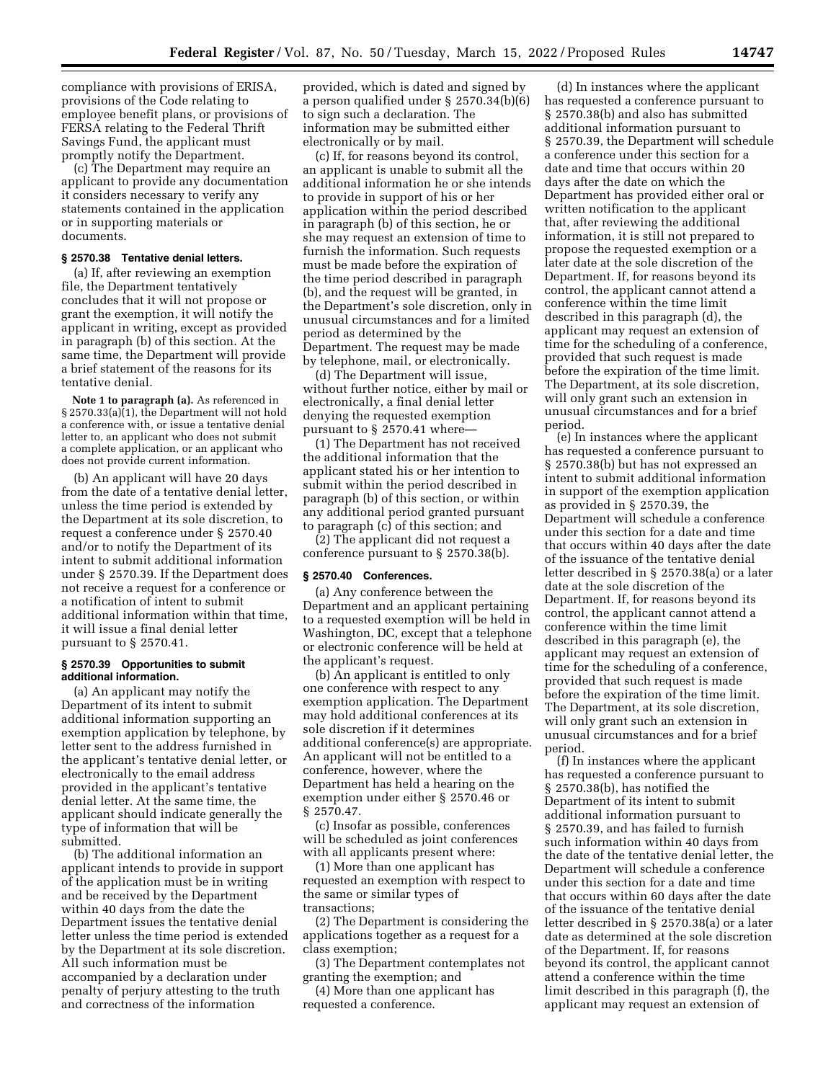compliance with provisions of ERISA, provisions of the Code relating to employee benefit plans, or provisions of FERSA relating to the Federal Thrift Savings Fund, the applicant must promptly notify the Department.

(c) The Department may require an applicant to provide any documentation it considers necessary to verify any statements contained in the application or in supporting materials or documents.

#### **§ 2570.38 Tentative denial letters.**

(a) If, after reviewing an exemption file, the Department tentatively concludes that it will not propose or grant the exemption, it will notify the applicant in writing, except as provided in paragraph (b) of this section. At the same time, the Department will provide a brief statement of the reasons for its tentative denial.

**Note 1 to paragraph (a).** As referenced in § 2570.33(a)(1), the Department will not hold a conference with, or issue a tentative denial letter to, an applicant who does not submit a complete application, or an applicant who does not provide current information.

(b) An applicant will have 20 days from the date of a tentative denial letter, unless the time period is extended by the Department at its sole discretion, to request a conference under § 2570.40 and/or to notify the Department of its intent to submit additional information under § 2570.39. If the Department does not receive a request for a conference or a notification of intent to submit additional information within that time, it will issue a final denial letter pursuant to § 2570.41.

## **§ 2570.39 Opportunities to submit additional information.**

(a) An applicant may notify the Department of its intent to submit additional information supporting an exemption application by telephone, by letter sent to the address furnished in the applicant's tentative denial letter, or electronically to the email address provided in the applicant's tentative denial letter. At the same time, the applicant should indicate generally the type of information that will be submitted.

(b) The additional information an applicant intends to provide in support of the application must be in writing and be received by the Department within 40 days from the date the Department issues the tentative denial letter unless the time period is extended by the Department at its sole discretion. All such information must be accompanied by a declaration under penalty of perjury attesting to the truth and correctness of the information

provided, which is dated and signed by a person qualified under § 2570.34(b)(6) to sign such a declaration. The information may be submitted either electronically or by mail.

(c) If, for reasons beyond its control, an applicant is unable to submit all the additional information he or she intends to provide in support of his or her application within the period described in paragraph (b) of this section, he or she may request an extension of time to furnish the information. Such requests must be made before the expiration of the time period described in paragraph (b), and the request will be granted, in the Department's sole discretion, only in unusual circumstances and for a limited period as determined by the Department. The request may be made by telephone, mail, or electronically.

(d) The Department will issue, without further notice, either by mail or electronically, a final denial letter denying the requested exemption pursuant to  $\S$  2570.41 where-

(1) The Department has not received the additional information that the applicant stated his or her intention to submit within the period described in paragraph (b) of this section, or within any additional period granted pursuant to paragraph (c) of this section; and

(2) The applicant did not request a conference pursuant to § 2570.38(b).

## **§ 2570.40 Conferences.**

(a) Any conference between the Department and an applicant pertaining to a requested exemption will be held in Washington, DC, except that a telephone or electronic conference will be held at the applicant's request.

(b) An applicant is entitled to only one conference with respect to any exemption application. The Department may hold additional conferences at its sole discretion if it determines additional conference(s) are appropriate. An applicant will not be entitled to a conference, however, where the Department has held a hearing on the exemption under either § 2570.46 or § 2570.47.

(c) Insofar as possible, conferences will be scheduled as joint conferences with all applicants present where:

(1) More than one applicant has requested an exemption with respect to the same or similar types of transactions;

(2) The Department is considering the applications together as a request for a class exemption;

(3) The Department contemplates not granting the exemption; and

(4) More than one applicant has requested a conference.

(d) In instances where the applicant has requested a conference pursuant to § 2570.38(b) and also has submitted additional information pursuant to § 2570.39, the Department will schedule a conference under this section for a date and time that occurs within 20 days after the date on which the Department has provided either oral or written notification to the applicant that, after reviewing the additional information, it is still not prepared to propose the requested exemption or a later date at the sole discretion of the Department. If, for reasons beyond its control, the applicant cannot attend a conference within the time limit described in this paragraph (d), the applicant may request an extension of time for the scheduling of a conference, provided that such request is made before the expiration of the time limit. The Department, at its sole discretion, will only grant such an extension in unusual circumstances and for a brief period.

(e) In instances where the applicant has requested a conference pursuant to § 2570.38(b) but has not expressed an intent to submit additional information in support of the exemption application as provided in § 2570.39, the Department will schedule a conference under this section for a date and time that occurs within 40 days after the date of the issuance of the tentative denial letter described in § 2570.38(a) or a later date at the sole discretion of the Department. If, for reasons beyond its control, the applicant cannot attend a conference within the time limit described in this paragraph (e), the applicant may request an extension of time for the scheduling of a conference, provided that such request is made before the expiration of the time limit. The Department, at its sole discretion, will only grant such an extension in unusual circumstances and for a brief period.

(f) In instances where the applicant has requested a conference pursuant to § 2570.38(b), has notified the Department of its intent to submit additional information pursuant to § 2570.39, and has failed to furnish such information within 40 days from the date of the tentative denial letter, the Department will schedule a conference under this section for a date and time that occurs within 60 days after the date of the issuance of the tentative denial letter described in § 2570.38(a) or a later date as determined at the sole discretion of the Department. If, for reasons beyond its control, the applicant cannot attend a conference within the time limit described in this paragraph (f), the applicant may request an extension of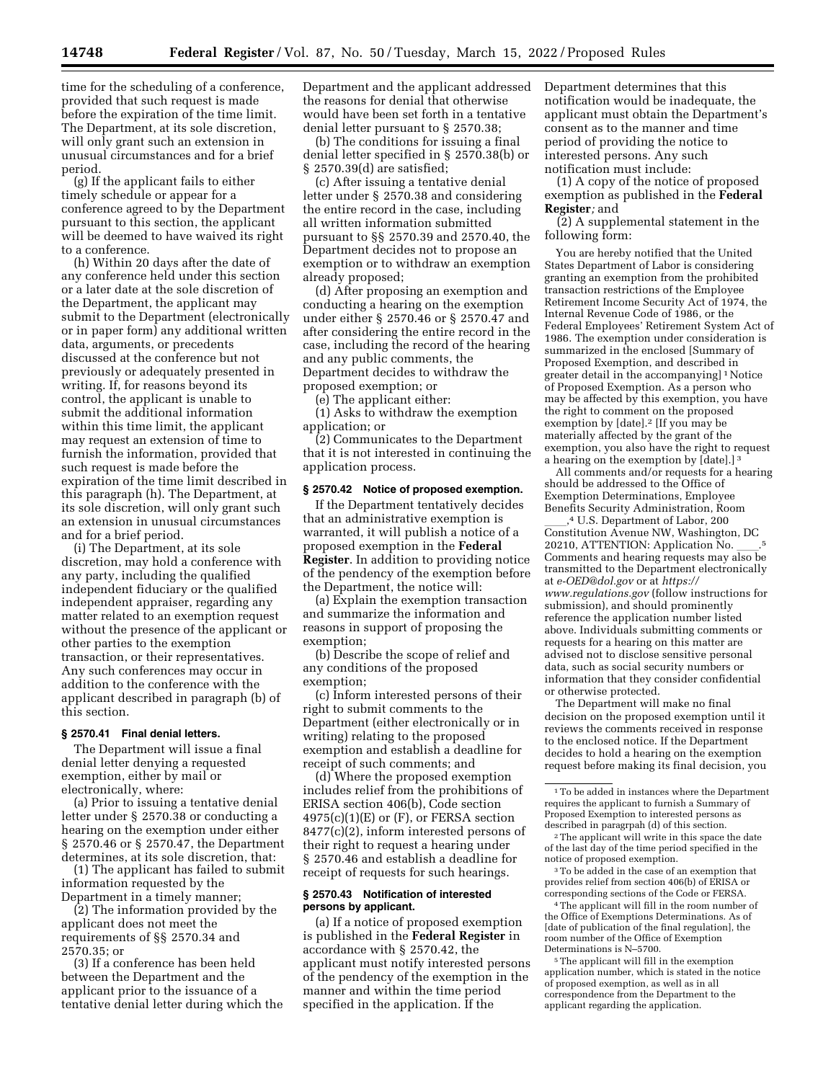time for the scheduling of a conference, provided that such request is made before the expiration of the time limit. The Department, at its sole discretion, will only grant such an extension in unusual circumstances and for a brief period.

(g) If the applicant fails to either timely schedule or appear for a conference agreed to by the Department pursuant to this section, the applicant will be deemed to have waived its right to a conference.

(h) Within 20 days after the date of any conference held under this section or a later date at the sole discretion of the Department, the applicant may submit to the Department (electronically or in paper form) any additional written data, arguments, or precedents discussed at the conference but not previously or adequately presented in writing. If, for reasons beyond its control, the applicant is unable to submit the additional information within this time limit, the applicant may request an extension of time to furnish the information, provided that such request is made before the expiration of the time limit described in this paragraph (h). The Department, at its sole discretion, will only grant such an extension in unusual circumstances and for a brief period.

(i) The Department, at its sole discretion, may hold a conference with any party, including the qualified independent fiduciary or the qualified independent appraiser, regarding any matter related to an exemption request without the presence of the applicant or other parties to the exemption transaction, or their representatives. Any such conferences may occur in addition to the conference with the applicant described in paragraph (b) of this section.

### **§ 2570.41 Final denial letters.**

The Department will issue a final denial letter denying a requested exemption, either by mail or electronically, where:

(a) Prior to issuing a tentative denial letter under § 2570.38 or conducting a hearing on the exemption under either § 2570.46 or § 2570.47, the Department determines, at its sole discretion, that:

(1) The applicant has failed to submit information requested by the Department in a timely manner;

(2) The information provided by the applicant does not meet the requirements of §§ 2570.34 and 2570.35; or

(3) If a conference has been held between the Department and the applicant prior to the issuance of a tentative denial letter during which the Department and the applicant addressed the reasons for denial that otherwise would have been set forth in a tentative denial letter pursuant to § 2570.38;

(b) The conditions for issuing a final denial letter specified in § 2570.38(b) or § 2570.39(d) are satisfied;

(c) After issuing a tentative denial letter under § 2570.38 and considering the entire record in the case, including all written information submitted pursuant to §§ 2570.39 and 2570.40, the Department decides not to propose an exemption or to withdraw an exemption already proposed;

(d) After proposing an exemption and conducting a hearing on the exemption under either § 2570.46 or § 2570.47 and after considering the entire record in the case, including the record of the hearing and any public comments, the Department decides to withdraw the proposed exemption; or

(e) The applicant either:

(1) Asks to withdraw the exemption application; or

(2) Communicates to the Department that it is not interested in continuing the application process.

## **§ 2570.42 Notice of proposed exemption.**

If the Department tentatively decides that an administrative exemption is warranted, it will publish a notice of a proposed exemption in the **Federal Register**. In addition to providing notice of the pendency of the exemption before the Department, the notice will:

(a) Explain the exemption transaction and summarize the information and reasons in support of proposing the exemption;

(b) Describe the scope of relief and any conditions of the proposed exemption;

(c) Inform interested persons of their right to submit comments to the Department (either electronically or in writing) relating to the proposed exemption and establish a deadline for receipt of such comments; and

(d) Where the proposed exemption includes relief from the prohibitions of ERISA section 406(b), Code section  $4975(c)(1)(E)$  or  $(F)$ , or FERSA section 8477(c)(2), inform interested persons of their right to request a hearing under § 2570.46 and establish a deadline for receipt of requests for such hearings.

# **§ 2570.43 Notification of interested persons by applicant.**

(a) If a notice of proposed exemption is published in the **Federal Register** in accordance with § 2570.42, the applicant must notify interested persons of the pendency of the exemption in the manner and within the time period specified in the application. If the

Department determines that this notification would be inadequate, the applicant must obtain the Department's consent as to the manner and time period of providing the notice to interested persons. Any such notification must include:

(1) A copy of the notice of proposed exemption as published in the **Federal Register***;* and

(2) A supplemental statement in the following form:

You are hereby notified that the United States Department of Labor is considering granting an exemption from the prohibited transaction restrictions of the Employee Retirement Income Security Act of 1974, the Internal Revenue Code of 1986, or the Federal Employees' Retirement System Act of 1986. The exemption under consideration is summarized in the enclosed [Summary of Proposed Exemption, and described in greater detail in the accompanying] 1Notice of Proposed Exemption. As a person who may be affected by this exemption, you have the right to comment on the proposed exemption by [date].2 [If you may be materially affected by the grant of the exemption, you also have the right to request a hearing on the exemption by [date].] 3

All comments and/or requests for a hearing should be addressed to the Office of Exemption Determinations, Employee Benefits Security Administration, Room

 $1,4$  U.S. Department of Labor, 200 Constitution Avenue NW, Washington, DC 20210, ATTENTION: Application No. Comments and hearing requests may also be transmitted to the Department electronically at *[e-OED@dol.gov](mailto:e-OED@dol.gov)* or at *[https://](https://www.regulations.gov) [www.regulations.gov](https://www.regulations.gov)* (follow instructions for submission), and should prominently reference the application number listed above. Individuals submitting comments or requests for a hearing on this matter are advised not to disclose sensitive personal data, such as social security numbers or information that they consider confidential or otherwise protected.

The Department will make no final decision on the proposed exemption until it reviews the comments received in response to the enclosed notice. If the Department decides to hold a hearing on the exemption request before making its final decision, you

3To be added in the case of an exemption that provides relief from section 406(b) of ERISA or corresponding sections of the Code or FERSA.

4The applicant will fill in the room number of the Office of Exemptions Determinations. As of [date of publication of the final regulation], the room number of the Office of Exemption Determinations is N–5700.

5The applicant will fill in the exemption application number, which is stated in the notice of proposed exemption, as well as in all correspondence from the Department to the applicant regarding the application.

<sup>1</sup>To be added in instances where the Department requires the applicant to furnish a Summary of Proposed Exemption to interested persons as described in paragrpah (d) of this section.

<sup>2</sup>The applicant will write in this space the date of the last day of the time period specified in the notice of proposed exemption.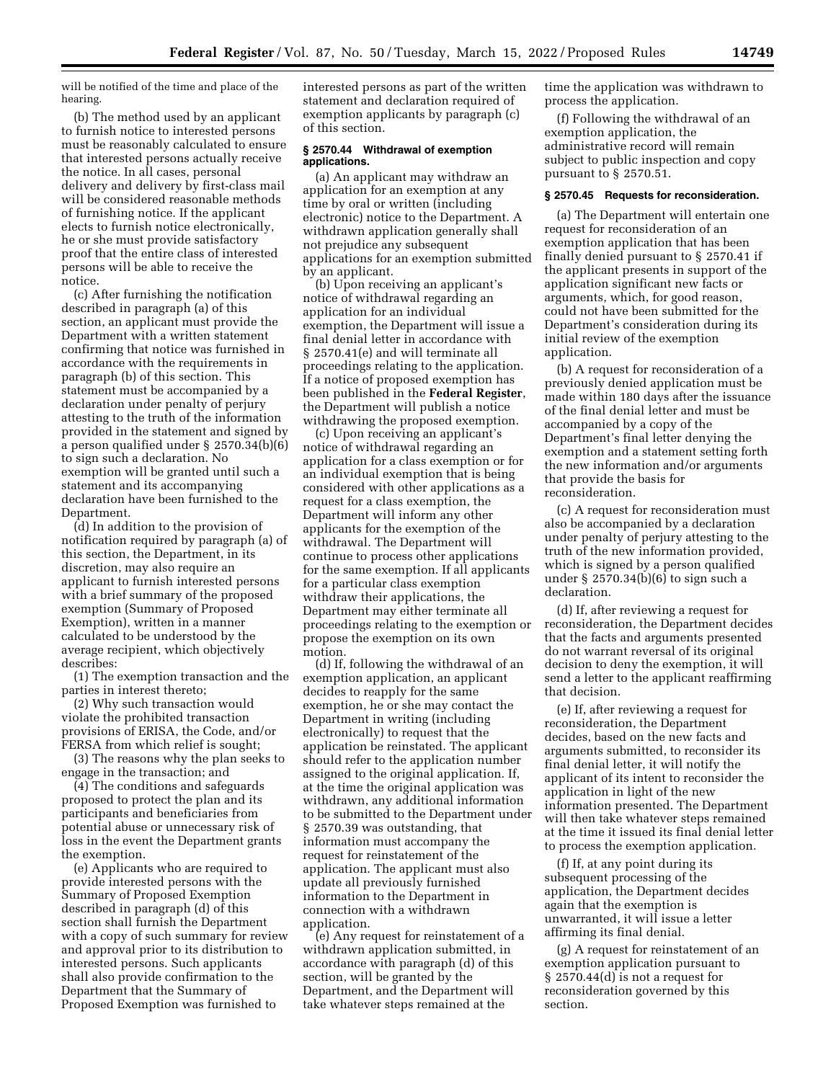will be notified of the time and place of the hearing.

(b) The method used by an applicant to furnish notice to interested persons must be reasonably calculated to ensure that interested persons actually receive the notice. In all cases, personal delivery and delivery by first-class mail will be considered reasonable methods of furnishing notice. If the applicant elects to furnish notice electronically, he or she must provide satisfactory proof that the entire class of interested persons will be able to receive the notice.

(c) After furnishing the notification described in paragraph (a) of this section, an applicant must provide the Department with a written statement confirming that notice was furnished in accordance with the requirements in paragraph (b) of this section. This statement must be accompanied by a declaration under penalty of perjury attesting to the truth of the information provided in the statement and signed by a person qualified under § 2570.34(b)(6) to sign such a declaration. No exemption will be granted until such a statement and its accompanying declaration have been furnished to the Department.

(d) In addition to the provision of notification required by paragraph (a) of this section, the Department, in its discretion, may also require an applicant to furnish interested persons with a brief summary of the proposed exemption (Summary of Proposed Exemption), written in a manner calculated to be understood by the average recipient, which objectively describes:

(1) The exemption transaction and the parties in interest thereto;

(2) Why such transaction would violate the prohibited transaction provisions of ERISA, the Code, and/or FERSA from which relief is sought;

(3) The reasons why the plan seeks to engage in the transaction; and

(4) The conditions and safeguards proposed to protect the plan and its participants and beneficiaries from potential abuse or unnecessary risk of loss in the event the Department grants the exemption.

(e) Applicants who are required to provide interested persons with the Summary of Proposed Exemption described in paragraph (d) of this section shall furnish the Department with a copy of such summary for review and approval prior to its distribution to interested persons. Such applicants shall also provide confirmation to the Department that the Summary of Proposed Exemption was furnished to

interested persons as part of the written statement and declaration required of exemption applicants by paragraph (c) of this section.

## **§ 2570.44 Withdrawal of exemption applications.**

(a) An applicant may withdraw an application for an exemption at any time by oral or written (including electronic) notice to the Department. A withdrawn application generally shall not prejudice any subsequent applications for an exemption submitted by an applicant.

(b) Upon receiving an applicant's notice of withdrawal regarding an application for an individual exemption, the Department will issue a final denial letter in accordance with § 2570.41(e) and will terminate all proceedings relating to the application. If a notice of proposed exemption has been published in the **Federal Register**, the Department will publish a notice withdrawing the proposed exemption.

(c) Upon receiving an applicant's notice of withdrawal regarding an application for a class exemption or for an individual exemption that is being considered with other applications as a request for a class exemption, the Department will inform any other applicants for the exemption of the withdrawal. The Department will continue to process other applications for the same exemption. If all applicants for a particular class exemption withdraw their applications, the Department may either terminate all proceedings relating to the exemption or propose the exemption on its own motion.

(d) If, following the withdrawal of an exemption application, an applicant decides to reapply for the same exemption, he or she may contact the Department in writing (including electronically) to request that the application be reinstated. The applicant should refer to the application number assigned to the original application. If, at the time the original application was withdrawn, any additional information to be submitted to the Department under § 2570.39 was outstanding, that information must accompany the request for reinstatement of the application. The applicant must also update all previously furnished information to the Department in connection with a withdrawn application.

(e) Any request for reinstatement of a withdrawn application submitted, in accordance with paragraph (d) of this section, will be granted by the Department, and the Department will take whatever steps remained at the

time the application was withdrawn to process the application.

(f) Following the withdrawal of an exemption application, the administrative record will remain subject to public inspection and copy pursuant to § 2570.51.

## **§ 2570.45 Requests for reconsideration.**

(a) The Department will entertain one request for reconsideration of an exemption application that has been finally denied pursuant to § 2570.41 if the applicant presents in support of the application significant new facts or arguments, which, for good reason, could not have been submitted for the Department's consideration during its initial review of the exemption application.

(b) A request for reconsideration of a previously denied application must be made within 180 days after the issuance of the final denial letter and must be accompanied by a copy of the Department's final letter denying the exemption and a statement setting forth the new information and/or arguments that provide the basis for reconsideration.

(c) A request for reconsideration must also be accompanied by a declaration under penalty of perjury attesting to the truth of the new information provided, which is signed by a person qualified under § 2570.34(b)(6) to sign such a declaration.

(d) If, after reviewing a request for reconsideration, the Department decides that the facts and arguments presented do not warrant reversal of its original decision to deny the exemption, it will send a letter to the applicant reaffirming that decision.

(e) If, after reviewing a request for reconsideration, the Department decides, based on the new facts and arguments submitted, to reconsider its final denial letter, it will notify the applicant of its intent to reconsider the application in light of the new information presented. The Department will then take whatever steps remained at the time it issued its final denial letter to process the exemption application.

(f) If, at any point during its subsequent processing of the application, the Department decides again that the exemption is unwarranted, it will issue a letter affirming its final denial.

(g) A request for reinstatement of an exemption application pursuant to § 2570.44(d) is not a request for reconsideration governed by this section.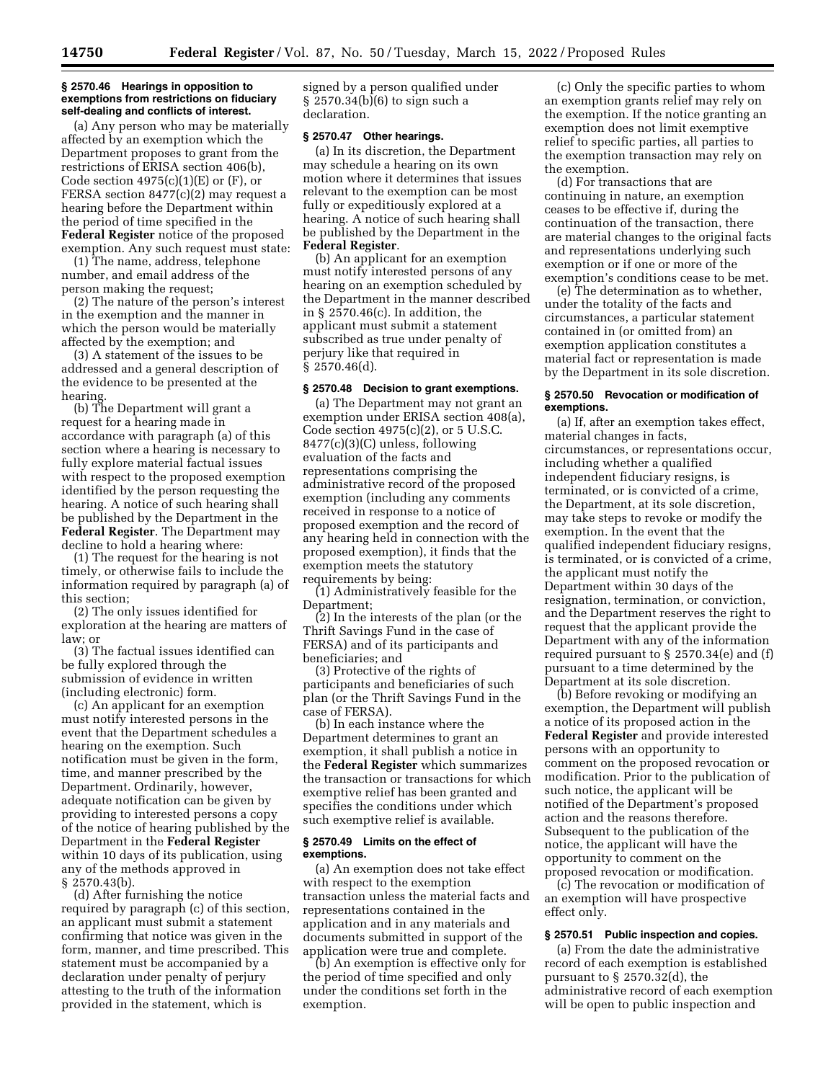#### **§ 2570.46 Hearings in opposition to exemptions from restrictions on fiduciary self-dealing and conflicts of interest.**

(a) Any person who may be materially affected by an exemption which the Department proposes to grant from the restrictions of ERISA section 406(b), Code section  $4975(c)(1)(E)$  or  $(F)$ , or FERSA section 8477(c)(2) may request a hearing before the Department within the period of time specified in the **Federal Register** notice of the proposed exemption. Any such request must state:

(1) The name, address, telephone number, and email address of the person making the request;

(2) The nature of the person's interest in the exemption and the manner in which the person would be materially affected by the exemption; and

(3) A statement of the issues to be addressed and a general description of the evidence to be presented at the hearing.

(b) The Department will grant a request for a hearing made in accordance with paragraph (a) of this section where a hearing is necessary to fully explore material factual issues with respect to the proposed exemption identified by the person requesting the hearing. A notice of such hearing shall be published by the Department in the **Federal Register**. The Department may decline to hold a hearing where:

(1) The request for the hearing is not timely, or otherwise fails to include the information required by paragraph (a) of this section;

(2) The only issues identified for exploration at the hearing are matters of law; or

(3) The factual issues identified can be fully explored through the submission of evidence in written (including electronic) form.

(c) An applicant for an exemption must notify interested persons in the event that the Department schedules a hearing on the exemption. Such notification must be given in the form, time, and manner prescribed by the Department. Ordinarily, however, adequate notification can be given by providing to interested persons a copy of the notice of hearing published by the Department in the **Federal Register**  within 10 days of its publication, using any of the methods approved in  $§$  2570.43(b).

(d) After furnishing the notice required by paragraph (c) of this section, an applicant must submit a statement confirming that notice was given in the form, manner, and time prescribed. This statement must be accompanied by a declaration under penalty of perjury attesting to the truth of the information provided in the statement, which is

signed by a person qualified under § 2570.34(b)(6) to sign such a declaration.

### **§ 2570.47 Other hearings.**

(a) In its discretion, the Department may schedule a hearing on its own motion where it determines that issues relevant to the exemption can be most fully or expeditiously explored at a hearing. A notice of such hearing shall be published by the Department in the **Federal Register**.

(b) An applicant for an exemption must notify interested persons of any hearing on an exemption scheduled by the Department in the manner described in § 2570.46(c). In addition, the applicant must submit a statement subscribed as true under penalty of perjury like that required in § 2570.46(d).

### **§ 2570.48 Decision to grant exemptions.**

(a) The Department may not grant an exemption under ERISA section 408(a), Code section  $4975(c)(2)$ , or 5 U.S.C. 8477(c)(3)(C) unless, following evaluation of the facts and representations comprising the administrative record of the proposed exemption (including any comments received in response to a notice of proposed exemption and the record of any hearing held in connection with the proposed exemption), it finds that the exemption meets the statutory requirements by being:

(1) Administratively feasible for the Department;

(2) In the interests of the plan (or the Thrift Savings Fund in the case of FERSA) and of its participants and beneficiaries; and

(3) Protective of the rights of participants and beneficiaries of such plan (or the Thrift Savings Fund in the case of FERSA).

(b) In each instance where the Department determines to grant an exemption, it shall publish a notice in the **Federal Register** which summarizes the transaction or transactions for which exemptive relief has been granted and specifies the conditions under which such exemptive relief is available.

#### **§ 2570.49 Limits on the effect of exemptions.**

(a) An exemption does not take effect with respect to the exemption transaction unless the material facts and representations contained in the application and in any materials and documents submitted in support of the application were true and complete.

(b) An exemption is effective only for the period of time specified and only under the conditions set forth in the exemption.

(c) Only the specific parties to whom an exemption grants relief may rely on the exemption. If the notice granting an exemption does not limit exemptive relief to specific parties, all parties to the exemption transaction may rely on the exemption.

(d) For transactions that are continuing in nature, an exemption ceases to be effective if, during the continuation of the transaction, there are material changes to the original facts and representations underlying such exemption or if one or more of the exemption's conditions cease to be met.

(e) The determination as to whether, under the totality of the facts and circumstances, a particular statement contained in (or omitted from) an exemption application constitutes a material fact or representation is made by the Department in its sole discretion.

## **§ 2570.50 Revocation or modification of exemptions.**

(a) If, after an exemption takes effect, material changes in facts, circumstances, or representations occur, including whether a qualified independent fiduciary resigns, is terminated, or is convicted of a crime, the Department, at its sole discretion, may take steps to revoke or modify the exemption. In the event that the qualified independent fiduciary resigns, is terminated, or is convicted of a crime, the applicant must notify the Department within 30 days of the resignation, termination, or conviction, and the Department reserves the right to request that the applicant provide the Department with any of the information required pursuant to § 2570.34(e) and (f) pursuant to a time determined by the Department at its sole discretion.

(b) Before revoking or modifying an exemption, the Department will publish a notice of its proposed action in the **Federal Register** and provide interested persons with an opportunity to comment on the proposed revocation or modification. Prior to the publication of such notice, the applicant will be notified of the Department's proposed action and the reasons therefore. Subsequent to the publication of the notice, the applicant will have the opportunity to comment on the proposed revocation or modification.

(c) The revocation or modification of an exemption will have prospective effect only.

### **§ 2570.51 Public inspection and copies.**

(a) From the date the administrative record of each exemption is established pursuant to § 2570.32(d), the administrative record of each exemption will be open to public inspection and